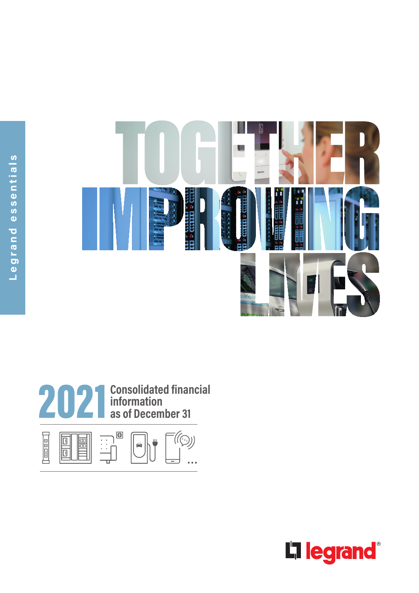



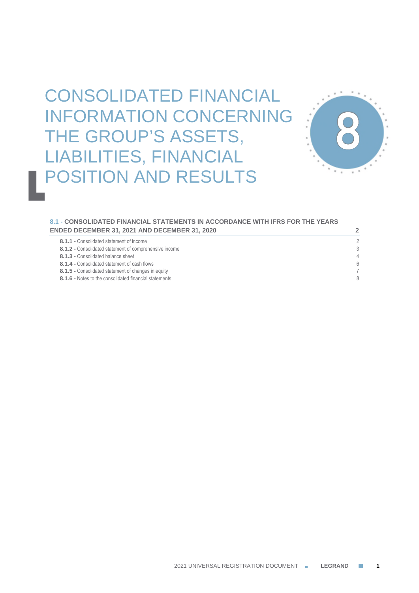# CONSOLIDATED FINANCIAL INFORMATION CONCERNING THE GROUP'S ASSETS, LIABILITIES, FINANCIAL POSITION AND RESULTS



# **8.1 - CONSOLIDATED FINANCIAL STATEMENTS IN ACCORDANCE WITH IFRS FOR THE YEARS ENDED DECEMBER 31, 2021 AND DECEMBER 31, 2020 2**

| 8.1.1 - Consolidated statement of income               | 2 |
|--------------------------------------------------------|---|
| 8.1.2 - Consolidated statement of comprehensive income | 3 |
| 8.1.3 - Consolidated balance sheet                     | 4 |
| 8.1.4 - Consolidated statement of cash flows           | 6 |
| 8.1.5 - Consolidated statement of changes in equity    |   |
| 8.1.6 - Notes to the consolidated financial statements | 8 |
|                                                        |   |

2021 UNIVERSAL REGISTRATION DOCUMENT **LEGRAND 1**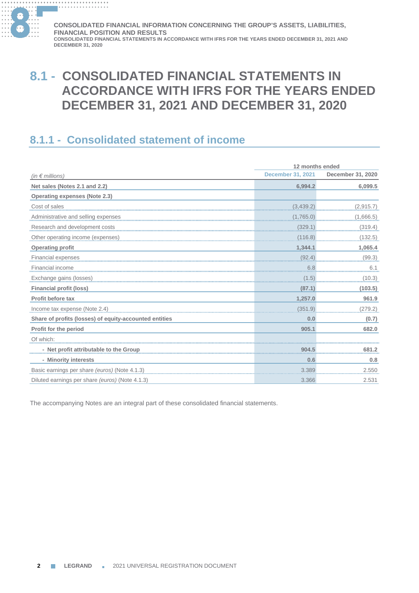

# **8.1 - CONSOLIDATED FINANCIAL STATEMENTS IN ACCORDANCE WITH IFRS FOR THE YEARS ENDED DECEMBER 31, 2021 AND DECEMBER 31, 2020**

# **8.1.1 - Consolidated statement of income**

|                                                        | 12 months ended          |                   |  |
|--------------------------------------------------------|--------------------------|-------------------|--|
| (in $\epsilon$ millions)                               | <b>December 31, 2021</b> | December 31, 2020 |  |
| Net sales (Notes 2.1 and 2.2)                          | 6,994.2                  | 6,099.5           |  |
| <b>Operating expenses (Note 2.3)</b>                   |                          |                   |  |
| Cost of sales                                          | (3,439.2)                | (2, 915.7)        |  |
| Administrative and selling expenses                    | (1,765.0)                | (1,666.5)         |  |
| Research and development costs                         | (329.1)                  | (319.4)           |  |
| Other operating income (expenses)                      | (116.8)                  | (132.5)           |  |
| <b>Operating profit</b>                                | 1,344.1                  | 1,065.4           |  |
| Financial expenses                                     | (92.4)                   | (99.3)            |  |
| Financial income                                       | 6.8                      | 6.1               |  |
| Exchange gains (losses)                                | (1.5)                    | (10.3)            |  |
| <b>Financial profit (loss)</b>                         | (87.1)                   | (103.5)           |  |
| Profit before tax                                      | 1,257.0                  | 961.9             |  |
| Income tax expense (Note 2.4)                          | (351.9)                  | (279.2)           |  |
| Share of profits (losses) of equity-accounted entities | 0.0                      | (0.7)             |  |
| Profit for the period                                  | 905.1                    | 682.0             |  |
| Of which:                                              |                          |                   |  |
| - Net profit attributable to the Group                 | 904.5                    | 681.2             |  |
| - Minority interests                                   | 0.6                      | 0.8               |  |
| Basic earnings per share (euros) (Note 4.1.3)          | 3.389                    | 2.550             |  |
| Diluted earnings per share <i>(euros)</i> (Note 4.1.3) | 3.366                    | 2.531             |  |

The accompanying Notes are an integral part of these consolidated financial statements.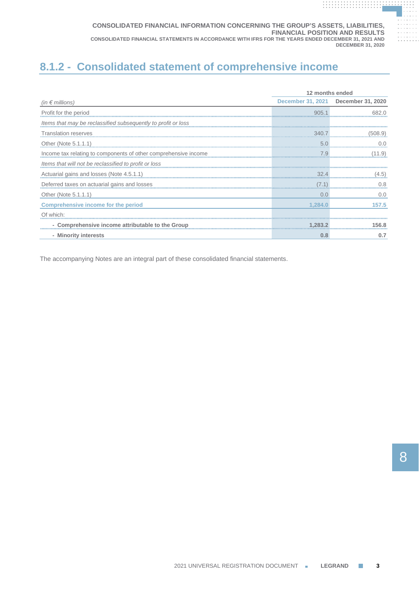# **8.1.2 - Consolidated statement of comprehensive income**

|                                                                 | 12 months ended |                                     |  |
|-----------------------------------------------------------------|-----------------|-------------------------------------|--|
| (in $\epsilon$ millions)                                        |                 | December 31, 2021 December 31, 2020 |  |
| Profit for the period                                           | 905.            |                                     |  |
| Items that may be reclassified subsequently to profit or loss.  |                 |                                     |  |
| <b>Translation reserves</b>                                     | 340.7           | '508.9'                             |  |
| Other (Note 5.1.1.1)                                            | 5. <sub>C</sub> |                                     |  |
| Income tax relating to components of other comprehensive income | 7.9             |                                     |  |
| Items that will not be reclassified to profit or loss.          |                 |                                     |  |
| Actuarial gains and losses (Note 4.5.1.1)                       |                 | 4.5                                 |  |
| Deferred taxes on actuarial gains and losses                    | 7.1             | 0.8                                 |  |
| Other (Note 5.1.1.1)                                            | 0.0             | 0.0                                 |  |
| <b>Comprehensive income for the period</b>                      | 1,284.0         | 157.5                               |  |
| Of which:                                                       |                 |                                     |  |
| - Comprehensive income attributable to the Group                | 1.283.2         | 56.8                                |  |
| - Minority interests                                            | 0.8             | 0.7                                 |  |

The accompanying Notes are an integral part of these consolidated financial statements.

**. . . . . . . . . . . . . . . . . . . . . . . . . . . . . . . . . . . . . . .**

**. . . . . . . . . . . . . . . . . . . . . . . . . . . . . . . . . . . . . . . . . . . . . . . . . . . . . . . . . . . . . .**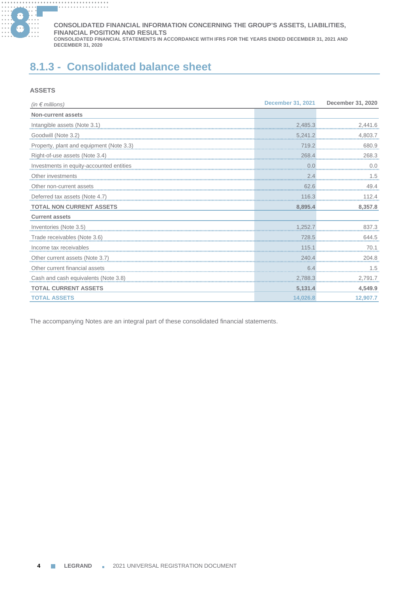

# **8.1.3 - Consolidated balance sheet**

# **ASSETS**

| (in $\epsilon$ millions)                                 | December 31, 2021 | December 31, 2020                         |
|----------------------------------------------------------|-------------------|-------------------------------------------|
| <b>Non-current assets</b>                                |                   |                                           |
|                                                          | 2,485.3           | 2,441.6<br><del>00</del> 0000000000000000 |
| Goodwill (Note 3.2)                                      | 5,241.2           | 4,803.7                                   |
| Property, plant and equipment (Note 3.3)<br>and the 3.3) | 719.2             | 680.9                                     |
| Right-of-use assets (Note 3.4)                           | 268.4             | 268.3                                     |
| Investments in equity-accounted entities                 | 0.0               | 0.0                                       |
| Other investments                                        | 2.4               | 1.5                                       |
|                                                          | 62.6              |                                           |
| Deferred tax assets (Note 4.7)                           | 116.3             | 112.4                                     |
| <b>TOTAL NON CURRENT ASSETS</b>                          | 8,895.4           | 8,357.8                                   |
| <b>Current assets</b>                                    |                   |                                           |
| <u>Inventories (Note 3.5)</u> 83/.3                      |                   | 837.3                                     |
| Trade receivables (Note 3.6)                             | 728.5             | 644.5                                     |
| Income tax receivables                                   | 115.1             | 70.1                                      |
| Other current assets (Note 3.7)                          | 240.4             | 204.8                                     |
| Other current financial assets                           | 6.4               |                                           |
| Cash and cash equivalents (Note 3.8)                     | 2,788.3           | 2,791.7                                   |
| <b>TOTAL CURRENT ASSETS</b>                              | 5,131.4           | 4,549.9                                   |
| <b>TOTAL ASSETS</b>                                      | 14,026.8          | 12,907.7                                  |

The accompanying Notes are an integral part of these consolidated financial statements.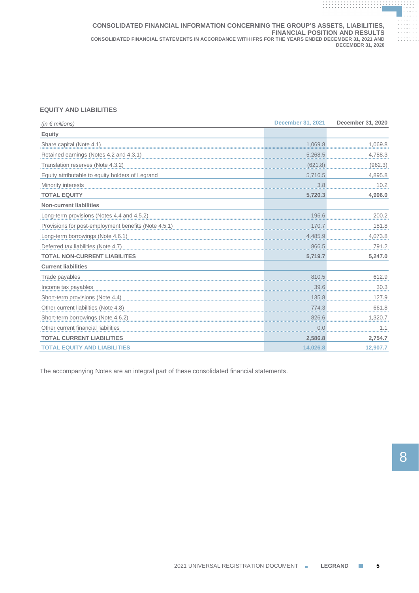# **EQUITY AND LIABILITIES**

| (in $\notin$ millions)                                                                                                                                                                                                         | <b>December 31, 2021</b> | December 31, 2020 |
|--------------------------------------------------------------------------------------------------------------------------------------------------------------------------------------------------------------------------------|--------------------------|-------------------|
| <b>Equity</b>                                                                                                                                                                                                                  |                          |                   |
| Share capital (Note 4.1)                                                                                                                                                                                                       | 1,069.8                  | 1,069.8           |
| Retained earnings (Notes 4.2 and 4.3.1)                                                                                                                                                                                        | 5,268.5                  | 4,788.3           |
| Translation reserves (Note 4.3.2)                                                                                                                                                                                              | (621.8)                  | (962.3)           |
| Equity attributable to equity holders of Legrand                                                                                                                                                                               | 5,716.5                  | 4,895.8           |
| Minority interests                                                                                                                                                                                                             | 3.8                      | 10.2              |
| <b>TOTAL EQUITY</b>                                                                                                                                                                                                            | 5,720.3                  | 4,906.0           |
| <b>Non-current liabilities</b>                                                                                                                                                                                                 |                          |                   |
| Long-term provisions (Notes 4.4 and 4.5.2)                                                                                                                                                                                     | 196.6                    | 200.2             |
| Provisions for post-employment benefits (Note 4.5.1) exercises and the control of the control of the control of the control of the control of the control of the control of the control of the control of the control of the c |                          | 181.8             |
| Long-term borrowings (Note 4.6.1)                                                                                                                                                                                              | 4,485.9                  | 4,073.8           |
| Deferred tax liabilities (Note 4.7)                                                                                                                                                                                            | 866.5                    | 791.2             |
| <b>TOTAL NON-CURRENT LIABILITES</b>                                                                                                                                                                                            | 5,719.7                  | 5,247.0           |
| <b>Current liabilities</b>                                                                                                                                                                                                     |                          |                   |
| Trade payables                                                                                                                                                                                                                 | 810.5                    | 612.9             |
| Income tax payables                                                                                                                                                                                                            | 39.6                     | 30.3              |
| Short-term provisions (Note 4.4)                                                                                                                                                                                               | 135.8                    | 127.9             |
| Other current liabilities (Note 4.8)                                                                                                                                                                                           | 774.3                    | 661.8             |
|                                                                                                                                                                                                                                |                          | 1,320.7           |
| Other current financial liabilities                                                                                                                                                                                            | 0.0                      | 1.1               |
| <b>TOTAL CURRENT LIABILITIES</b>                                                                                                                                                                                               | 2,586.8                  | 2,754.7           |
| <b>TOTAL EQUITY AND LIABILITIES</b>                                                                                                                                                                                            | 14.026.8                 | 12,907.7          |

The accompanying Notes are an integral part of these consolidated financial statements.

**. . . . . . . . . . . . . . . . . . . . . . . . . . . . . . . . . . . . . . .**

**. . . . . . . . . . . . . . . . . . . . . . . . . . . . . . . . . . . . . . . . . . . . . . . . . . . . . . . . . . . . . .**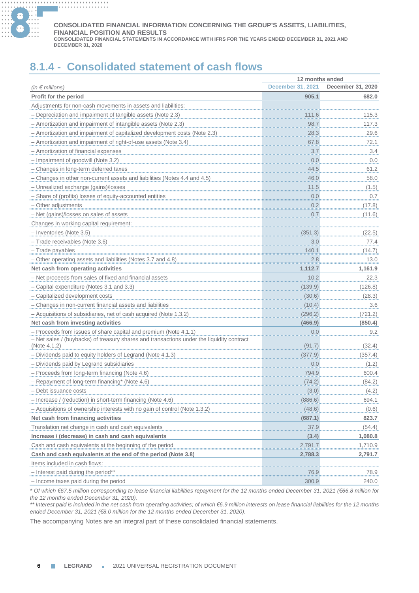

#### **............. . ............. . ............. . ............. . CONSOLIDATED FINANCIAL INFORMATION CONCERNING THE GROUP'S ASSETS, LIABILITIES, FINANCIAL POSITION AND RESULTS**

**CONSOLIDATED FINANCIAL STATEMENTS IN ACCORDANCE WITH IFRS FOR THE YEARS ENDED DECEMBER 31, 2021 AND DECEMBER 31, 2020**

# **8.1.4 - Consolidated statement of cash flows**

|                                                                                           | 12 months ended                     |                   |  |
|-------------------------------------------------------------------------------------------|-------------------------------------|-------------------|--|
| (in $\notin$ millions)                                                                    | <b>December 31, 2021</b>            | December 31, 2020 |  |
| Profit for the period                                                                     | 905.1                               | 682.0             |  |
| Adjustments for non-cash movements in assets and liabilities:                             |                                     |                   |  |
| - Depreciation and impairment of tangible assets (Note 2.3)                               |                                     | 115.3             |  |
| - Amortization and impairment of intangible assets (Note 2.3)                             | 98.7                                | 117.3             |  |
| - Amortization and impairment of capitalized development costs (Note 2.3)                 | 28.3                                | 29.6              |  |
| - Amortization and impairment of right-of-use assets (Note 3.4)                           | 67.8                                | 72.1              |  |
| - Amortization of financial expenses                                                      | 3.7                                 | 3.4               |  |
| - Impairment of goodwill (Note 3.2)                                                       | 0.0                                 | 0.0               |  |
| - Changes in long-term deferred taxes                                                     | 44.5                                | 61.2              |  |
| - Changes in other non-current assets and liabilities (Notes 4.4 and 4.5)                 | 46.0                                | 58.0              |  |
| - Unrealized exchange (gains)/losses                                                      | 11.5                                | (1.5)             |  |
| - Share of (profits) losses of equity-accounted entities                                  | 0.0                                 | 0.7               |  |
| - Other adjustments                                                                       | 0.2                                 | (17.8)            |  |
| - Net (gains)/losses on sales of assets                                                   | 0.7                                 | (11.6)            |  |
| Changes in working capital requirement:                                                   |                                     |                   |  |
| - Inventories (Note 3.5)                                                                  | (351.3)                             | (22.5)            |  |
| - Trade receivables (Note 3.6)                                                            | 3.0                                 | 77.4              |  |
| - Trade payables                                                                          | 140.1                               | (14.7)            |  |
| - Other operating assets and liabilities (Notes 3.7 and 4.8)                              | 2.8                                 | 13.0              |  |
| Net cash from operating activities                                                        | 1.112.7                             | 1,161.9           |  |
| - Net proceeds from sales of fixed and financial assets                                   | 10.2                                | 22.3              |  |
| - Capital expenditure (Notes 3.1 and 3.3)                                                 | (139.9)                             | (126.8)           |  |
| - Capitalized development costs                                                           | (30.6)                              | (28.3)            |  |
| - Changes in non-current financial assets and liabilities                                 | (10.4)                              | 3.6               |  |
| - Acquisitions of subsidiaries, net of cash acquired (Note 1.3.2)                         | (296.2)                             | (721.2)           |  |
| Net cash from investing activities                                                        | (466.9)                             | (850.4)           |  |
| - Proceeds from issues of share capital and premium (Note 4.1.1)                          | 0.0                                 | 9.2               |  |
| - Net sales / (buybacks) of treasury shares and transactions under the liquidity contract |                                     |                   |  |
| (Note 4.1.2)                                                                              | (91.7)                              | (32.4)            |  |
| - Dividends paid to equity holders of Legrand (Note 4.1.3)                                | (377.9)                             | (357.4)           |  |
| - Dividends paid by Legrand subsidiaries                                                  | 0.0                                 | (1.2)             |  |
| - Proceeds from long-term financing (Note 4.6)                                            | 794.9                               | 600.4             |  |
| - Repayment of long-term financing* (Note 4.6)                                            | (74.2)                              | (84.2)            |  |
| Debt issuance costs                                                                       | (3.0)                               | (4.2)             |  |
| - Increase / (reduction) in short-term financing (Note 4.6)                               | (886.6)                             | 694.1             |  |
| - Acquisitions of ownership interests with no gain of control (Note 1.3.2)                | (48.6)                              | (0.6)             |  |
| Net cash from financing activities                                                        | (687.1)                             | 823.7             |  |
| Translation net change in cash and cash equivalents                                       | 37.9                                | (54.4)            |  |
| Increase / (decrease) in cash and cash equivalents                                        | (3.4)                               | 1,080.8           |  |
| Cash and cash equivalents at the beginning of the period                                  | 2,791.7                             | 1,710.9           |  |
| Cash and cash equivalents at the end of the period (Note 3.8)                             | 2,788.3                             | 2,791.7           |  |
| Items included in cash flows:                                                             | ,,,,,,,,,,,,,,,,,,,,,,,,,,,,,,,,,,, | .                 |  |
| - Interest paid during the period**                                                       | 76.9                                | 78.9              |  |
| - Income taxes paid during the period                                                     | 300.9                               | 240.0             |  |

*\* Of which €67.5 million corresponding to lease financial liabilities repayment for the 12 months ended December 31, 2021 (€66.8 million for the 12 months ended December 31, 2020).*

*\*\* Interest paid is included in the net cash from operating activities; of which €6.9 million interests on lease financial liabilities for the 12 months ended December 31, 2021 (€8.0 million for the 12 months ended December 31, 2020).*

The accompanying Notes are an integral part of these consolidated financial statements.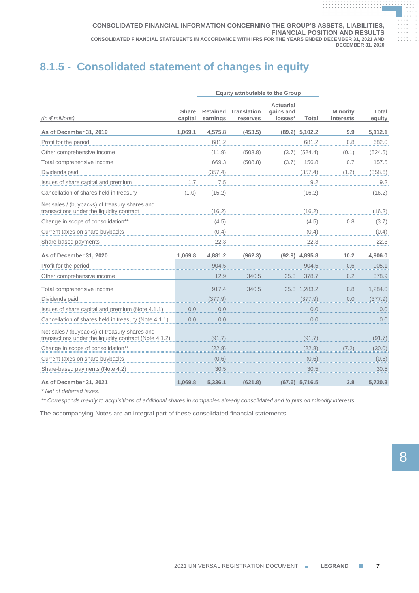# **8.1.5 - Consolidated statement of changes in equity**

|                                                                                                         | <b>Equity attributable to the Group</b> |          |                                         |                                          |                  |                              |                 |
|---------------------------------------------------------------------------------------------------------|-----------------------------------------|----------|-----------------------------------------|------------------------------------------|------------------|------------------------------|-----------------|
| (in $\notin$ millions)                                                                                  | <b>Share</b><br>capital                 | earnings | <b>Retained Translation</b><br>reserves | <b>Actuarial</b><br>gains and<br>losses* | <b>Total</b>     | <b>Minority</b><br>interests | Total<br>equity |
| As of December 31, 2019                                                                                 | 1,069.1                                 | 4,575.8  | (453.5)                                 |                                          | $(89.2)$ 5,102.2 | 9.9                          | 5,112.1         |
| Profit for the period                                                                                   |                                         | 681.2    |                                         |                                          | 681.2            | 0.8                          | 682.0           |
| Other comprehensive income                                                                              |                                         | (11.9)   | (508.8)                                 | (3.7)                                    | (524.4)          | (0.1)                        | (524.5)         |
| Total comprehensive income                                                                              |                                         | 669.3    | (508.8)                                 | (3.7)                                    | 156.8            | 0.7                          | 157.5           |
| Dividends paid                                                                                          |                                         | (357.4)  |                                         |                                          | (357.4)          | (1.2)                        | (358.6)         |
| Issues of share capital and premium                                                                     | 1.7                                     | .7.5     |                                         |                                          | 9.2              |                              | 9.2             |
| Cancellation of shares held in treasury                                                                 | (1.0)                                   | (15.2)   |                                         |                                          | (16.2)           |                              | (16.2)          |
| Net sales / (buybacks) of treasury shares and<br>transactions under the liquidity contract              |                                         | (16.2)   |                                         |                                          | (16.2)           |                              | (16.2)          |
| Change in scope of consolidation**                                                                      |                                         | (4.5)    |                                         |                                          | (4.5)            | 0.8                          | (3.7)           |
| Current taxes on share buybacks                                                                         |                                         |          |                                         |                                          | (0.4)            |                              | (0.4)           |
| Share-based payments                                                                                    |                                         | 22.3     |                                         |                                          | 22.3             |                              | 22.3            |
| As of December 31, 2020                                                                                 | 1.069.8                                 | 4,881.2  | (962.3)                                 |                                          | $(92.9)$ 4,895.8 | 10.2                         | 4,906.0         |
| Profit for the period                                                                                   |                                         | 904.5    |                                         |                                          | 904.5            | 0.6                          | 905.1           |
| Other comprehensive income                                                                              |                                         | 12.9     | 340.5                                   | 25.3                                     | 378.7            | 0.2                          | 378.9           |
| Total comprehensive income                                                                              |                                         | 917.4    | 340.5                                   |                                          | 25.3 1,283.2     | 0.8                          | 1,284.0         |
| Dividends paid                                                                                          |                                         | (377.9)  |                                         |                                          | (377.9)          | 0.0                          | (377.9)         |
| Issues of share capital and premium (Note 4.1.1)                                                        | 0.0                                     | 0.0      |                                         |                                          | 0.0              |                              | 0.0             |
| Cancellation of shares held in treasury (Note 4.1.1)                                                    | 0.0                                     | 0.0      |                                         |                                          | 0.0              |                              | 0.0             |
| Net sales / (buybacks) of treasury shares and<br>transactions under the liquidity contract (Note 4.1.2) |                                         | (91.7)   |                                         |                                          | (91.7)           |                              | (91.7)          |
| Change in scope of consolidation**                                                                      |                                         | (22.8)   |                                         |                                          | (22.8)           |                              | (30.0)          |
| Current taxes on share buybacks                                                                         |                                         | (0.6)    |                                         |                                          | (0.6)            |                              | (0.6)           |
| Share-based payments (Note 4.2)                                                                         |                                         | 30.5     |                                         |                                          | 30.5             |                              | 30.5            |
| As of December 31, 2021                                                                                 | 1.069.8                                 | 5,336.1  | (621.8)                                 |                                          | $(67.6)$ 5,716.5 | 3.8                          | 5,720.3         |

*\* Net of deferred taxes.*

*\*\* Corresponds mainly to acquisitions of additional shares in companies already consolidated and to puts on minority interests.*

The accompanying Notes are an integral part of these consolidated financial statements.

**. . . . . . . . . . . . . . . . . . . . . . . . . . . . . . . . . . . . . . .**

**. . . . . . . . . . . . . . . . . . . . . . . . . . . . . . . . . . . . . . . . . . . . . . . . . . . . . . . . . . . . . .**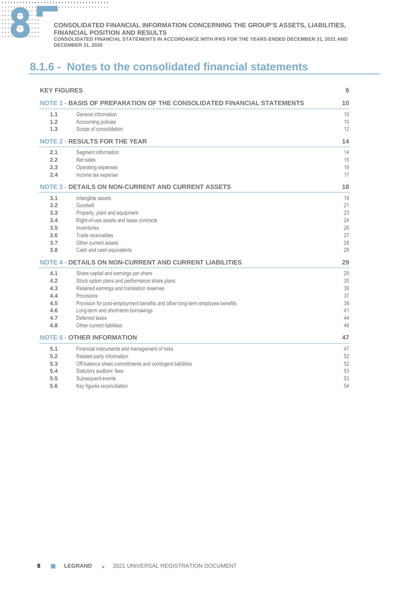

#### **............. . ............. . ............. . ............. . CONSOLIDATED FINANCIAL INFORMATION CONCERNING THE GROUP'S ASSETS, LIABILITIES, FINANCIAL POSITION AND RESULTS**

**CONSOLIDATED FINANCIAL STATEMENTS IN ACCORDANCE WITH IFRS FOR THE YEARS ENDED DECEMBER 31, 2021 AND DECEMBER 31, 2020**

# **8.1.6 - Notes to the consolidated financial statements**

| <b>KEY FIGURES</b>                                                     |                                                                              |    |
|------------------------------------------------------------------------|------------------------------------------------------------------------------|----|
| NOTE 1 - BASIS OF PREPARATION OF THE CONSOLIDATED FINANCIAL STATEMENTS |                                                                              |    |
| 1.1                                                                    | General information                                                          | 10 |
| 1.2                                                                    | Accounting policies                                                          | 10 |
| 1.3                                                                    | Scope of consolidation                                                       | 12 |
|                                                                        | <b>NOTE 2 - RESULTS FOR THE YEAR</b>                                         | 14 |
| 2.1                                                                    | Segment information                                                          | 14 |
| 2.2                                                                    | Net sales                                                                    | 15 |
| 2.3                                                                    | Operating expenses                                                           | 16 |
| 2.4                                                                    | Income tax expense                                                           | 17 |
|                                                                        | <b>NOTE 3 - DETAILS ON NON-CURRENT AND CURRENT ASSETS</b>                    | 18 |
| 3.1                                                                    | Intangible assets                                                            | 18 |
| 3.2                                                                    | Goodwill                                                                     | 21 |
| 3.3                                                                    | Property, plant and equipment                                                | 23 |
| 3.4                                                                    | Right-of-use assets and lease contracts                                      | 24 |
| 3.5                                                                    | Inventories                                                                  | 26 |
| 3.6                                                                    | Trade receivables                                                            | 27 |
| 3.7                                                                    | Other current assets                                                         | 28 |
| 3.8                                                                    | Cash and cash equivalents                                                    | 28 |
|                                                                        | <b>NOTE 4 - DETAILS ON NON-CURRENT AND CURRENT LIABILITIES</b>               | 29 |
| 4.1                                                                    | Share capital and earnings per share                                         | 29 |
| 4.2                                                                    | Stock option plans and performance share plans                               | 30 |
| 4.3                                                                    | Retained earnings and translation reserves                                   | 36 |
| 4.4                                                                    | Provisions                                                                   | 37 |
| 4.5                                                                    | Provision for post-employment benefits and other long-term employee benefits | 38 |
| 4.6                                                                    | Long-term and short-term borrowings                                          | 41 |
| 4.7                                                                    | Deferred taxes                                                               | 44 |
| 4.8                                                                    | Other current liabilities                                                    | 46 |
|                                                                        | <b>NOTE 5 - OTHER INFORMATION</b>                                            | 47 |
| 5.1                                                                    | Financial instruments and management of risks                                | 47 |
| 5.2                                                                    | Related-party information                                                    | 52 |
| 5.3                                                                    | Off-balance sheet commitments and contingent liabilities                     | 52 |
| 5.4                                                                    | Statutory auditors' fees                                                     | 53 |
| 5.5                                                                    | Subsequent events                                                            | 53 |
| 5.6                                                                    | Key figures reconciliation                                                   | 54 |
|                                                                        |                                                                              |    |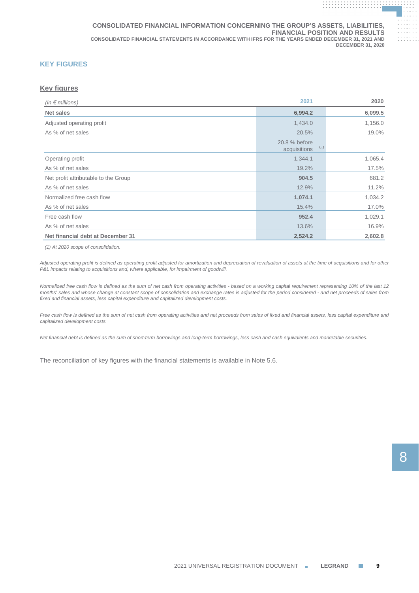# **KEY FIGURES**

# **Key figures**

| (in $\epsilon$ millions)             | 2021                                 | 2020    |
|--------------------------------------|--------------------------------------|---------|
| Net sales                            | 6,994.2                              | 6,099.5 |
| Adjusted operating profit            | 1,434.0                              | 1,156.0 |
| As % of net sales                    | 20.5%                                | 19.0%   |
|                                      | 20.8 % before<br>(1)<br>acquisitions |         |
| Operating profit                     | 1,344.1                              | 1,065.4 |
| As % of net sales                    | 19.2%                                | 17.5%   |
| Net profit attributable to the Group | 904.5                                | 681.2   |
| As % of net sales                    | 12.9%                                | 11.2%   |
| Normalized free cash flow            | 1,074.1                              | 1,034.2 |
| As % of net sales                    | 15.4%                                | 17.0%   |
| Free cash flow                       | 952.4                                | 1,029.1 |
| As % of net sales                    | 13.6%                                | 16.9%   |
| Net financial debt at December 31    | 2,524.2                              | 2,602.8 |

*(1) At 2020 scope of consolidation.*

*Adjusted operating profit is defined as operating profit adjusted for amortization and depreciation of revaluation of assets at the time of acquisitions and for other P&L impacts relating to acquisitions and, where applicable, for impairment of goodwill.*

*Normalized free cash flow is defined as the sum of net cash from operating activities - based on a working capital requirement representing 10% of the last 12 months' sales and whose change at constant scope of consolidation and exchange rates is adjusted for the period considered - and net proceeds of sales from fixed and financial assets, less capital expenditure and capitalized development costs.*

*Free cash flow is defined as the sum of net cash from operating activities and net proceeds from sales of fixed and financial assets, less capital expenditure and capitalized development costs.*

*Net financial debt is defined as the sum of short-term borrowings and long-term borrowings, less cash and cash equivalents and marketable securities.*

The reconciliation of key figures with the financial statements is available in Note 5.6.

**. . . . . . . . . . . . . . . . . . . . . . . . . . . . . . . . . . . . . . .**

**. . . . . . . . . . . . . . . . . . . . . . . . . . . . . . . . . . . . . . . . . . . . . . . . . . . . . . . . . . . . . .**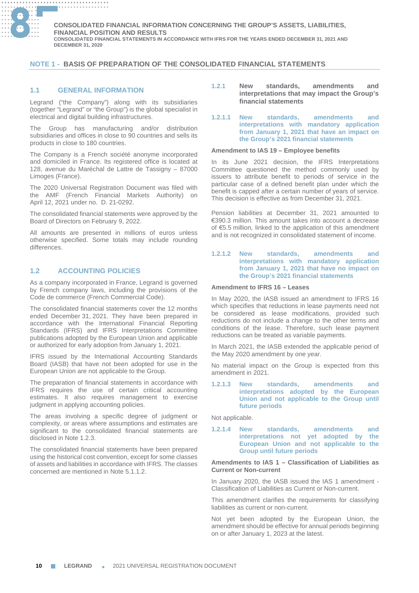

# **NOTE 1 - BASIS OF PREPARATION OF THE CONSOLIDATED FINANCIAL STATEMENTS**

# **1.1 GENERAL INFORMATION**

Legrand ("the Company") along with its subsidiaries (together "Legrand" or "the Group") is the global specialist in electrical and digital building infrastructures.

The Group has manufacturing and/or distribution subsidiaries and offices in close to 90 countries and sells its products in close to 180 countries.

The Company is a French société anonyme incorporated and domiciled in France. Its registered office is located at 128, avenue du Maréchal de Lattre de Tassigny – 87000 Limoges (France).

The 2020 Universal Registration Document was filed with the AMF (French Financial Markets Authority) on April 12, 2021 under no. D. 21-0292.

The consolidated financial statements were approved by the Board of Directors on February 9, 2022.

All amounts are presented in millions of euros unless otherwise specified. Some totals may include rounding differences.

# **1.2 ACCOUNTING POLICIES**

As a company incorporated in France, Legrand is governed by French company laws, including the provisions of the Code de commerce (French Commercial Code).

The consolidated financial statements cover the 12 months ended December 31, 2021. They have been prepared in accordance with the International Financial Reporting Standards (IFRS) and IFRS Interpretations Committee publications adopted by the European Union and applicable or authorized for early adoption from January 1, 2021.

IFRS issued by the International Accounting Standards Board (IASB) that have not been adopted for use in the European Union are not applicable to the Group.

The preparation of financial statements in accordance with IFRS requires the use of certain critical accounting estimates. It also requires management to exercise judgment in applying accounting policies.

The areas involving a specific degree of judgment or complexity, or areas where assumptions and estimates are significant to the consolidated financial statements are disclosed in Note 1.2.3.

The consolidated financial statements have been prepared using the historical cost convention, except for some classes of assets and liabilities in accordance with IFRS. The classes concerned are mentioned in Note 5.1.1.2

- **1.2.1 New standards, amendments and interpretations that may impact the Group's financial statements**
- **1.2.1.1 New standards, amendments and interpretations with mandatory application from January 1, 2021 that have an impact on the Group's 2021 financial statements**

### **Amendment to IAS 19 – Employee benefits**

In its June 2021 decision, the IFRS Interpretations Committee questioned the method commonly used by issuers to attribute benefit to periods of service in the particular case of a defined benefit plan under which the benefit is capped after a certain number of years of service. This decision is effective as from December 31, 2021.

Pension liabilities at December 31, 2021 amounted to €390.3 million. This amount takes into account a decrease of €5.5 million, linked to the application of this amendment and is not recognized in consolidated statement of income.

### **1.2.1.2 New standards, amendments and interpretations with mandatory application from January 1, 2021 that have no impact on the Group's 2021 financial statements**

### **Amendment to IFRS 16 – Leases**

In May 2020, the IASB issued an amendment to IFRS 16 which specifies that reductions in lease payments need not be considered as lease modifications, provided such reductions do not include a change to the other terms and conditions of the lease. Therefore, such lease payment reductions can be treated as variable payments.

In March 2021, the IASB extended the applicable period of the May 2020 amendment by one year.

No material impact on the Group is expected from this amendment in 2021.

**1.2.1.3 New standards, amendments and interpretations adopted by the European Union and not applicable to the Group until future periods**

Not applicable.

**1.2.1.4 New standards, amendments and interpretations not yet adopted by the European Union and not applicable to the Group until future periods**

### **Amendments to IAS 1 – Classification of Liabilities as Current or Non-current**

In January 2020, the IASB issued the IAS 1 amendment - Classification of Liabilities as Current or Non-current.

This amendment clarifies the requirements for classifying liabilities as current or non-current.

Not yet been adopted by the European Union, the amendment should be effective for annual periods beginning on or after January 1, 2023 at the latest.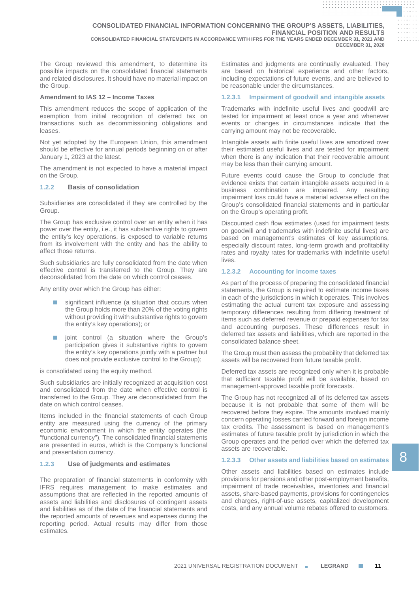The Group reviewed this amendment, to determine its possible impacts on the consolidated financial statements and related disclosures. It should have no material impact on the Group.

### **Amendment to IAS 12 – Income Taxes**

This amendment reduces the scope of application of the exemption from initial recognition of deferred tax on transactions such as decommissioning obligations and leases.

Not yet adopted by the European Union, this amendment should be effective for annual periods beginning on or after January 1, 2023 at the latest.

The amendment is not expected to have a material impact on the Group.

## **1.2.2 Basis of consolidation**

Subsidiaries are consolidated if they are controlled by the Group.

The Group has exclusive control over an entity when it has power over the entity, i.e., it has substantive rights to govern the entity's key operations, is exposed to variable returns from its involvement with the entity and has the ability to affect those returns.

Such subsidiaries are fully consolidated from the date when effective control is transferred to the Group. They are deconsolidated from the date on which control ceases.

Any entity over which the Group has either:

- significant influence (a situation that occurs when the Group holds more than 20% of the voting rights without providing it with substantive rights to govern the entity's key operations); or
- joint control (a situation where the Group's participation gives it substantive rights to govern the entity's key operations jointly with a partner but does not provide exclusive control to the Group);

is consolidated using the equity method.

Such subsidiaries are initially recognized at acquisition cost and consolidated from the date when effective control is transferred to the Group. They are deconsolidated from the date on which control ceases.

Items included in the financial statements of each Group entity are measured using the currency of the primary economic environment in which the entity operates (the "functional currency"). The consolidated financial statements are presented in euros, which is the Company's functional and presentation currency.

## **1.2.3 Use of judgments and estimates**

The preparation of financial statements in conformity with IFRS requires management to make estimates and assumptions that are reflected in the reported amounts of assets and liabilities and disclosures of contingent assets and liabilities as of the date of the financial statements and the reported amounts of revenues and expenses during the reporting period. Actual results may differ from those estimates.

Estimates and judgments are continually evaluated. They are based on historical experience and other factors, including expectations of future events, and are believed to be reasonable under the circumstances.

**. . . . . . . . . . . . . . . . . . . . . . . . . . . . . . . . . . . . . . . . . . . . . . . . . . . . . . . . . . . . . . . . . . . . . . . . . . . . . . . . . . . . . . . . . . . . .**

**. . . . . . . . . . . . . . . . . . . . . . . . . . . . . . . . . . . . . . . . . . . . . . . . . . . . . . . . . . . . . . . .**

### **1.2.3.1 Impairment of goodwill and intangible assets**

Trademarks with indefinite useful lives and goodwill are tested for impairment at least once a year and whenever events or changes in circumstances indicate that the carrying amount may not be recoverable.

Intangible assets with finite useful lives are amortized over their estimated useful lives and are tested for impairment when there is any indication that their recoverable amount may be less than their carrying amount.

Future events could cause the Group to conclude that evidence exists that certain intangible assets acquired in a business combination are impaired. Any resulting impairment loss could have a material adverse effect on the Group's consolidated financial statements and in particular on the Group's operating profit.

Discounted cash flow estimates (used for impairment tests on goodwill and trademarks with indefinite useful lives) are based on management's estimates of key assumptions, especially discount rates, long-term growth and profitability rates and royalty rates for trademarks with indefinite useful lives.

### **1.2.3.2 Accounting for income taxes**

As part of the process of preparing the consolidated financial statements, the Group is required to estimate income taxes in each of the jurisdictions in which it operates. This involves estimating the actual current tax exposure and assessing temporary differences resulting from differing treatment of items such as deferred revenue or prepaid expenses for tax and accounting purposes. These differences result in deferred tax assets and liabilities, which are reported in the consolidated balance sheet.

The Group must then assess the probability that deferred tax assets will be recovered from future taxable profit.

Deferred tax assets are recognized only when it is probable that sufficient taxable profit will be available, based on management-approved taxable profit forecasts.

The Group has not recognized all of its deferred tax assets because it is not probable that some of them will be recovered before they expire. The amounts involved mainly concern operating losses carried forward and foreign income tax credits. The assessment is based on management's estimates of future taxable profit by jurisdiction in which the Group operates and the period over which the deferred tax assets are recoverable.

# **1.2.3.3 Other assets and liabilities based on estimates**

Other assets and liabilities based on estimates include provisions for pensions and other post-employment benefits, impairment of trade receivables, inventories and financial assets, share-based payments, provisions for contingencies and charges, right-of-use assets, capitalized development costs, and any annual volume rebates offered to customers.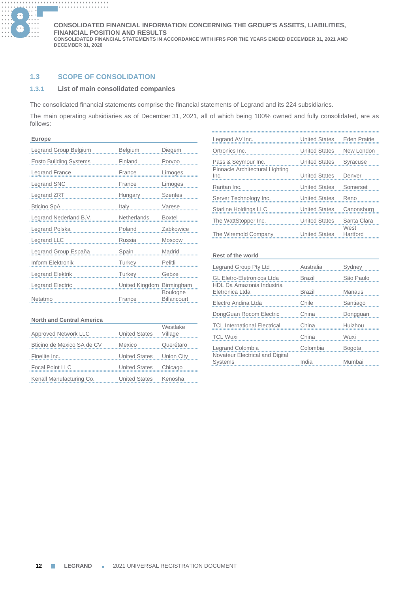

# **1.3 SCOPE OF CONSOLIDATION**

# **1.3.1 List of main consolidated companies**

The consolidated financial statements comprise the financial statements of Legrand and its 224 subsidiaries.

The main operating subsidiaries as of December 31, 2021, all of which being 100% owned and fully consolidated, are as follows:

| <b>Europe</b>                 |                |                                       |
|-------------------------------|----------------|---------------------------------------|
| Legrand Group Belgium         | Belgium        | Diegem                                |
| <b>Ensto Building Systems</b> | Finland        | Porvoo                                |
| Legrand France                | France         | Limoges                               |
| <b>Legrand SNC</b>            | France         | Limoges                               |
| Legrand ZRT                   | Hungary        | <b>Szentes</b>                        |
| <b>Bticino SpA</b>            | Italy          | Varese                                |
| Legrand Nederland B.V.        | Netherlands    | <b>Boxtel</b>                         |
| Legrand Polska                | Poland         | Zabkowice                             |
| Legrand LLC                   | Russia         | <b>Moscow</b>                         |
| Legrand Group España          | Spain          | Madrid                                |
| Inform Elektronik             | Turkey         | Pelitli                               |
| Legrand Elektrik              | Turkey         | Gebze                                 |
| Legrand Electric              | United Kingdom | Birmingham                            |
| Netatmo                       | France         | <b>Boulogne</b><br><b>Billancourt</b> |

| Approved Network LLC       | <b>United States</b> | Westlake<br>Village |
|----------------------------|----------------------|---------------------|
| Bticino de Mexico SA de CV | Mexico               | Querétaro           |
| Finelite Inc.              | <b>United States</b> | Union City          |
| <b>Focal Point LLC</b>     | <b>United States</b> | Chicago             |
| Kenall Manufacturing Co.   | <b>United States</b> | Kenosha             |

| Legrand AV Inc.                                        | <b>United States</b> | <b>Eden Prairie</b> |
|--------------------------------------------------------|----------------------|---------------------|
| Ortronics Inc.                                         | <b>United States</b> | New London          |
| Pass & Seymour Inc.<br>Pinnacle Architectural Lighting | <b>United States</b> | Syracuse            |
| Inc.                                                   | <b>United States</b> | Denver              |
| Raritan Inc.                                           | <b>United States</b> | Somerset            |
| Server Technology Inc.                                 | <b>United States</b> | Reno                |
| Starline Holdings LLC                                  | <b>United States</b> | Canonsburg          |
| The WattStopper Inc.                                   | <b>United States</b> | Santa Clara         |
| The Wiremold Company                                   | <b>United States</b> | West<br>Hartford    |

### **Rest of the world**

| Legrand Group Pty Ltd                             | Australia     | Sydney        |
|---------------------------------------------------|---------------|---------------|
| <b>GL Eletro-Eletronicos Ltda</b>                 | <b>Brazil</b> | São Paulo     |
| HDL Da Amazonia Industria<br>Eletronica Ltda      | <b>Brazil</b> | Manaus        |
| Electro Andina Ltda                               | Chile         | Santiago      |
| DongGuan Rocom Electric                           | China         | Dongguan      |
| <b>TCL International Electrical</b>               | China         | Huizhou       |
| <b>TCL Wuxi</b>                                   | China         | Wuxi          |
| Legrand Colombia                                  | Colombia      | <b>Bogota</b> |
| Novateur Electrical and Digital<br><b>Systems</b> | India         | Mumbai        |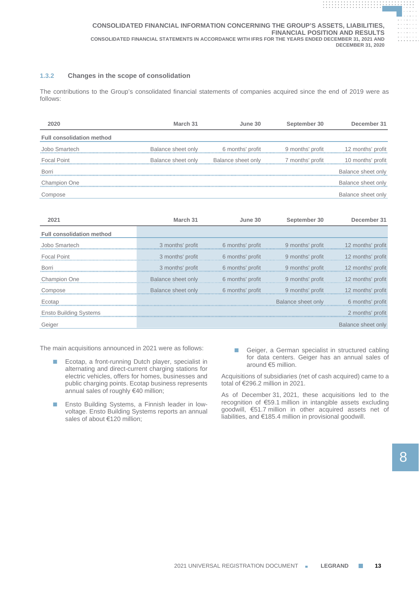# **1.3.2 Changes in the scope of consolidation**

The contributions to the Group's consolidated financial statements of companies acquired since the end of 2019 were as follows:

| 2020                             | March 31           | June 30                                                                                                        | September 30 | December 31        |
|----------------------------------|--------------------|----------------------------------------------------------------------------------------------------------------|--------------|--------------------|
| <b>Full consolidation method</b> |                    |                                                                                                                |              |                    |
| Jobo Smartech                    | Balance sheet only | 6 months' profit generalist both is not be the sensitive to the Sensitive Sensitive Sensitive Sensitive Sensit |              |                    |
| <b>Focal Point</b>               |                    | Balance sheet only Balance sheet only 7 months' profit                                                         |              | 10 months' profit  |
| <b>Borri</b>                     |                    |                                                                                                                |              | Balance sheet only |
| <b>Champion One</b>              |                    |                                                                                                                |              | Balance sheet only |
| Compose                          |                    |                                                                                                                |              | Balance sheet only |

| 2021                             | March 31                            | June 30                          | September 30                                                         | December 31           |
|----------------------------------|-------------------------------------|----------------------------------|----------------------------------------------------------------------|-----------------------|
| <b>Full consolidation method</b> |                                     |                                  |                                                                      |                       |
| Jobo Smartech                    | 3 months' profit                    | <b>Example 16 months' profit</b> | 9 months' profit                                                     | a a 12 months' profit |
| <b>Focal Point</b>               | 3 months' profit                    | 6 months' profit                 | 9 months' profit                                                     | 12 months' profit     |
| Borri                            |                                     |                                  | 3 months' profit 6 months' profit 9 months' profit 12 months' profit |                       |
| Champion One                     | Balance sheet only 6 months' profit |                                  | 9 months' profit                                                     | 12 months' profit     |
| Compose                          | Balance sheet only                  | 6 months' profit                 | 9 months' profit                                                     | 12 months' profit     |
| Ecotap                           |                                     |                                  | Balance sheet only 6 months' profit                                  |                       |
| Ensto Building Systems           |                                     |                                  |                                                                      | 2 months' profit      |
| Geiger                           |                                     |                                  |                                                                      | Balance sheet only    |

The main acquisitions announced in 2021 were as follows:

- Ecotap, a front-running Dutch player, specialist in alternating and direct-current charging stations for electric vehicles, offers for homes, businesses and public charging points. Ecotap business represents annual sales of roughly €40 million;
- Ensto Building Systems, a Finnish leader in lowvoltage. Ensto Building Systems reports an annual sales of about €120 million;
- Geiger, a German specialist in structured cabling for data centers. Geiger has an annual sales of around €5 million.

Acquisitions of subsidiaries (net of cash acquired) came to a total of €296.2 million in 2021.

As of December 31, 2021, these acquisitions led to the recognition of €59.1 million in intangible assets excluding goodwill, €51.7 million in other acquired assets net of liabilities, and €185.4 million in provisional goodwill.

**. . . . . . . . . . . . . . . . . . . . . . . . . . . . . . . . . . . . . . . . . . . . . . . . . . . . . . . . . . . . . . . . . . . . . . . . . . . . . . . . . . . . . . . . . . . . .**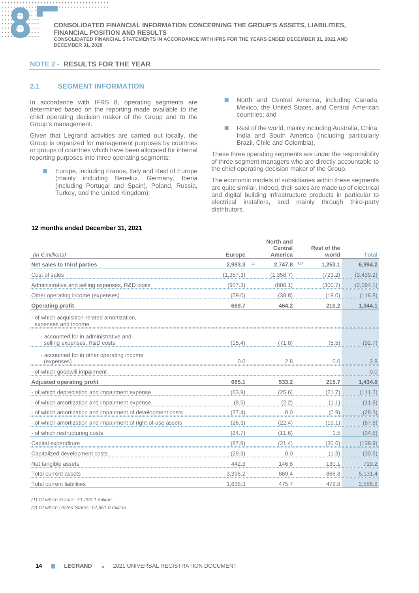

# **NOTE 2 - RESULTS FOR THE YEAR**

# **2.1 SEGMENT INFORMATION**

In accordance with IFRS 8, operating segments are determined based on the reporting made available to the chief operating decision maker of the Group and to the Group's management.

Given that Legrand activities are carried out locally, the Group is organized for management purposes by countries or groups of countries which have been allocated for internal reporting purposes into three operating segments:

- Europe, including France, Italy and Rest of Europe (mainly including Benelux, Germany, Iberia (including Portugal and Spain), Poland, Russia, Turkey, and the United Kingdom);
- North and Central America, including Canada, Mexico, the United States, and Central American countries; and
- Rest of the world, mainly including Australia, China, India and South America (including particularly Brazil, Chile and Colombia).

These three operating segments are under the responsibility of three segment managers who are directly accountable to the chief operating decision maker of the Group.

The economic models of subsidiaries within these segments are quite similar. Indeed, their sales are made up of electrical and digital building infrastructure products in particular to electrical installers, sold mainly through third-party distributors.

| (in $\notin$ millions)                                              | <b>Europe</b>  | North and<br><b>Central</b><br>America | Rest of the<br>world | <b>Total</b> |
|---------------------------------------------------------------------|----------------|----------------------------------------|----------------------|--------------|
| Net sales to third parties                                          | (1)<br>2,993.3 | (2)<br>2,747.8                         | 1,253.1              | 6,994.2      |
| Cost of sales                                                       | (1, 357.3)     | (1, 358.7)                             | (723.2)              | (3,439.2)    |
| Administrative and selling expenses, R&D costs                      | (907.3)        | (886.1)                                | (300.7)              | (2,094.1)    |
| Other operating income (expenses)                                   | (59.0)         | (38.8)                                 | (19.0)               | (116.8)      |
| <b>Operating profit</b>                                             | 669.7          | 464.2                                  | 210.2                | 1,344.1      |
| - of which acquisition-related amortization,<br>expenses and income |                |                                        |                      |              |
| accounted for in administrative and<br>selling expenses, R&D costs  | (15.4)         | (71.8)                                 | (5.5)                | (92.7        |
| accounted for in other operating income<br>(expenses)               | 0.0            | 2.8                                    | 0.0                  | 2.8          |
| - of which goodwill impairment                                      |                |                                        |                      | 0.0          |
| Adjusted operating profit                                           | 685.1          | 533.2                                  | 215.7                | 1,434.0      |
| - of which depreciation and impairment expense                      | (63.9)         | (25.6)                                 | (21.7)               | (111.2)      |
| - of which amortization and impairment expense                      | (8.5)          | (2.2)                                  | (1.1)                | (11.8)       |
| - of which amortization and impairment of development costs         | (27.4)         | 0.0                                    | (0.9)                | (28.3)       |
| - of which amortization and impairment of right-of-use assets       | (26.3)         | (22.4)                                 | (19.1)               | (67.8)       |
| - of which restructuring costs                                      | (24.7)         | (11.6)                                 | 1.5                  | (34.8)       |
| Capital expenditure                                                 | (87.9)         | (21.4)                                 | (30.6)               | (139.9)      |
| Capitalized development costs                                       | (29.3)         | 0.0                                    | (1.3)                | (30.6)       |
| Net tangible assets                                                 | 442.3          | 146.8                                  | 130.1                | 719.2        |
| Total current assets                                                | 3.395.2        | 869.4                                  | 866.8                | 5,131.4      |
| <b>Total current liabilities</b>                                    | 1,638.3        | 475.7                                  | 472.8                | 2,586.8      |

# **12 months ended December 31, 2021**

*(1) Of which France: €1,200.1 million.*

*(2) Of which United States: €2,551.0 million.*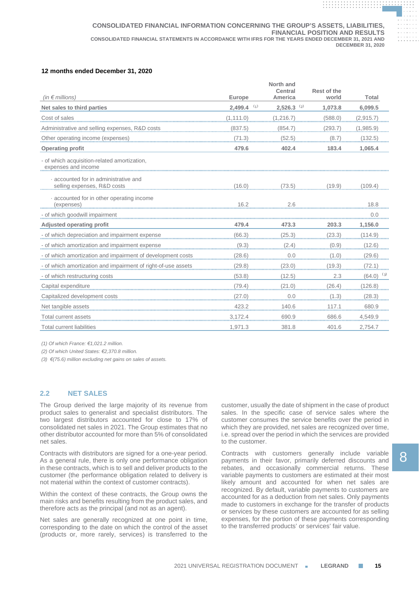# **12 months ended December 31, 2020**

|                                                                     |                          | North and<br><b>Central</b> | Rest of the |                |
|---------------------------------------------------------------------|--------------------------|-----------------------------|-------------|----------------|
| (in $\notin$ millions)                                              | Europe                   | America                     | world       | Total          |
| Net sales to third parties                                          | $2,499.4$ <sup>(1)</sup> | $2,526.3$ <sup>(2)</sup>    | 1,073.8     | 6,099.5        |
| Cost of sales                                                       | (1, 111.0)               | (1,216.7)                   | (588.0)     | (2, 915.7)     |
| Administrative and selling expenses, R&D costs                      | (837.5)                  | (854.7)                     | (293.7)     | (1,985.9)      |
| Other operating income (expenses)                                   | (71.3)                   | (52.5)                      | (8.7)       | (132.5)        |
| <b>Operating profit</b>                                             | 479.6                    | 402.4                       | 183.4       | 1,065.4        |
| - of which acquisition-related amortization,<br>expenses and income |                          |                             |             |                |
| accounted for in administrative and<br>selling expenses, R&D costs  | (16.0)                   | (73.5)                      | (19.9)      | (109.4)        |
| accounted for in other operating income<br>(expenses)               | 16.2                     | 2.6                         |             | 18.8           |
| - of which goodwill impairment                                      |                          |                             |             | 0.0            |
| <b>Adjusted operating profit</b>                                    | 479.4                    | 473.3                       | 203.3       | 1,156.0        |
| - of which depreciation and impairment expense                      | (66.3)                   | (25.3)                      | (23.3)      | (114.9)        |
| - of which amortization and impairment expense                      | (9.3)                    | (2.4)                       | (0.9)       | (12.6)         |
| - of which amortization and impairment of development costs         | (28.6)                   | 0.0                         | (1.0)       | (29.6)         |
| - of which amortization and impairment of right-of-use assets       | (29.8)                   | (23.0)                      | (19.3)      | (72.1)         |
| - of which restructuring costs                                      | (53.8)                   | (12.5)                      | 2.3         | $(64.0)^{(3)}$ |
| Capital expenditure                                                 | (79.4)                   | (21.0)                      | (26.4)      | (126.8)        |
| Capitalized development costs                                       | (27.0)                   | 0.0                         | (1.3)       | (28.3)         |
| Net tangible assets                                                 | 423.2                    | 140.6                       | 117.1       | 680.9          |
| Total current assets                                                | 3.172.4                  | 690.9                       | 686.6       | 4,549.9        |
| <b>Total current liabilities</b>                                    | 1,971.3                  | 381.8                       | 401.6       | 2.754.7        |

*(1) Of which France: €1,021.2 million.*

*(2) Of which United States: €2,370.8 million.*

*(3) €(75.6) million excluding net gains on sales of assets.*

# **2.2 NET SALES**

The Group derived the large majority of its revenue from product sales to generalist and specialist distributors. The two largest distributors accounted for close to 17% of consolidated net sales in 2021. The Group estimates that no other distributor accounted for more than 5% of consolidated net sales.

Contracts with distributors are signed for a one-year period. As a general rule, there is only one performance obligation in these contracts, which is to sell and deliver products to the customer (the performance obligation related to delivery is not material within the context of customer contracts).

Within the context of these contracts, the Group owns the main risks and benefits resulting from the product sales, and therefore acts as the principal (and not as an agent).

Net sales are generally recognized at one point in time, corresponding to the date on which the control of the asset (products or, more rarely, services) is transferred to the

customer, usually the date of shipment in the case of product sales. In the specific case of service sales where the customer consumes the service benefits over the period in which they are provided, net sales are recognized over time, i.e. spread over the period in which the services are provided to the customer.

Contracts with customers generally include variable payments in their favor, primarily deferred discounts and rebates, and occasionally commercial returns. These variable payments to customers are estimated at their most likely amount and accounted for when net sales are recognized. By default, variable payments to customers are accounted for as a deduction from net sales. Only payments made to customers in exchange for the transfer of products or services by these customers are accounted for as selling expenses, for the portion of these payments corresponding to the transferred products' or services' fair value.

**. . . . . . . . . . . . . . . . . . . . . . . . . . . . . . . . . . . . . . . . . . . . . . . . . . . . . . . . . . . . . . . . . . . . . . . . . . . . . . . . . . . . . . . . . . . . .**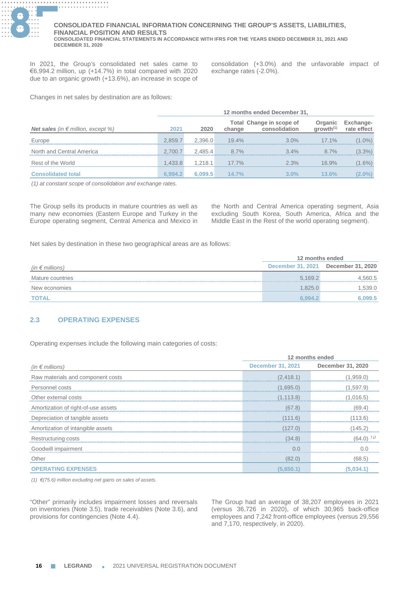

In 2021, the Group's consolidated net sales came to €6,994.2 million, up (+14.7%) in total compared with 2020 due to an organic growth (+13.6%), an increase in scope of

consolidation (+3.0%) and the unfavorable impact of exchange rates (-2.0%).

Changes in net sales by destination are as follows:

|                                                    | 12 months ended December 31, |         |          |                                           |                     |                                 |
|----------------------------------------------------|------------------------------|---------|----------|-------------------------------------------|---------------------|---------------------------------|
| <b>Net sales</b> (in $\epsilon$ million, except %) | 2021                         | 2020    | change   | Total Change in scope of<br>consolidation | Organic<br>arrow(1) | <b>Exchange-</b><br>rate effect |
| Europe                                             | 2.859.7                      | 2.396.0 | $19.4\%$ | $3.0\%$                                   | $17.1\%$            | $(1.0\%)$                       |
| North and Central America                          | 2.700.7                      | 2.485.4 | $8.7\%$  | $3.4\%$                                   | $8.7\%$             | $(3.3\%)$                       |
| Rest of the World                                  | 1.433.8                      | 1.218.1 | $17.7\%$ | 2.3%                                      | 16.9%               | $(1.6\%)$                       |
| <b>Consolidated total</b>                          | 6.994.2                      | 6.099.5 | 14.7%    | $3.0\%$                                   | 13.6%               | $(2.0\%)$                       |

*(1) at constant scope of consolidation and exchange rates.*

The Group sells its products in mature countries as well as many new economies (Eastern Europe and Turkey in the Europe operating segment, Central America and Mexico in the North and Central America operating segment, Asia excluding South Korea, South America, Africa and the Middle East in the Rest of the world operating segment).

Net sales by destination in these two geographical areas are as follows:

|                          | 12 months ended          |                   |  |
|--------------------------|--------------------------|-------------------|--|
| (in $\epsilon$ millions) | <b>December 31, 2021</b> | December 31, 2020 |  |
| Mature countries         | 5.169.2                  | 4.560.5           |  |
| New economies            | 1.825.0                  | 1,539.0           |  |
| <b>TOTAL</b>             | 6.994.2                  | 6.099.5           |  |

# **2.3 OPERATING EXPENSES**

Operating expenses include the following main categories of costs:

|                                   | 12 months ended          |                   |  |
|-----------------------------------|--------------------------|-------------------|--|
| (in $\epsilon$ millions)          | <b>December 31, 2021</b> | December 31, 2020 |  |
| Raw materials and component costs | (2,418.1)                | (1.959.0)         |  |
| Personnel costs                   | (1,695.0)                | (1,597.9)         |  |
| Other external costs              | (1, 113.8)               | (1,016.5)         |  |
|                                   | (67.8)                   |                   |  |
| Depreciation of tangible assets   | (111.6)                  | (113.6)           |  |
| Amortization of intangible assets | (127.0)                  | (145.2)           |  |
| Restructuring costs               | (34.8)                   | $(64.0)^{(1)}$    |  |
| Goodwill impairment               | $\Omega$                 |                   |  |
| Other                             | (82.0)                   | (68.5)            |  |
| <b>OPERATING EXPENSES</b>         | (5.650.1                 | (5.034.1          |  |

*(1) €(75.6) million excluding net gains on sales of assets.*

"Other" primarily includes impairment losses and reversals on inventories (Note 3.5), trade receivables (Note 3.6), and provisions for contingencies (Note 4.4).

The Group had an average of 38,207 employees in 2021 (versus 36,726 in 2020), of which 30,965 back-office employees and 7,242 front-office employees (versus 29,556 and 7,170, respectively, in 2020).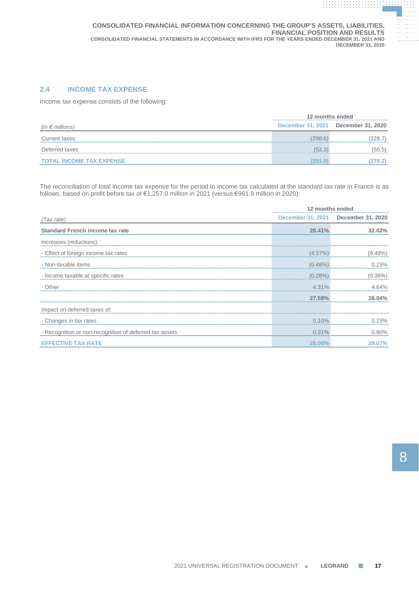# **2.4 INCOME TAX EXPENSE**

Income tax expense consists of the following:

|                                 | 12 months ended          |                   |  |
|---------------------------------|--------------------------|-------------------|--|
| (in $\epsilon$ millions)        | <b>December 31, 2021</b> | December 31, 2020 |  |
| Current taxes                   | (298.6)                  | (228.7)           |  |
| Deferred taxes                  | (53.3)                   | (50.5)            |  |
| <b>TOTAL INCOME TAX EXPENSE</b> | (351.9)                  | (279.2)           |  |

The reconciliation of total income tax expense for the period to income tax calculated at the standard tax rate in France is as follows, based on profit before tax of €1,257.0 million in 2021 (versus €961.9 million in 2020):

|                                                         | 12 months ended |                                     |  |
|---------------------------------------------------------|-----------------|-------------------------------------|--|
| (Tax rate)                                              |                 | December 31, 2021 December 31, 2020 |  |
| <b>Standard French income tax rate</b>                  | 28.41%          | 32.02%                              |  |
| Increases (reductions):                                 |                 |                                     |  |
| - Effect of foreign income tax rates                    | (4.37%)         | (8.49%)                             |  |
| - Non-taxable items                                     | (0.48%)         | 0.23%                               |  |
| - Income taxable at specific rates                      | (0.28%)         | (0.36%)                             |  |
| - Other                                                 | 4.31%           | 4.64%                               |  |
|                                                         | 27.59%          | 28 በ4%                              |  |
| Impact on deferred taxes of:                            |                 |                                     |  |
| - Changes in tax rates                                  | 0.10%           | 0.23%                               |  |
| - Recognition or non-recognition of deferred tax assets | 0.31%           | 0.80%                               |  |
| <b>EFFECTIVE TAX RATE</b>                               | 28.00%          | 29.07%                              |  |

**. . . . . . . . . . . . . . . . . . . . . . . . . . . . . . . . . . . . . . .**

**. . . . . . . . . . . . . . . . . . . . . . . . . . . . . . . . . . . . . . . . . . . . . . . . . . . . . . . . . . . . . .**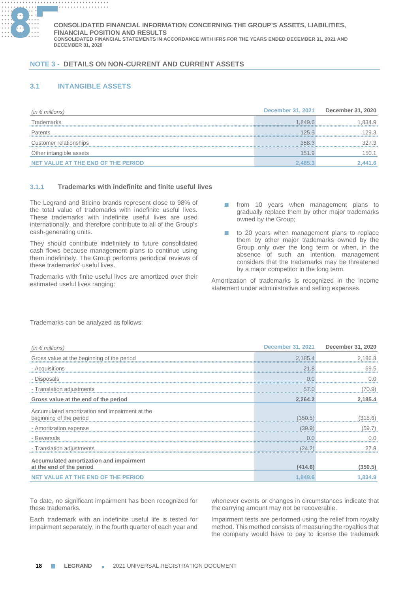

# **NOTE 3 - DETAILS ON NON-CURRENT AND CURRENT ASSETS**

# **3.1 INTANGIBLE ASSETS**

| (in $\epsilon$ millions)           | <b>December 31, 2021</b> | December 31, 2020 |
|------------------------------------|--------------------------|-------------------|
| Frademarks                         | 1.849.6                  | .834.9            |
| Patents                            | 125.5                    | 29.3              |
| Customer relationships             | 358.3                    | 327.3             |
| Other intangible assets            | 151.9                    | 150.1             |
| NET VALUE AT THE END OF THE PERIOD | 2.485.3                  | .441.6            |

# **3.1.1 Trademarks with indefinite and finite useful lives**

The Legrand and Bticino brands represent close to 98% of the total value of trademarks with indefinite useful lives. These trademarks with indefinite useful lives are used internationally, and therefore contribute to all of the Group's cash-generating units.

They should contribute indefinitely to future consolidated cash flows because management plans to continue using them indefinitely. The Group performs periodical reviews of these trademarks' useful lives.

Trademarks with finite useful lives are amortized over their estimated useful lives ranging:

- from 10 years when management plans to gradually replace them by other major trademarks owned by the Group;
- to 20 years when management plans to replace them by other major trademarks owned by the Group only over the long term or when, in the absence of such an intention, management considers that the trademarks may be threatened by a major competitor in the long term.

Amortization of trademarks is recognized in the income statement under administrative and selling expenses.

| (in $\epsilon$ millions)                                                  | <b>December 31, 2021</b> | December 31, 2020 |
|---------------------------------------------------------------------------|--------------------------|-------------------|
| Gross value at the beginning of the period                                | 2,185.4                  | 2.186.8           |
| - Acquisitions                                                            | 21.8                     | 69.5              |
| - Disposals                                                               |                          | n n               |
| - Translation adjustments                                                 | 57.0                     | 70.9)             |
| Gross value at the end of the period                                      | 2,264.2                  | 2,185.4           |
| Accumulated amortization and impairment at the<br>beginning of the period | (350.5)                  | (318.6)           |
| - Amortization expense                                                    | (39.9)                   |                   |
| - Reversals                                                               |                          |                   |
| - Translation adjustments                                                 | (24.2)                   | 27 R              |
| Accumulated amortization and impairment<br>at the end of the period       | (414.6)                  | (350.5)           |
| NET VALUE AT THE END OF THE PERIOD                                        | 1.849.6                  | 1.834.9           |

Trademarks can be analyzed as follows:

To date, no significant impairment has been recognized for these trademarks.

Each trademark with an indefinite useful life is tested for impairment separately, in the fourth quarter of each year and

whenever events or changes in circumstances indicate that the carrying amount may not be recoverable.

Impairment tests are performed using the relief from royalty method. This method consists of measuring the royalties that the company would have to pay to license the trademark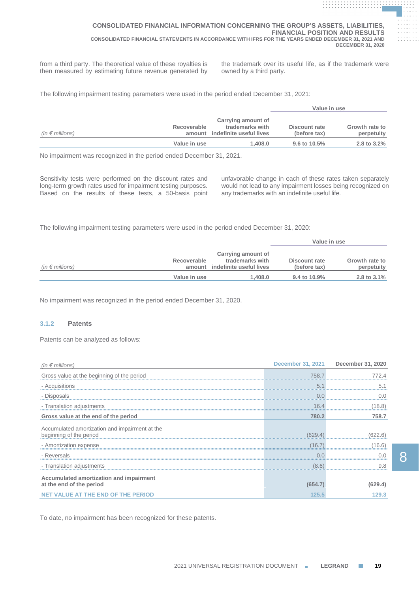from a third party. The theoretical value of these royalties is the trademark over its useful life, as if the trademark were then measured by estimating future revenue generated by owned by a third party.

**. . . . . . . . . . . . . . . . . . . . . . . . . . . . . . . . . . . . . . . . . . . . . . . . . . . . . . . . . . . . . . . . . . . . . . . . . . . . . . . . . . . . . . . . . . . . .**

**. . . . . . . . . . . . . . . . . . . . . . . . . . . . . . . . . . . . . . . . . . . . . . . . . . . . . . . . . . . . . . . .**

The following impairment testing parameters were used in the period ended December 31, 2021:

|                          |              |                                                                                                          | Value in use    |                              |
|--------------------------|--------------|----------------------------------------------------------------------------------------------------------|-----------------|------------------------------|
| (in $\epsilon$ millions) | Recoverable  | Carrying amount of<br>trademarks with<br>Discount rate<br>amount indefinite useful lives<br>(before tax) |                 | Growth rate to<br>perpetuity |
|                          | Value in use | 1.408.0                                                                                                  | 9.6 to $10.5\%$ | 2.8 to $3.2\%$               |

No impairment was recognized in the period ended December 31, 2021.

Sensitivity tests were performed on the discount rates and long-term growth rates used for impairment testing purposes. Based on the results of these tests, a 50-basis point

unfavorable change in each of these rates taken separately would not lead to any impairment losses being recognized on any trademarks with an indefinite useful life.

**Value in use**

The following impairment testing parameters were used in the period ended December 31, 2020:

|                          |                       |                                                                  | value in use                  |                              |
|--------------------------|-----------------------|------------------------------------------------------------------|-------------------------------|------------------------------|
| (in $\epsilon$ millions) | Recoverable<br>amount | Carrying amount of<br>trademarks with<br>indefinite useful lives | Discount rate<br>(before tax) | Growth rate to<br>perpetuity |
|                          | Value in use          | 1.408.0                                                          | $9.4$ to $10.9\%$             | 2.8 to $3.1\%$               |

No impairment was recognized in the period ended December 31, 2020.

# **3.1.2 Patents**

Patents can be analyzed as follows:

| (in $\epsilon$ millions)                                                  |         | December 31, 2021 December 31, 2020 |
|---------------------------------------------------------------------------|---------|-------------------------------------|
| Gross value at the beginning of the period                                | 758.7   |                                     |
| - Acquisitions                                                            | 5       |                                     |
| - Disposals                                                               |         |                                     |
| - Translation adjustments                                                 | 16.4    | 8.8)                                |
| Gross value at the end of the period                                      | 780.2   | 758.7                               |
| Accumulated amortization and impairment at the<br>beginning of the period | 629.4   |                                     |
| - Amortization expense                                                    | (16.7)  | (16.6)                              |
| - Reversals                                                               |         |                                     |
| - Translation adjustments                                                 | (8.6)   |                                     |
| Accumulated amortization and impairment<br>at the end of the period       | (654.7) | (629.4)                             |
| <b>NET VALUE AT THE END OF THE PERIOD</b>                                 | 125.5   |                                     |

To date, no impairment has been recognized for these patents.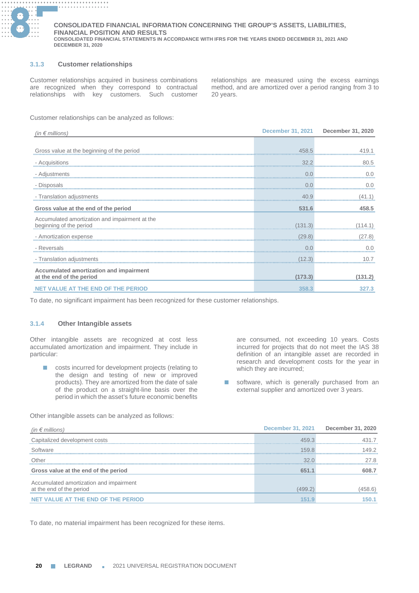

### **3.1.3 Customer relationships**

Customer relationships acquired in business combinations are recognized when they correspond to contractual relationships with key customers. Such customer

relationships are measured using the excess earnings method, and are amortized over a period ranging from 3 to 20 years.

Customer relationships can be analyzed as follows:

| (in $\epsilon$ millions)                                                  |         | December 31, 2021 December 31, 2020 |
|---------------------------------------------------------------------------|---------|-------------------------------------|
|                                                                           |         |                                     |
| Gross value at the beginning of the period                                | 458.5   |                                     |
| - Acquisitions                                                            | 32.2    |                                     |
| - Adjustments                                                             | 0.0     |                                     |
| - Disposals                                                               |         |                                     |
| - Translation adjustments                                                 | 40.9    |                                     |
| Gross value at the end of the period                                      | 531.6   | 458.5                               |
| Accumulated amortization and impairment at the<br>beginning of the period | 131.3   |                                     |
| - Amortization expense                                                    | (29.8)  | 27.8)                               |
| - Reversals                                                               |         |                                     |
| - Translation adjustments                                                 | (12.3)  |                                     |
| Accumulated amortization and impairment<br>at the end of the period       | (173.3) | (131.2)                             |
| <b>NET VALUE AT THE END OF THE PERIOD</b>                                 | 358.3   | 327.3                               |

To date, no significant impairment has been recognized for these customer relationships.

### **3.1.4 Other Intangible assets**

Other intangible assets are recognized at cost less accumulated amortization and impairment. They include in particular:

■ costs incurred for development projects (relating to the design and testing of new or improved products). They are amortized from the date of sale of the product on a straight-line basis over the period in which the asset's future economic benefits

Other intangible assets can be analyzed as follows:

are consumed, not exceeding 10 years. Costs incurred for projects that do not meet the IAS 38 definition of an intangible asset are recorded in research and development costs for the year in which they are incurred;

■ software, which is generally purchased from an external supplier and amortized over 3 years.

| (in $\epsilon$ millions)                                            | <b>December 31, 2021</b> | December 31, 2020 |
|---------------------------------------------------------------------|--------------------------|-------------------|
| Capitalized development costs                                       | 459.3                    |                   |
| Software                                                            | 1598                     | 1492              |
| Other                                                               | 320                      | 27 R              |
| Gross value at the end of the period                                | 651.1                    | 608.7             |
| Accumulated amortization and impairment<br>at the end of the period | (499.2                   | (458.6)           |
| NET VALUE AT THE END OF THE PERIOD                                  | 151.9                    | 150.1             |

To date, no material impairment has been recognized for these items.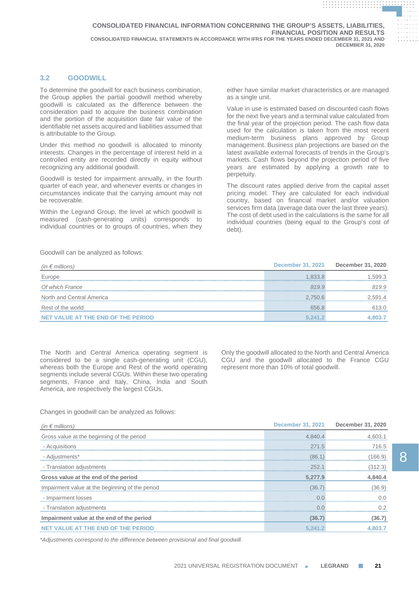# **3.2 GOODWILL**

To determine the goodwill for each business combination, the Group applies the partial goodwill method whereby goodwill is calculated as the difference between the consideration paid to acquire the business combination and the portion of the acquisition date fair value of the identifiable net assets acquired and liabilities assumed that is attributable to the Group.

Under this method no goodwill is allocated to minority interests. Changes in the percentage of interest held in a controlled entity are recorded directly in equity without recognizing any additional goodwill.

Goodwill is tested for impairment annually, in the fourth quarter of each year, and whenever events or changes in circumstances indicate that the carrying amount may not be recoverable.

Within the Legrand Group, the level at which goodwill is measured (cash-generating units) corresponds to individual countries or to groups of countries, when they either have similar market characteristics or are managed as a single unit.

**. . . . . . . . . . . . . . . . . . . . . . . . . . . . . . . . . . . . . . . . . . . . . . . . . . . . . . . . . . . . . . . . . . . . . . . . . . . . . . . . . . . . . . . . . . . . .**

**. . . . . . . . . . . . . . . . . . . . . . . . . . . . . . . . . . . . . . . . . . . . . . . . . . . . . . . . . . . . . . . .**

Value in use is estimated based on discounted cash flows for the next five years and a terminal value calculated from the final year of the projection period. The cash flow data used for the calculation is taken from the most recent medium-term business plans approved by Group management. Business plan projections are based on the latest available external forecasts of trends in the Group's markets. Cash flows beyond the projection period of five years are estimated by applying a growth rate to perpetuity.

The discount rates applied derive from the capital asset pricing model. They are calculated for each individual country, based on financial market and/or valuation services firm data (average data over the last three years). The cost of debt used in the calculations is the same for all individual countries (being equal to the Group's cost of debt).

Goodwill can be analyzed as follows:

| (in $\epsilon$ millions)           | <b>December 31, 2021</b> | December 31, 2020 |
|------------------------------------|--------------------------|-------------------|
| Europe                             | 1.833.8                  | .599.3            |
| Of which France                    | 8199                     | 8199              |
| North and Central America          | 2.750.6                  | 2.591.4           |
| Rest of the world                  | 656.8                    | 613.0             |
| NET VALUE AT THE END OF THE PERIOD | 5.241.2                  |                   |

The North and Central America operating segment is considered to be a single cash-generating unit (CGU), whereas both the Europe and Rest of the world operating segments include several CGUs. Within these two operating segments, France and Italy, China, India and South America, are respectively the largest CGUs.

Only the goodwill allocated to the North and Central America CGU and the goodwill allocated to the France CGU represent more than 10% of total goodwill.

Changes in goodwill can be analyzed as follows:

| (in $\epsilon$ millions)                        |               | December 31, 2021 December 31, 2020 |
|-------------------------------------------------|---------------|-------------------------------------|
| Gross value at the beginning of the period      | 4,840.4       | 4.603.1                             |
| - Acquisitions                                  | 271.5         | 716.5                               |
| - Adjustments*                                  | (86.1)        | 166.9                               |
| - Translation adjustments                       | 252.          | (312.3)                             |
| Gross value at the end of the period            | 5,277.9       | 4,840.4                             |
| Impairment value at the beginning of the period | (36.7         | (36.9)                              |
| - Impairment losses                             | $\cap$ $\cap$ |                                     |
| - Translation adjustments                       | $\cap$ $\cap$ |                                     |
| Impairment value at the end of the period       | (36.7)        | (36.7)                              |
| NET VALUE AT THE END OF THE PERIOD              | 5.241.2       |                                     |

*\*Adjustments correspond to the difference between provisional and final goodwill.*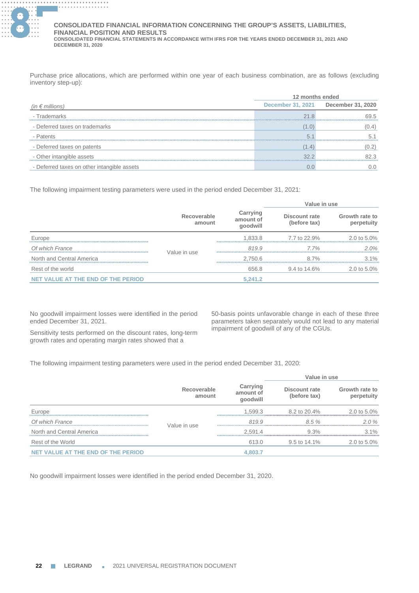

Purchase price allocations, which are performed within one year of each business combination, are as follows (excluding inventory step-up):

|                                             | 12 months ended |                                     |
|---------------------------------------------|-----------------|-------------------------------------|
| (in $\epsilon$ millions)                    |                 | December 31, 2021 December 31, 2020 |
| - Trademarks                                | 218             | 69.5                                |
| - Deferred taxes on trademarks              | (1.0)           | (0.4)                               |
| - Patents                                   | 5.              |                                     |
| - Deferred taxes on patents                 | (1.4)           |                                     |
| - Other intangible assets                   | 32.2            | 82.3                                |
| - Deferred taxes on other intangible assets |                 |                                     |

The following impairment testing parameters were used in the period ended December 31, 2021:

|                                    |                       |                                   | Value in use                  |                              |
|------------------------------------|-----------------------|-----------------------------------|-------------------------------|------------------------------|
|                                    | Recoverable<br>amount | Carrying<br>amount of<br>goodwill | Discount rate<br>(before tax) | Growth rate to<br>perpetuity |
| Europe                             |                       | 1.833.8                           | 7.7 to 22.9%                  | 2.0 to $5.0\%$               |
| Of which France                    | Value in use          | 8199                              | 7.7%                          | 20%                          |
| North and Central America          |                       | 2.750.6                           | 87%                           | $3.1\%$                      |
| Rest of the world                  |                       | 656.8                             | 9.4 to 14.6%                  | 2.0 to 5.0%                  |
| NET VALUE AT THE END OF THE PERIOD |                       | 5,241.2                           |                               |                              |

No goodwill impairment losses were identified in the period ended December 31, 2021.

50-basis points unfavorable change in each of these three parameters taken separately would not lead to any material impairment of goodwill of any of the CGUs.

Sensitivity tests performed on the discount rates, long-term growth rates and operating margin rates showed that a

The following impairment testing parameters were used in the period ended December 31, 2020:

|                                    |                       |                                   | Value in use                  |                              |
|------------------------------------|-----------------------|-----------------------------------|-------------------------------|------------------------------|
|                                    | Recoverable<br>amount | Carrying<br>amount of<br>goodwill | Discount rate<br>(before tax) | Growth rate to<br>perpetuity |
| Europe                             |                       | 1.599.3                           | 8.2 to 20.4%                  | $2.0 \text{ to } 5.0\%$      |
| Of which France                    | Value in use          | 819.9                             | 8.5%                          | $20\%$                       |
| North and Central America          |                       | 2.591.4                           | $9.3\%$                       | $3.1\%$                      |
| Rest of the World                  |                       | 613.0                             | $9.5$ to $14.1\%$             | 2.0 to 5.0%                  |
| NET VALUE AT THE END OF THE PERIOD |                       | 4,803.7                           |                               |                              |

No goodwill impairment losses were identified in the period ended December 31, 2020.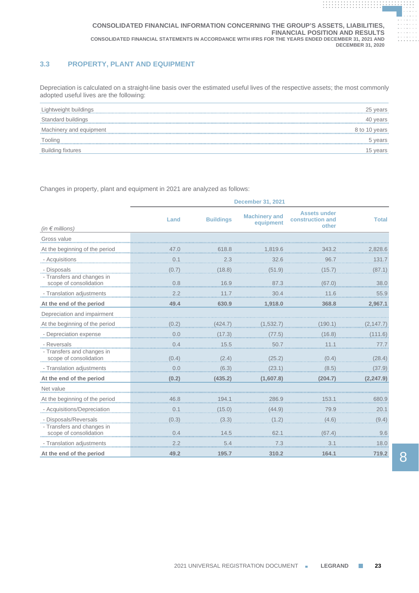# **3.3 PROPERTY, PLANT AND EQUIPMENT**

Depreciation is calculated on a straight-line basis over the estimated useful lives of the respective assets; the most commonly adopted useful lives are the following:

| Lightweight buildings    | 25 years      |
|--------------------------|---------------|
| Standard buildings       | 40 years      |
| Machinery and equipment  | 8 to 10 years |
| Tooling                  | 5 years       |
| <b>Building fixtures</b> | 15 vears      |
|                          |               |

Changes in property, plant and equipment in 2021 are analyzed as follows:

|                                                      | <b>December 31, 2021</b> |                  |                                   |                                                  |              |  |  |  |
|------------------------------------------------------|--------------------------|------------------|-----------------------------------|--------------------------------------------------|--------------|--|--|--|
| (in $\notin$ millions)                               | Land                     | <b>Buildings</b> | <b>Machinery and</b><br>equipment | <b>Assets under</b><br>construction and<br>other | <b>Total</b> |  |  |  |
| Gross value                                          |                          |                  |                                   |                                                  |              |  |  |  |
|                                                      |                          | 618.8            |                                   | 343.2                                            |              |  |  |  |
| At the beginning of the period                       | 47.0                     |                  | 1.819.6                           |                                                  | 2,828.6      |  |  |  |
| - Acquisitions                                       |                          | 2.3              | 32.6                              | 96.7                                             | 131.7        |  |  |  |
| - Disposals                                          | (0.7)                    | (18.8)           | (51.9)                            | (15.7)                                           | (87.1)       |  |  |  |
| - Transfers and changes in<br>scope of consolidation | 0.8                      | 16.9             | 87.3                              | (67.0)                                           | 38.0         |  |  |  |
| - Translation adjustments                            | $2.2$                    | 11.7             | 30.4                              | 11.6                                             | 55.9         |  |  |  |
| At the end of the period                             | 49.4                     | 630.9            | 1,918.0                           | 368.8                                            | 2,967.1      |  |  |  |
| Depreciation and impairment                          |                          |                  |                                   |                                                  |              |  |  |  |
| At the beginning of the period                       | (0.2)                    | 424.7            | 1,532.7                           | 190.1                                            | (2,147.7     |  |  |  |
| - Depreciation expense                               | 0.0                      | (17.3)           | (77.5)                            | (16.8)                                           | (111.6)      |  |  |  |
| - Reversals                                          | 0.4                      | 15.5             | 50.7                              | 11.1                                             | 77.7         |  |  |  |
| - Transfers and changes in<br>scope of consolidation | (0.4)                    | (2.4)            | (25.2)                            | (0.4)                                            | (28.4)       |  |  |  |
| - Translation adjustments                            | 0.0                      | (6.3)            | (23.1)                            | (8.5)                                            | (37.9)       |  |  |  |
| At the end of the period                             | (0.2)                    | (435.2)          | (1,607.8)                         | (204.7)                                          | (2, 247.9)   |  |  |  |
| Net value                                            |                          |                  |                                   |                                                  |              |  |  |  |
| At the beginning of the period                       | 46.8                     | 194.1            | 286.9                             | 153.1                                            | 680.9        |  |  |  |
| - Acquisitions/Depreciation                          | 0.1                      | (15.0)           | (44.9)                            | 79.9                                             | 20.1         |  |  |  |
| - Disposals/Reversals                                | (0.3)                    | (3.3)            | (1.2)                             | (4.6)                                            | (9.4)        |  |  |  |
| - Transfers and changes in<br>scope of consolidation | 0.4                      | 14.5             | 62.1                              | (67.4)                                           | 9.6          |  |  |  |
| - Translation adjustments                            |                          |                  |                                   | 3.                                               | 18.0         |  |  |  |
| At the end of the period                             | 49.2                     | 195.7            | 310.2                             | 164.1                                            | 719.2        |  |  |  |

**. . . . . . . . . . . . . . . . . . . . . . . . . . . . . . . . . . . . . . .**

**. . . . . . . . . . . . . . . . . . . . . . . . . . . . . . . . . . . . . . . . . . . . . . . . . . . . . . . . . . . . . .**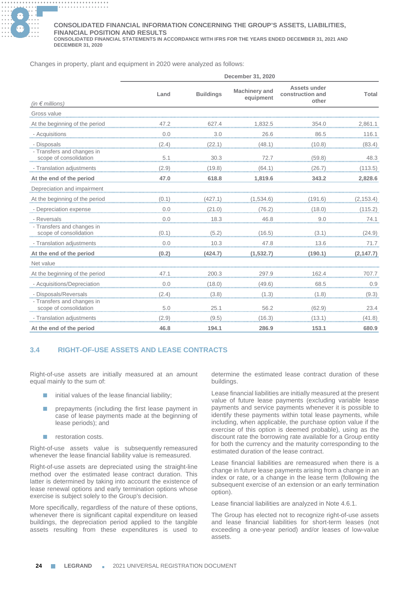

#### **............. . ............. . ............. . ............. . CONSOLIDATED FINANCIAL INFORMATION CONCERNING THE GROUP'S ASSETS, LIABILITIES, FINANCIAL POSITION AND RESULTS**

**CONSOLIDATED FINANCIAL STATEMENTS IN ACCORDANCE WITH IFRS FOR THE YEARS ENDED DECEMBER 31, 2021 AND DECEMBER 31, 2020**

Changes in property, plant and equipment in 2020 were analyzed as follows:

|                                                      |       |                  | December 31, 2020                 |                                           |                |
|------------------------------------------------------|-------|------------------|-----------------------------------|-------------------------------------------|----------------|
| (in $\notin$ millions)                               | Land  | <b>Buildings</b> | <b>Machinery and</b><br>equipment | Assets under<br>construction and<br>other | Total          |
| Gross value                                          |       |                  |                                   |                                           |                |
| At the beginning of the period                       | 47.2  | 627.4            | <u>1,832.5</u>                    | 354.0                                     | <u>2,861.1</u> |
| - Acquisitions                                       | 0.0   | .3.0             | 26.6                              | 86.5                                      | 116.1          |
| - Disposals                                          | (2.4) | (22.1)           | (48.1)                            | (10.8)                                    | (83.4)         |
| - Transfers and changes in<br>scope of consolidation | 5.1   | 30.3             | 72.7                              | (59.8)                                    | 48.3           |
| - Translation adjustments                            | (2.9) | (19.8)           | (64.1)                            | (26.7)                                    | (113.5)        |
| At the end of the period                             | 47.0  | 618.8            | 1,819.6                           | 343.2                                     | 2,828.6        |
| Depreciation and impairment                          |       |                  |                                   |                                           |                |
| At the beginning of the period                       | (0.1) | 427.11           | 1,534.6)                          | 191.61                                    | (2, 153.4)     |
| - Depreciation expense                               | 0.0   | (21.0)           | (76.2)                            | (18.0)                                    | (115.2)        |
| - Reversals                                          | 0.0   | 18.3             | 46.8                              | 9.0                                       | 74.1           |
| - Transfers and changes in<br>scope of consolidation | (0.1) | (5.2)            | (16.5)                            | (3.1)                                     | (24.9)         |
| - Translation adjustments                            | 0.0   | 10.3             | 47.8                              | 13.6                                      | 71.7           |
| At the end of the period                             | (0.2) | (424.7)          | (1,532.7)                         | (190.1)                                   | (2, 147.7)     |
| Net value                                            |       |                  |                                   |                                           |                |
| At the beginning of the period                       | 47.1  | 200.3            | 297.9                             | 162.4                                     | 707.7          |
| - Acquisitions/Depreciation                          | 0.0   | (18.0)           | (49.6)                            | 68.5                                      | 0.9            |
| - Disposals/Reversals<br>- Transfers and changes in  | (2.4) | (3.8)            | (1.3)                             | (1.8)                                     | (9.3)          |
| scope of consolidation                               |       | 25.1             | 56.2                              | (62.9)                                    | 23.4           |
| - Translation adjustments                            | (2.9) | (9.5)            | (16.3)                            | (13.1)                                    | (41.8)         |
| At the end of the period                             | 46.8  | 194.1            | 286.9                             | 153.1                                     | 680.9          |

# **3.4 RIGHT-OF-USE ASSETS AND LEASE CONTRACTS**

Right-of-use assets are initially measured at an amount equal mainly to the sum of:

- $\blacksquare$  initial values of the lease financial liability;
- prepayments (including the first lease payment in case of lease payments made at the beginning of lease periods); and
- restoration costs.

Right-of-use assets value is subsequently remeasured whenever the lease financial liability value is remeasured.

Right-of-use assets are depreciated using the straight-line method over the estimated lease contract duration. This latter is determined by taking into account the existence of lease renewal options and early termination options whose exercise is subject solely to the Group's decision.

More specifically, regardless of the nature of these options, whenever there is significant capital expenditure on leased buildings, the depreciation period applied to the tangible assets resulting from these expenditures is used to determine the estimated lease contract duration of these buildings.

Lease financial liabilities are initially measured at the present value of future lease payments (excluding variable lease payments and service payments whenever it is possible to identify these payments within total lease payments, while including, when applicable, the purchase option value if the exercise of this option is deemed probable), using as the discount rate the borrowing rate available for a Group entity for both the currency and the maturity corresponding to the estimated duration of the lease contract.

Lease financial liabilities are remeasured when there is a change in future lease payments arising from a change in an index or rate, or a change in the lease term (following the subsequent exercise of an extension or an early termination option).

Lease financial liabilities are analyzed in Note 4.6.1.

The Group has elected not to recognize right-of-use assets and lease financial liabilities for short-term leases (not exceeding a one-year period) and/or leases of low-value assets.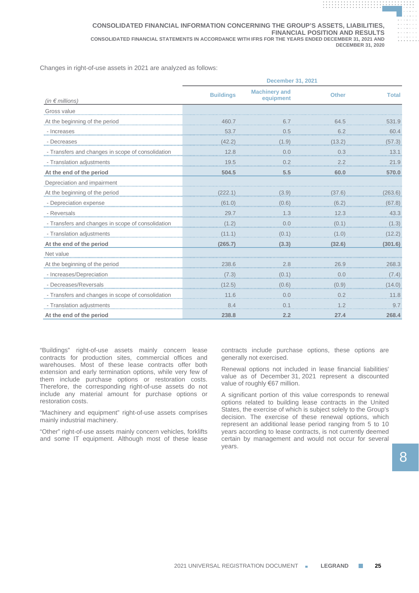Changes in right-of-use assets in 2021 are analyzed as follows:

|                                                   | <b>December 31, 2021</b> |                                   |              |              |  |  |
|---------------------------------------------------|--------------------------|-----------------------------------|--------------|--------------|--|--|
| (in $\notin$ millions)                            | <b>Buildings</b>         | <b>Machinery and</b><br>equipment | <b>Other</b> | <b>Total</b> |  |  |
| Gross value                                       |                          |                                   |              |              |  |  |
| At the beginning of the period                    |                          |                                   | 64.5         | 531.9        |  |  |
| - Increases                                       | 53.7                     | 0.5                               | 6.2          | 60.4         |  |  |
| - Decreases                                       | (42.2)                   | 1.9)                              | 13.2)        | (57.3)       |  |  |
| - Transfers and changes in scope of consolidation | 12.8                     | 0.0                               | 0.3          | 13.1         |  |  |
| - Translation adjustments                         | 19.5                     | 0.2                               | 2.2          | 21.9         |  |  |
| At the end of the period                          | 504.5                    | 5.5                               | 60.0         | 570.0        |  |  |
| Depreciation and impairment                       |                          |                                   |              |              |  |  |
| At the beginning of the period                    | <u>(222.1)</u>           | (3.9)                             | (37.6)       | (263.6)      |  |  |
| - Depreciation expense                            | (61.0)                   | (0.6)                             | (6.2)        | (67.8)       |  |  |
| - Reversals                                       |                          |                                   | 12.3         | 43.3         |  |  |
| - Transfers and changes in scope of consolidation | (1.2)                    | 0.0                               | (0.1)        | (1.3)        |  |  |
| - Translation adjustments                         | (11.1)                   | (0.1)                             | (1.0)        | 12.2)        |  |  |
| At the end of the period                          | (265.7)                  | (3.3)                             | (32.6)       | (301.6)      |  |  |
| Net value                                         |                          |                                   |              |              |  |  |
| At the beginning of the period                    | 238.6                    | <u>.2.8</u>                       | 26.9         | 268.3        |  |  |
| - Increases/Depreciation                          | (7.3)                    | 0.1                               | 0.0          | (7.4)        |  |  |
| - Decreases/Reversals                             | (12.5)                   | (0.6)                             | (0.9)        | (14.0)       |  |  |
| - Transfers and changes in scope of consolidation | 11.6                     | 0.0                               | 0.2          | 11.8         |  |  |
| - Translation adjustments                         | 8.4                      | 0 <sub>1</sub>                    | 1.2          | 9.7          |  |  |
| At the end of the period                          | 238.8                    | 2.2                               | 27.4         | 268.4        |  |  |

"Buildings" right-of-use assets mainly concern lease contracts for production sites, commercial offices and warehouses. Most of these lease contracts offer both extension and early termination options, while very few of them include purchase options or restoration costs. Therefore, the corresponding right-of-use assets do not include any material amount for purchase options or restoration costs.

"Machinery and equipment" right-of-use assets comprises mainly industrial machinery.

"Other" right-of-use assets mainly concern vehicles, forklifts and some IT equipment. Although most of these lease

contracts include purchase options, these options are generally not exercised.

Renewal options not included in lease financial liabilities' value as of December 31, 2021 represent a discounted value of roughly €67 million.

A significant portion of this value corresponds to renewal options related to building lease contracts in the United States, the exercise of which is subject solely to the Group's decision. The exercise of these renewal options, which represent an additional lease period ranging from 5 to 10 years according to lease contracts, is not currently deemed certain by management and would not occur for several years.

**. . . . . . . . . . . . . . . . . . . . . . . . . . . . . . . . . . . . . . .**

**. . . . . . . . . . . . . . . . . . . . . . . . . . . . . . . . . . . . . . . . . . . . . . . . . . . . . . . . . . . . . .**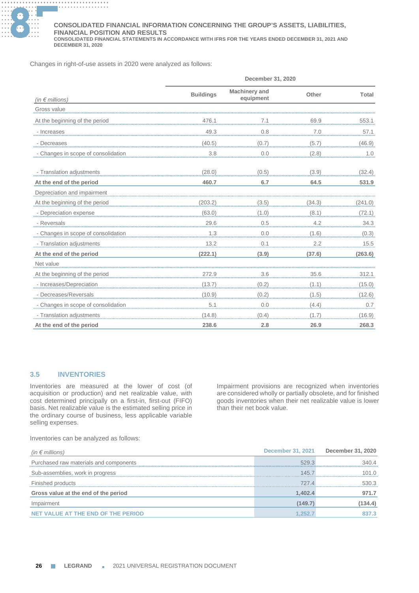

#### **............. . ............. . ............. . ............. . CONSOLIDATED FINANCIAL INFORMATION CONCERNING THE GROUP'S ASSETS, LIABILITIES, FINANCIAL POSITION AND RESULTS**

**CONSOLIDATED FINANCIAL STATEMENTS IN ACCORDANCE WITH IFRS FOR THE YEARS ENDED DECEMBER 31, 2021 AND DECEMBER 31, 2020**

Changes in right-of-use assets in 2020 were analyzed as follows:

|                                     | December 31, 2020 |                                   |        |              |  |
|-------------------------------------|-------------------|-----------------------------------|--------|--------------|--|
| (in $\notin$ millions)              | <b>Buildings</b>  | <b>Machinery and</b><br>equipment | Other  | <b>Total</b> |  |
| Gross value                         |                   |                                   |        |              |  |
| At the beginning of the period      | 476.1             | 7.1                               | 69.9   | 553.1        |  |
| - Increases                         | 49.3              | 0.8                               | 7.0    | 57.1         |  |
| Decreases                           | (40.5)            | (0.7)                             | (5.7)  | (46.9)       |  |
| - Changes in scope of consolidation | 3.8               | 0.0                               | (2.8)  | 1.0          |  |
| - Translation adjustments           | (28.0)            | (0.5)                             | (3.9)  | (32.4)       |  |
| At the end of the period            | 460.7             | 6.7                               | 64.5   | 531.9        |  |
| Depreciation and impairment         |                   |                                   |        |              |  |
| At the beginning of the period      | (203.2)           | (3.5)                             | (34.3) | (241.0)      |  |
| - Depreciation expense              | (63.0)            | (1.0)                             | (8.1)  | (72.1)       |  |
| - Reversals                         |                   | 0.5                               | 4.2    | 34.3         |  |
| - Changes in scope of consolidation | 1.3               | 0.0                               | (1.6)  | (0.3)        |  |
| - Translation adjustments           |                   | 0.1                               | 2.2    | 15.5         |  |
| At the end of the period            | (222.1)           | (3.9)                             | (37.6) | (263.6)      |  |
| Net value                           |                   |                                   |        |              |  |
| At the beginning of the period      | 272.9             | 3.6                               | 35.6   | 312.1        |  |
| - Increases/Depreciation            | (13.7)            | (0.2)                             | (1.1)  | (15.0)       |  |
| - Decreases/Reversals               | (10.9)            | (0.2)                             | (1.5)  | (12.6)       |  |
| - Changes in scope of consolidation |                   | 0.0<br>.                          | (4.4)  | 0.7          |  |
| - Translation adjustments           | (14.8)            | (0.4)                             | 1.7    | (16.9)       |  |
| At the end of the period            | 238.6             | 2.8                               | 26.9   | 268.3        |  |

# **3.5 INVENTORIES**

Inventories are measured at the lower of cost (of acquisition or production) and net realizable value, with cost determined principally on a first-in, first-out (FIFO) basis. Net realizable value is the estimated selling price in the ordinary course of business, less applicable variable selling expenses.

Impairment provisions are recognized when inventories are considered wholly or partially obsolete, and for finished goods inventories when their net realizable value is lower than their net book value.

Inventories can be analyzed as follows:

| (in $\epsilon$ millions)               | <b>December 31, 2021</b> | <b>December 31, 2020</b> |
|----------------------------------------|--------------------------|--------------------------|
| Purchased raw materials and components | 529.3                    | 340.4                    |
| Sub-assemblies, work in progress       | 145.7                    | 101 O                    |
| Finished products                      | 727.4                    | 530.3                    |
| Gross value at the end of the period   | 1.402.4                  | 971.7                    |
| Impairment                             | (149.7)                  | (134.4)                  |
| NET VALUE AT THE END OF THE PERIOD     | 1.252.7                  | 837.3                    |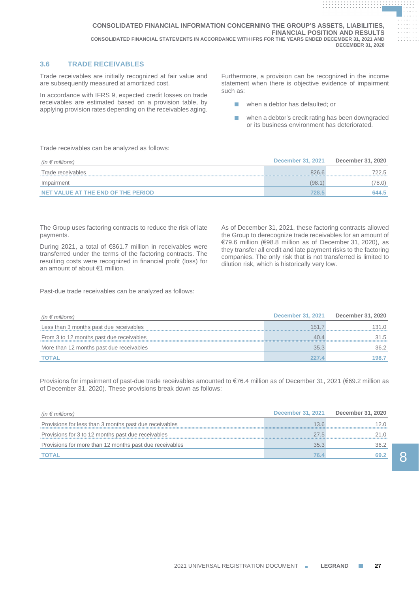# **3.6 TRADE RECEIVABLES**

Trade receivables are initially recognized at fair value and are subsequently measured at amortized cost.

In accordance with IFRS 9, expected credit losses on trade receivables are estimated based on a provision table, by applying provision rates depending on the receivables aging.

Furthermore, a provision can be recognized in the income statement when there is objective evidence of impairment such as:

**. . . . . . . . . . . . . . . . . . . . . . . . . . . . . . . . . . . . . . . . . . . . . . . . . . . . . . . . . . . . . . . . . . . . . . . . . . . . . . . . . . . . . . . . . . . . .**

**. . . . . . . . . . . . . . . . . . . . . . . . . . . . . . . . . . . . . . . . . . . . . . . . . . . . . . . . . . . . . . . .**

- when a debtor has defaulted; or
- when a debtor's credit rating has been downgraded or its business environment has deteriorated.

Trade receivables can be analyzed as follows:

| (in $\epsilon$ millions)           | December 31, 2021 | December 31, 2020 |
|------------------------------------|-------------------|-------------------|
| Trade receivables                  | 826.6             | 722.5             |
| Impairment                         | (98.1             | 78.0)             |
| NET VALUE AT THE END OF THE PERIOD | 28.5              | 644.5             |

The Group uses factoring contracts to reduce the risk of late payments.

During 2021, a total of €861.7 million in receivables were transferred under the terms of the factoring contracts. The resulting costs were recognized in financial profit (loss) for an amount of about €1 million.

As of December 31, 2021, these factoring contracts allowed the Group to derecognize trade receivables for an amount of €79.6 million (€98.8 million as of December 31, 2020), as they transfer all credit and late payment risks to the factoring companies. The only risk that is not transferred is limited to dilution risk, which is historically very low.

Past-due trade receivables can be analyzed as follows:

| (in $\epsilon$ millions)                 | <b>December 31, 2021</b> | December 31, 2020 |
|------------------------------------------|--------------------------|-------------------|
| Less than 3 months past due receivables  | 1517                     | 31 O              |
| From 3 to 12 months past due receivables | 40.4                     | 31.5              |
| More than 12 months past due receivables | 35.3                     | 36 2              |
| <b>TOTAL</b>                             |                          | 198.7             |

Provisions for impairment of past-due trade receivables amounted to €76.4 million as of December 31, 2021 (€69.2 million as of December 31, 2020). These provisions break down as follows:

| (in $\epsilon$ millions)                                | <b>December 31, 2021</b> | December 31, 2020 |
|---------------------------------------------------------|--------------------------|-------------------|
| Provisions for less than 3 months past due receivables  | 13.6                     |                   |
| Provisions for 3 to 12 months past due receivables      | 27.5                     | 21.O              |
| Provisions for more than 12 months past due receivables | 35.3                     | 36.2              |
| TOTAL                                                   | 76.                      | 69.2              |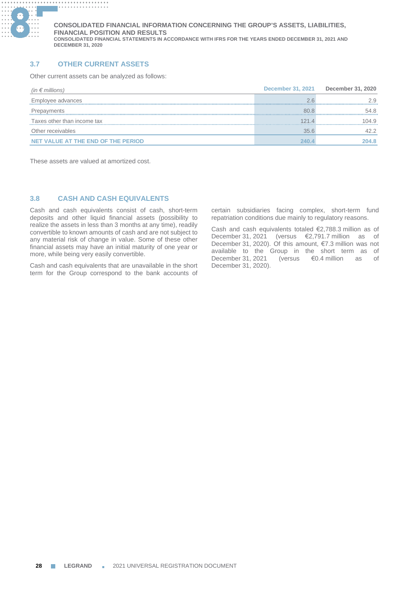

# **3.7 OTHER CURRENT ASSETS**

Other current assets can be analyzed as follows:

| (in $\epsilon$ millions)           | <b>December 31, 2021</b> | December 31, 2020 |
|------------------------------------|--------------------------|-------------------|
| Employee advances                  | ノド                       | 2.9               |
| Prepayments                        | 80.8                     | 54.8              |
| Taxes other than income tax        | 121 4                    | 104.9             |
| Other receivables                  | 35.6                     | 42.2              |
| NET VALUE AT THE END OF THE PERIOD |                          | 204.8             |

These assets are valued at amortized cost.

# **3.8 CASH AND CASH EQUIVALENTS**

Cash and cash equivalents consist of cash, short-term deposits and other liquid financial assets (possibility to realize the assets in less than 3 months at any time), readily convertible to known amounts of cash and are not subject to any material risk of change in value. Some of these other financial assets may have an initial maturity of one year or more, while being very easily convertible.

Cash and cash equivalents that are unavailable in the short term for the Group correspond to the bank accounts of

certain subsidiaries facing complex, short-term fund repatriation conditions due mainly to regulatory reasons.

Cash and cash equivalents totaled €2,788.3 million as of December 31, 2021 (versus €2,791.7 million as of December 31, 2020). Of this amount, €7.3 million was not available to the Group in the short term as of December 31, 2021 (versus €0.4 million as of December 31, 2020).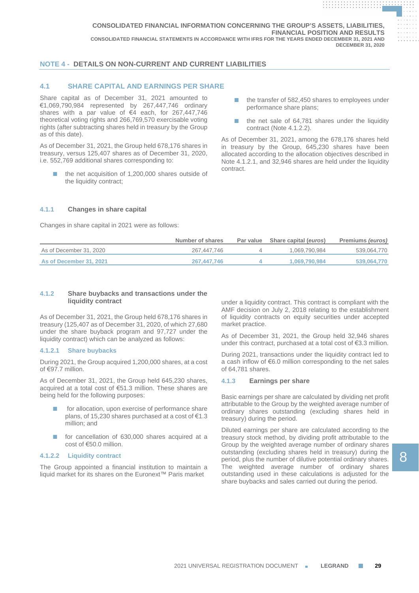# **NOTE 4 - DETAILS ON NON-CURRENT AND CURRENT LIABILITIES**

# **4.1 SHARE CAPITAL AND EARNINGS PER SHARE**

Share capital as of December 31, 2021 amounted to €1,069,790,984 represented by 267,447,746 ordinary shares with a par value of €4 each, for 267,447,746 theoretical voting rights and 266,769,570 exercisable voting rights (after subtracting shares held in treasury by the Group as of this date).

As of December 31, 2021, the Group held 678,176 shares in treasury, versus 125,407 shares as of December 31, 2020, i.e. 552,769 additional shares corresponding to:

the net acquisition of 1,200,000 shares outside of the liquidity contract;

■ the transfer of 582,450 shares to employees under performance share plans;

**. . . . . . . . . . . . . . . . . . . . . . . . . . . . . . . . . . . . . . . . . . . . . . . . . . . . . . . . . . . . . . . . . . . . . . . . . . . . . . . . . . . . . . . . . . . . .**

**. . . . . . . . . . . . . . . . . . . . . . . . . . . . . . . . . . . . . . . . . . . . . . . . . . . . . . . . . . . . . . . .**

■ the net sale of 64,781 shares under the liquidity contract (Note 4.1.2.2).

As of December 31, 2021, among the 678,176 shares held in treasury by the Group, 645,230 shares have been allocated according to the allocation objectives described in Note 4.1.2.1, and 32,946 shares are held under the liquidity contract.

# **4.1.1 Changes in share capital**

Changes in share capital in 2021 were as follows:

|                         | Number of shares | Par value | Share capital (euros) | Premiums (euros) |
|-------------------------|------------------|-----------|-----------------------|------------------|
| As of December 31, 2020 | 267.447.746      |           | 1.069.790.984         | 539,064,770      |
| As of December 31, 2021 | 267.447.746      |           | 1.069.790.984         | 539.064.770      |

## **4.1.2 Share buybacks and transactions under the liquidity contract**

As of December 31, 2021, the Group held 678,176 shares in treasury (125,407 as of December 31, 2020, of which 27,680 under the share buyback program and 97,727 under the liquidity contract) which can be analyzed as follows:

## **4.1.2.1 Share buybacks**

During 2021, the Group acquired 1,200,000 shares, at a cost of €97.7 million.

As of December 31, 2021, the Group held 645,230 shares, acquired at a total cost of €51.3 million. These shares are being held for the following purposes:

- for allocation, upon exercise of performance share plans, of 15,230 shares purchased at a cost of €1.3 million; and
- for cancellation of 630,000 shares acquired at a cost of €50.0 million.

## **4.1.2.2 Liquidity contract**

The Group appointed a financial institution to maintain a liquid market for its shares on the Euronext™ Paris market

under a liquidity contract. This contract is compliant with the AMF decision on July 2, 2018 relating to the establishment of liquidity contracts on equity securities under accepted market practice.

As of December 31, 2021, the Group held 32,946 shares under this contract, purchased at a total cost of €3.3 million.

During 2021, transactions under the liquidity contract led to a cash inflow of €6.0 million corresponding to the net sales of 64,781 shares.

## **4.1.3 Earnings per share**

Basic earnings per share are calculated by dividing net profit attributable to the Group by the weighted average number of ordinary shares outstanding (excluding shares held in treasury) during the period.

Diluted earnings per share are calculated according to the treasury stock method, by dividing profit attributable to the Group by the weighted average number of ordinary shares outstanding (excluding shares held in treasury) during the period, plus the number of dilutive potential ordinary shares. The weighted average number of ordinary shares outstanding used in these calculations is adjusted for the share buybacks and sales carried out during the period.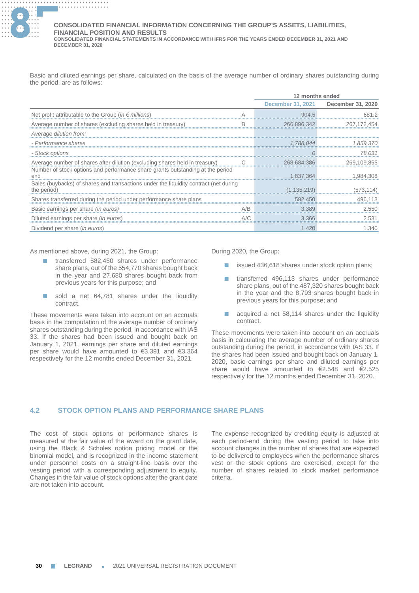

Basic and diluted earnings per share, calculated on the basis of the average number of ordinary shares outstanding during the period, are as follows:

|                                                                                             |     | 12 months ended          |                   |
|---------------------------------------------------------------------------------------------|-----|--------------------------|-------------------|
|                                                                                             |     | <b>December 31, 2021</b> | December 31, 2020 |
| Net profit attributable to the Group (in $\epsilon$ millions)                               |     | 904.5                    |                   |
| Average number of shares (excluding shares held in treasury)                                | B   | 266,896,342              | 267, 172, 454     |
| Average dilution from:                                                                      |     |                          |                   |
| - Performance shares                                                                        |     | 1,788,044                | 1,859,370         |
| - Stock options                                                                             |     |                          | 78,031            |
| Average number of shares after dilution (excluding shares held in treasury)                 |     | 268,684,386              | 269,109,855       |
| Number of stock options and performance share grants outstanding at the period              |     |                          |                   |
| end<br>Sales (buybacks) of shares and transactions under the liquidity contract (net during |     | 1,837,364                | 1,984,308         |
| the period)                                                                                 |     | (1, 135, 219)            | (573,114)         |
| Shares transferred during the period under performance share plans                          |     | 582,450                  | 496.113           |
| Basic earnings per share (in euros)                                                         | A/R | 3.389                    | 2.550             |
| Diluted earnings per share (in euros)                                                       |     | 3.366                    | 2.531             |
| Dividend per share (in euros)                                                               |     | 1.420                    | 1.340             |

As mentioned above, during 2021, the Group:

- transferred 582,450 shares under performance share plans, out of the 554,770 shares bought back in the year and 27,680 shares bought back from previous years for this purpose; and
- sold a net 64,781 shares under the liquidity contract.

These movements were taken into account on an accruals basis in the computation of the average number of ordinary shares outstanding during the period, in accordance with IAS 33. If the shares had been issued and bought back on January 1, 2021, earnings per share and diluted earnings per share would have amounted to €3.391 and €3.364 respectively for the 12 months ended December 31, 2021.

During 2020, the Group:

- issued 436,618 shares under stock option plans;
- transferred 496,113 shares under performance share plans, out of the 487,320 shares bought back in the year and the 8,793 shares bought back in previous years for this purpose; and
- acquired a net 58,114 shares under the liquidity contract.

These movements were taken into account on an accruals basis in calculating the average number of ordinary shares outstanding during the period, in accordance with IAS 33. If the shares had been issued and bought back on January 1, 2020, basic earnings per share and diluted earnings per share would have amounted to €2.548 and €2.525 respectively for the 12 months ended December 31, 2020.

# **4.2 STOCK OPTION PLANS AND PERFORMANCE SHARE PLANS**

The cost of stock options or performance shares is measured at the fair value of the award on the grant date, using the Black & Scholes option pricing model or the binomial model, and is recognized in the income statement under personnel costs on a straight-line basis over the vesting period with a corresponding adjustment to equity. Changes in the fair value of stock options after the grant date are not taken into account.

The expense recognized by crediting equity is adjusted at each period-end during the vesting period to take into account changes in the number of shares that are expected to be delivered to employees when the performance shares vest or the stock options are exercised, except for the number of shares related to stock market performance criteria.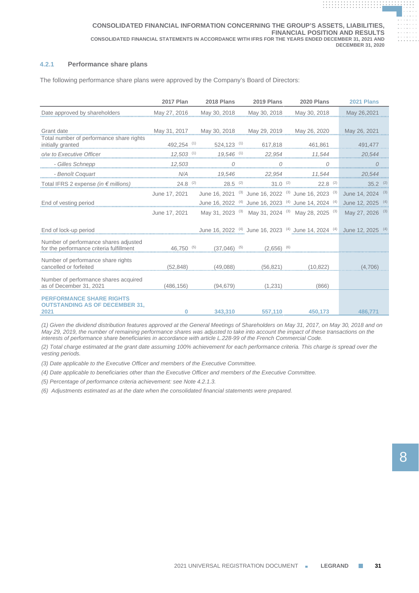# **4.2.1 Performance share plans**

The following performance share plans were approved by the Company's Board of Directors:

|                                                                                                                                            | <b>2017 Plan</b> | <b>2018 Plans</b> | 2019 Plans                             | 2020 Plans                                                                                                                                                                                                                     | <b>2021 Plans</b> |  |
|--------------------------------------------------------------------------------------------------------------------------------------------|------------------|-------------------|----------------------------------------|--------------------------------------------------------------------------------------------------------------------------------------------------------------------------------------------------------------------------------|-------------------|--|
| Date approved by shareholders                                                                                                              | May 27, 2016     | May 30, 2018      | May 30, 2018                           | May 30, 2018                                                                                                                                                                                                                   | May 26,2021       |  |
|                                                                                                                                            |                  |                   |                                        |                                                                                                                                                                                                                                |                   |  |
| Sharn date<br>Total number of performance share rights<br>initially created                                                                |                  |                   |                                        |                                                                                                                                                                                                                                | May 26, 2021      |  |
| $\frac{492,254}{} \xrightarrow{\text{``1}} 524,123 \xrightarrow{\text{``1}} 617,818 \xrightarrow{\text{``1}} 461,861$<br>initially granted |                  |                   |                                        |                                                                                                                                                                                                                                | 491,477           |  |
| o/w to Executive Officer                                                                                                                   |                  |                   |                                        | $12,503$ $17,503$ $17,504$ $17,544$ $17,544$ $17,544$ $17,544$ $17,544$ $17,544$ $17,544$ $17,544$ $17,544$ $17,544$ $17,544$ $17,544$ $17,544$ $17,544$ $17,544$ $17,544$ $17,544$ $17,544$ $17,544$ $17,544$ $17,544$ $17,5$ | 20,544            |  |
| - Gilles Schnepp 12,503                                                                                                                    |                  | $\overline{0}$    |                                        |                                                                                                                                                                                                                                | $\mathcal{O}$     |  |
| - Benoît Coquart                                                                                                                           |                  |                   |                                        | 19,546 22,954 11,544                                                                                                                                                                                                           | 20,544            |  |
| Total IFRS 2 expense (in $\in$ millions) 24.8 (2) 28.5 (2) 28.5 (2) 28.6 (2) 22.8 (2) 25.2 (2)                                             |                  |                   |                                        |                                                                                                                                                                                                                                |                   |  |
|                                                                                                                                            | June 17, 2021    |                   |                                        | June 16, 2021 <sup>(3)</sup> June 16, 2022 <sup>(3)</sup> June 16, 2023 <sup>(3)</sup> June 14, 2024 <sup>(3)</sup>                                                                                                            |                   |  |
| End of vesting period                                                                                                                      |                  |                   |                                        | June 16, 2022 <sup>(4)</sup> June 16, 2023 <sup>(4)</sup> June 14, 2024 <sup>(4)</sup> June 12, 2025 <sup>(4)</sup>                                                                                                            |                   |  |
|                                                                                                                                            | June 17, 2021    |                   |                                        | May 31, 2023 <sup>(3)</sup> May 31, 2024 <sup>(3)</sup> May 28, 2025 <sup>(3)</sup> May 27, 2026 <sup>(3)</sup>                                                                                                                |                   |  |
| End of lock-up period                                                                                                                      |                  |                   |                                        | June 16, 2022 (4) June 16, 2023 (4) June 14, 2024 (4) June 12, 2025 (4)                                                                                                                                                        |                   |  |
| Number of performance shares adjusted<br>for the performance criteria fulfillment $46,750$ <sup><math>(5)</math></sup>                     |                  |                   | $(37,046)$ $^{(5)}$ $(2.656)$ $^{(6)}$ |                                                                                                                                                                                                                                |                   |  |
| Number of performance share rights<br>cancelled or forfeited                                                                               | (52.848)         | (49.088)          | (56, 821)                              | (10.822)                                                                                                                                                                                                                       | (4.706)           |  |
| Number of performance shares acquired<br>as of December 31, 2021                                                                           | (486.156)        | (94, 679)         | (1.231)                                | (866)                                                                                                                                                                                                                          |                   |  |
| <b>PERFORMANCE SHARE RIGHTS</b><br><b>OUTSTANDING AS OF DECEMBER 31.</b><br>2021                                                           | 0                | 343.310           | 557.110                                | 450.173                                                                                                                                                                                                                        | 486,771           |  |

*(1) Given the dividend distribution features approved at the General Meetings of Shareholders on May 31, 2017, on May 30, 2018 and on May 29, 2019, the number of remaining performance shares was adjusted to take into account the impact of these transactions on the interests of performance share beneficiaries in accordance with article L.228-99 of the French Commercial Code.*

*(2) Total charge estimated at the grant date assuming 100% achievement for each performance criteria. This charge is spread over the vesting periods.*

*(3) Date applicable to the Executive Officer and members of the Executive Committee.*

*(4) Date applicable to beneficiaries other than the Executive Officer and members of the Executive Committee.*

*(5) Percentage of performance criteria achievement: see Note 4.2.1.3.*

*(6) Adjustments estimated as at the date when the consolidated financial statements were prepared.*

**. . . . . . . . . . . . . . . . . . . . . . . . . . . . . . . . . . . . . . .**

**. . . . . . . . . . . . . . . . . . . . . . . . . . . . . . . . . . . . . . . . . . . . . . . . . . . . . . . . . . . . . .**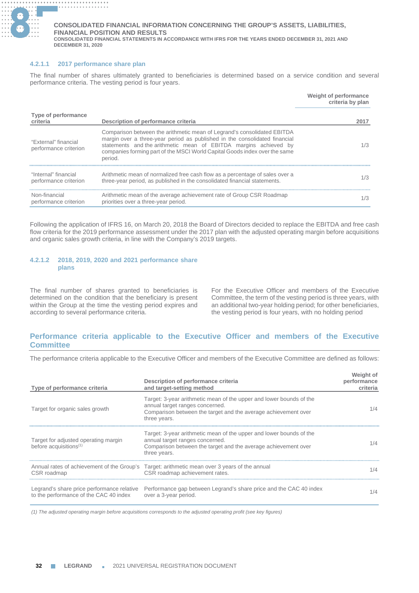

## **4.2.1.1 2017 performance share plan**

The final number of shares ultimately granted to beneficiaries is determined based on a service condition and several performance criteria. The vesting period is four years.

|                                               |                                                                                                                                                                                                                                                                                                                    | Weight of performance<br>criteria by plan |
|-----------------------------------------------|--------------------------------------------------------------------------------------------------------------------------------------------------------------------------------------------------------------------------------------------------------------------------------------------------------------------|-------------------------------------------|
| Type of performance<br>criteria               | Description of performance criteria                                                                                                                                                                                                                                                                                | 2017                                      |
| "External" financial<br>performance criterion | Comparison between the arithmetic mean of Legrand's consolidated EBITDA<br>margin over a three-year period as published in the consolidated financial<br>statements and the arithmetic mean of EBITDA margins achieved by<br>companies forming part of the MSCI World Capital Goods index over the same<br>period. | 1/3                                       |
| "Internal" financial<br>performance criterion | Arithmetic mean of normalized free cash flow as a percentage of sales over a<br>three-year period, as published in the consolidated financial statements.                                                                                                                                                          | 1/3                                       |
| Non-financial<br>performance criterion        | Arithmetic mean of the average achievement rate of Group CSR Roadmap<br>priorities over a three-year period.                                                                                                                                                                                                       | 1/3                                       |

Following the application of IFRS 16, on March 20, 2018 the Board of Directors decided to replace the EBITDA and free cash flow criteria for the 2019 performance assessment under the 2017 plan with the adjusted operating margin before acquisitions and organic sales growth criteria, in line with the Company's 2019 targets.

# **4.2.1.2 2018, 2019, 2020 and 2021 performance share plans**

The final number of shares granted to beneficiaries is determined on the condition that the beneficiary is present within the Group at the time the vesting period expires and according to several performance criteria.

For the Executive Officer and members of the Executive Committee, the term of the vesting period is three years, with an additional two-year holding period; for other beneficiaries, the vesting period is four years, with no holding period

# **Performance criteria applicable to the Executive Officer and members of the Executive Committee**

The performance criteria applicable to the Executive Officer and members of the Executive Committee are defined as follows:

| Type of performance criteria                                               | Description of performance criteria<br>and target-setting method                                                                                                                         | Weight of<br>performance<br>criteria |
|----------------------------------------------------------------------------|------------------------------------------------------------------------------------------------------------------------------------------------------------------------------------------|--------------------------------------|
| Target for organic sales growth                                            | Target: 3-year arithmetic mean of the upper and lower bounds of the<br>annual target ranges concerned.<br>Comparison between the target and the average achievement over<br>three years. | 1/4                                  |
| Target for adjusted operating margin<br>before acquisitions <sup>(1)</sup> | Target: 3-year arithmetic mean of the upper and lower bounds of the<br>annual target ranges concerned.<br>Comparison between the target and the average achievement over<br>three years. | 1/4                                  |
| CSR roadmap                                                                | Annual rates of achievement of the Group's Target: arithmetic mean over 3 years of the annual<br>CSR roadmap achievement rates.                                                          | 1/4                                  |
| to the performance of the CAC 40 index                                     | Legrand's share price performance relative Performance gap between Legrand's share price and the CAC 40 index<br>over a 3-year period.                                                   | 1/4                                  |

*(1) The adjusted operating margin before acquisitions corresponds to the adjusted operating profit (see key figures)*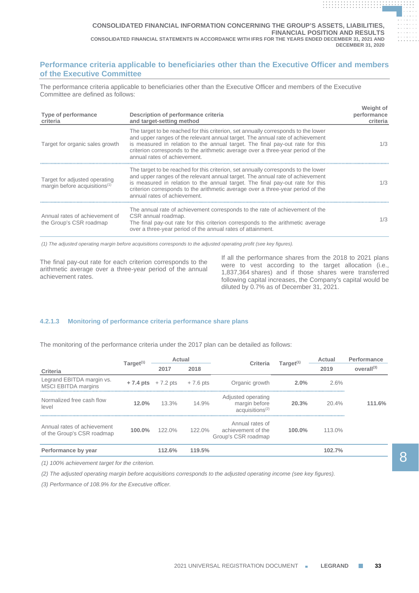# **Performance criteria applicable to beneficiaries other than the Executive Officer and members of the Executive Committee**

The performance criteria applicable to beneficiaries other than the Executive Officer and members of the Executive Committee are defined as follows:

| Type of performance<br>criteria                                            | Description of performance criteria<br>and target-setting method                                                                                                                                                                                                                                                                                                         | Weight of<br>performance<br>criteria |
|----------------------------------------------------------------------------|--------------------------------------------------------------------------------------------------------------------------------------------------------------------------------------------------------------------------------------------------------------------------------------------------------------------------------------------------------------------------|--------------------------------------|
| Target for organic sales growth                                            | The target to be reached for this criterion, set annually corresponds to the lower<br>and upper ranges of the relevant annual target. The annual rate of achievement<br>is measured in relation to the annual target. The final pay-out rate for this<br>criterion corresponds to the arithmetic average over a three-year period of the<br>annual rates of achievement. | 1/3                                  |
| Target for adjusted operating<br>margin before acquisitions <sup>(1)</sup> | The target to be reached for this criterion, set annually corresponds to the lower<br>and upper ranges of the relevant annual target. The annual rate of achievement<br>is measured in relation to the annual target. The final pay-out rate for this<br>criterion corresponds to the arithmetic average over a three-year period of the<br>annual rates of achievement. | 1/3                                  |
| Annual rates of achievement of<br>the Group's CSR roadmap                  | The annual rate of achievement corresponds to the rate of achievement of the<br>CSR annual roadmap.<br>The final pay-out rate for this criterion corresponds to the arithmetic average<br>over a three-year period of the annual rates of attainment.                                                                                                                    | 1/3                                  |

*(1) The adjusted operating margin before acquisitions corresponds to the adjusted operating profit (see key figures).*

The final pay-out rate for each criterion corresponds to the arithmetic average over a three-year period of the annual achievement rates.

If all the performance shares from the 2018 to 2021 plans were to vest according to the target allocation (i.e., 1,837,364 shares) and if those shares were transferred following capital increases, the Company's capital would be diluted by 0.7% as of December 31, 2021.

**. . . . . . . . . . . . . . . . . . . . . . . . . . . . . . . . . . . . . . . . . . . . . . . . . . . . . . . . . . . . . . . . . . . . . . . . . . . . . . . . . . . . . . . . . . . . .**

**. . . . . . . . . . . . . . . . . . . . . . . . . . . . . . . . . . . . . . . . . . . . . . . . . . . . . . . . . . . . . . . .**

# **4.2.1.3 Monitoring of performance criteria performance share plans**

The monitoring of the performance criteria under the 2017 plan can be detailed as follows:

|                                                           | Target <sup>(1)</sup> | Actual                                               |           | Criteria                                                             | Target $(1)$ | Actual | Performance            |
|-----------------------------------------------------------|-----------------------|------------------------------------------------------|-----------|----------------------------------------------------------------------|--------------|--------|------------------------|
| Criteria                                                  |                       | 2017                                                 | 2018      |                                                                      |              | 2019   | overall <sup>(3)</sup> |
| Legrand EBITDA margin vs.<br><b>MSCI EBITDA margins</b>   |                       | $+7.4 \text{ pts} +7.2 \text{ pts} +7.6 \text{ pts}$ |           | Organic growth                                                       | $2.0\%$      | 2.6%   |                        |
| Normalized free cash flow<br>level                        | 12.0%                 | 13.3%                                                | 14.9%     | Adjusted operating<br>margin before<br>accu is itions <sup>(2)</sup> | 20.3%        | 20.4%  | 111.6%                 |
| Annual rates of achievement<br>of the Group's CSR roadmap | 100.0%                | $122.0\%$                                            | $122.0\%$ | Annual rates of<br>achievement of the<br>Group's CSR roadmap         | $100.0\%$    | 113.0% |                        |
| Performance by year                                       |                       | 112.6%                                               | 119.5%    |                                                                      |              | 102.7% |                        |

*(1) 100% achievement target for the criterion.*

*(2) The adjusted operating margin before acquisitions corresponds to the adjusted operating income (see key figures).*

*(3) Performance of 108.9% for the Executive officer.*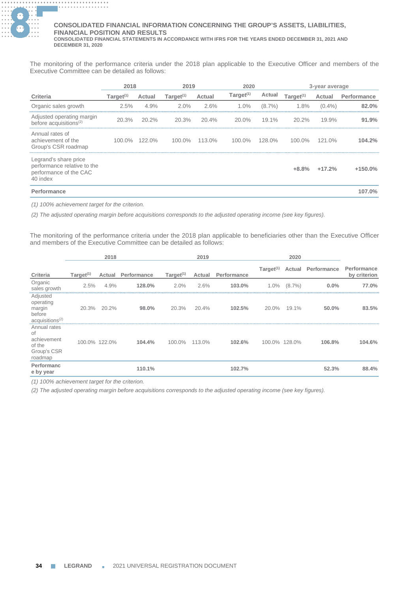

The monitoring of the performance criteria under the 2018 plan applicable to the Executive Officer and members of the Executive Committee can be detailed as follows:

|                                                                                            |              | 2018          |              | 2019   | 2020         |           |              | 3-year average |             |
|--------------------------------------------------------------------------------------------|--------------|---------------|--------------|--------|--------------|-----------|--------------|----------------|-------------|
| Criteria                                                                                   | Target $(1)$ | Actual        | Target $(1)$ | Actual | Target $(1)$ | Actual    | Target $(1)$ | Actual         | Performance |
| Organic sales growth                                                                       | 2.5%         | 4.9%          | 2.0%         | 2.6%   | $1.0\%$      | $(8.7\%)$ | 1.8%         | $(0.4\%)$      | 82.0%       |
| Adjusted operating margin<br>before acquisitions <sup>(2)</sup>                            | 20.3%        | $20.2\%$      | 20.3%        | 20.4%  | $20.0\%$     | 19.1%     | 20.2%        | 19.9%          | 91.9%       |
| Annual rates of<br>achievement of the<br>Group's CSR roadmap                               |              | 100.0% 122.0% | $100.0\%$    | 113.0% | $100.0\%$    | $128.0\%$ | $100.0\%$    | 121.0%         | 104.2%      |
| Legrand's share price<br>performance relative to the<br>performance of the CAC<br>40 index |              |               |              |        |              |           | $+8.8%$      | $+17.2%$       | $+150.0%$   |
| Performance                                                                                |              |               |              |        |              |           |              |                | 107.0%      |

*(1) 100% achievement target for the criterion.*

*(2) The adjusted operating margin before acquisitions corresponds to the adjusted operating income (see key figures).*

The monitoring of the performance criteria under the 2018 plan applicable to beneficiaries other than the Executive Officer and members of the Executive Committee can be detailed as follows:

|                                                                          |              | 2018          |             |              | 2019   |             |              | 2020          |                           |                             |
|--------------------------------------------------------------------------|--------------|---------------|-------------|--------------|--------|-------------|--------------|---------------|---------------------------|-----------------------------|
| Criteria                                                                 | Target $(1)$ | Actual        | Performance | Target $(1)$ | Actual | Performance | Target $(1)$ |               | <b>Actual Performance</b> | Performance<br>by criterion |
| Organic<br>sales growth                                                  | 2.5%         | 4.9%          | 128.0%      | $2.0\%$      | 2.6%   | 103.0%      | 1.0%         | $(8.7\%)$     | 0.0%                      | 77.0%                       |
| Adjusted<br>operating<br>margin<br>before<br>acquisitions <sup>(2)</sup> |              | 20.3% 20.2%   | 98.0%       | 20.3%        | 20.4%  | 102.5%      | 20.0%        | 19.1%         | 50.0%                     | 83.5%                       |
| Annual rates<br>0f<br>achievement<br>of the<br>Group's CSR<br>roadmap    |              | 100.0% 122.0% | 104.4%      | 100.0%       | 113.0% | 102.6%      |              | 100.0% 128.0% | 106.8%                    | 104.6%                      |
| Performanc<br>e by year                                                  |              |               | 110.1%      |              |        | 102.7%      |              |               | 52.3%                     | 88.4%                       |

*(1) 100% achievement target for the criterion.*

*(2) The adjusted operating margin before acquisitions corresponds to the adjusted operating income (see key figures).*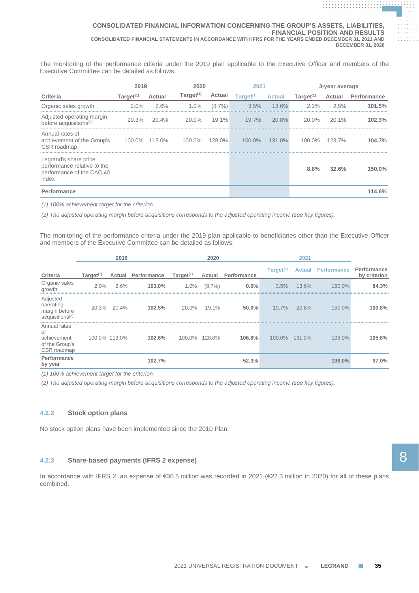The monitoring of the performance criteria under the 2019 plan applicable to the Executive Officer and members of the Executive Committee can be detailed as follows:

|                                                                                            |              | 2019<br>2020<br>2021 |              | 3-year average |                       |               |              |               |                    |
|--------------------------------------------------------------------------------------------|--------------|----------------------|--------------|----------------|-----------------------|---------------|--------------|---------------|--------------------|
| Criteria                                                                                   | Target $(1)$ | Actual               | Target $(1)$ | Actual         | Target <sup>(1)</sup> | <b>Actual</b> | Target $(1)$ | Actual        | <b>Performance</b> |
| Organic sales growth                                                                       | $2.0\%$      | 2.6%                 | $1.0\%$      | $(8.7\%)$      | 3.5%                  | 13.6%         | $2.2\%$      | 2.5%          | 101.5%             |
| Adjusted operating margin<br>before acquisitions $(2)$                                     | 20.3%        | 20.4%                | 20.0%        | $19.1\%$       | $19.7\%$              | 20.8%         | 20.0%        | $20.1\%$      | 102.3%             |
| Annual rates of<br>achievement of the Group's<br>CSR roadmap                               |              | 100.0% 113.0%        | 100.0%       | 128.0%         | $100.0\%$             | 131.0%        |              | 100.0% 123.7% | 104.7%             |
| Legrand's share price<br>performance relative to the<br>performance of the CAC 40<br>index |              |                      |              |                |                       |               | 8.8%         | 32.6%         | 150.0%             |
| Performance                                                                                |              |                      |              |                |                       |               |              |               | 114.6%             |

*(1) 100% achievement target for the criterion.*

*(2) The adjusted operating margin before acquisitions corresponds to the adjusted operating income (see key figures).*

The monitoring of the performance criteria under the 2019 plan applicable to beneficiaries other than the Executive Officer and members of the Executive Committee can be detailed as follows:

|                                                                         | 2019<br>2020 |               |                           |              | 2021      |             |                       |               |                    |                             |
|-------------------------------------------------------------------------|--------------|---------------|---------------------------|--------------|-----------|-------------|-----------------------|---------------|--------------------|-----------------------------|
| Criteria                                                                | Target $(1)$ |               | <b>Actual Performance</b> | Target $(1)$ | Actual    | Performance | Target <sup>(1)</sup> | <b>Actual</b> | <b>Performance</b> | Performance<br>by criterion |
| Organic sales<br>growth                                                 | 2.0%         | 2.6%          | 103.0%                    | 1.0%         | $(8.7\%)$ | $0.0\%$     | 3.5%                  | 13.6%         | 150.0%             | 84.3%                       |
| Adjusted<br>operating<br>margin before<br>accu is itions <sup>(2)</sup> |              | 20.3% 20.4%   | 102.5%                    | 20.0%        | 19.1%     | 50.0%       | 19.7%                 | 20.8%         | 150.0%             | 100.8%                      |
| Annual rates<br>0f<br>achievement<br>of the Group's<br>CSR roadmap      |              | 100.0% 113.0% | 102.6%                    | 100.0%       | 128.0%    | 106.8%      | 100.0%                | 131.0%        | 108.0%             | 105.8%                      |
| Performance<br>by year                                                  |              |               | 102.7%                    |              |           | 52.3%       |                       |               | 136.0%             | 97.0%                       |

*(1) 100% achievement target for the criterion.*

*(2) The adjusted operating margin before acquisitions corresponds to the adjusted operating income (see key figures).*

# **4.2.2 Stock option plans**

No stock option plans have been implemented since the 2010 Plan.

# **4.2.3 Share-based payments (IFRS 2 expense)**

In accordance with IFRS 2, an expense of €30.5 million was recorded in 2021 (€22.3 million in 2020) for all of these plans combined.

**. . . . . . . . . . . . . . . . . . . . . . . . . . . . . . . . . . . . . . . . . . . . . . . . . . . . . . . . . . . . . . . . . . . . . . . . . . . . . . . . . . . . . . . . . . . . .**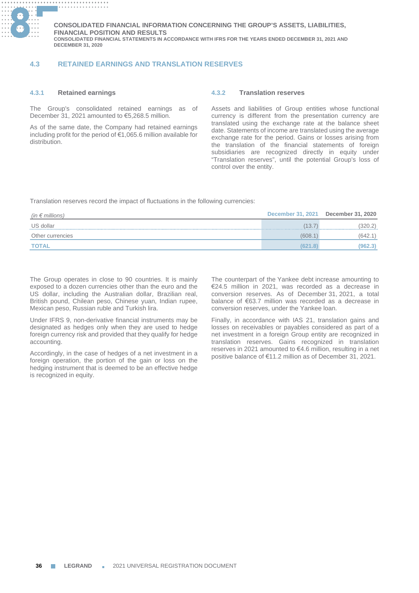

# **4.3 RETAINED EARNINGS AND TRANSLATION RESERVES**

### **4.3.1 Retained earnings**

The Group's consolidated retained earnings as of December 31, 2021 amounted to €5,268.5 million.

As of the same date, the Company had retained earnings including profit for the period of €1,065.6 million available for distribution.

### **4.3.2 Translation reserves**

Assets and liabilities of Group entities whose functional currency is different from the presentation currency are translated using the exchange rate at the balance sheet date. Statements of income are translated using the average exchange rate for the period. Gains or losses arising from the translation of the financial statements of foreign subsidiaries are recognized directly in equity under "Translation reserves", until the potential Group's loss of control over the entity.

**.................................... .**

Translation reserves record the impact of fluctuations in the following currencies:

| (in $\epsilon$ millions) | <b>December 31, 2021</b> | <b>December 31, 2020</b> |
|--------------------------|--------------------------|--------------------------|
| US dollar                | (13.7                    | (320.2)                  |
| Other currencies         | (608.1)                  | (642.1)                  |
| <b>TOTAL</b>             | (621.8)                  | (962.3)                  |

The Group operates in close to 90 countries. It is mainly exposed to a dozen currencies other than the euro and the US dollar, including the Australian dollar, Brazilian real, British pound, Chilean peso, Chinese yuan, Indian rupee, Mexican peso, Russian ruble and Turkish lira.

Under IFRS 9, non-derivative financial instruments may be designated as hedges only when they are used to hedge foreign currency risk and provided that they qualify for hedge accounting.

Accordingly, in the case of hedges of a net investment in a foreign operation, the portion of the gain or loss on the hedging instrument that is deemed to be an effective hedge is recognized in equity.

The counterpart of the Yankee debt increase amounting to €24.5 million in 2021, was recorded as a decrease in conversion reserves. As of December 31, 2021, a total balance of €63.7 million was recorded as a decrease in conversion reserves, under the Yankee loan.

Finally, in accordance with IAS 21, translation gains and losses on receivables or payables considered as part of a net investment in a foreign Group entity are recognized in translation reserves. Gains recognized in translation reserves in 2021 amounted to €4.6 million, resulting in a net positive balance of €11.2 million as of December 31, 2021.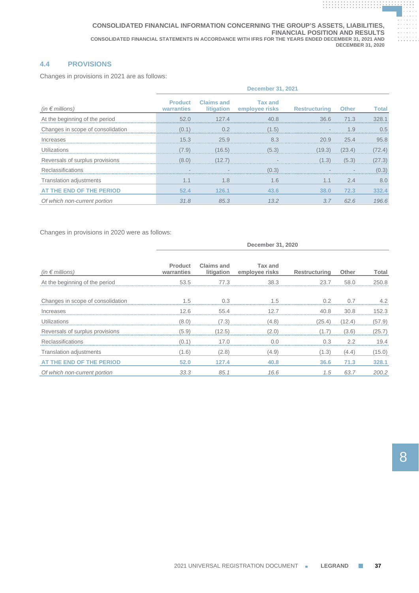# **4.4 PROVISIONS**

Changes in provisions in 2021 are as follows:

|                                   | <b>December 31, 2021</b>     |                                 |                                  |                      |              |        |  |  |
|-----------------------------------|------------------------------|---------------------------------|----------------------------------|----------------------|--------------|--------|--|--|
| (in $\epsilon$ millions)          | <b>Product</b><br>warranties | <b>Claims and</b><br>litigation | <b>Tax and</b><br>employee risks | <b>Restructuring</b> | <b>Other</b> | Total  |  |  |
| At the beginning of the period    | 52.0                         | 127.4                           | 40.8                             | 36.6                 | 71.3         | 328.1  |  |  |
| Changes in scope of consolidation | (0.1)                        | $\cap$ 2                        | (1.5)                            |                      | .9           | 0.5    |  |  |
| Increases                         | 15.3                         | 25.9                            | 8.3                              | 20.9                 | 25.4         | 95.8   |  |  |
| Utilizations                      | (7.9)                        | (16.5)                          | (5.3)                            |                      | (23.4)       | 72.4)  |  |  |
| Reversals of surplus provisions   | (8.0)                        | (12.7)                          |                                  | (1.3)                | (5.3)        | (27.3) |  |  |
| Reclassifications                 |                              |                                 | (0.3)                            |                      |              | (0.3)  |  |  |
| Translation adjustments           | 1.1                          | 1.8                             | 1.6                              | 1.1                  | 2.4          | 8.0    |  |  |
| AT THE END OF THE PERIOD          | 52.4                         | 126.1                           | 43.6                             | 38.0                 | 72.3         | 332.4  |  |  |
| Of which non-current portion      | 31.8                         | 85.3                            | 13.2                             | 3.7                  | 62.6         | 196.6  |  |  |

Changes in provisions in 2020 were as follows:

|                                   | December 31, 2020            |                                 |                                  |               |        |        |  |
|-----------------------------------|------------------------------|---------------------------------|----------------------------------|---------------|--------|--------|--|
| (in $\epsilon$ millions)          | <b>Product</b><br>warranties | <b>Claims and</b><br>litigation | <b>Tax and</b><br>employee risks | Restructuring | Other  | Total  |  |
| At the beginning of the period    | 53.5                         | 77.3                            | 38.3                             | 23.7          | 58.0   | 250.8  |  |
| Changes in scope of consolidation | 1.5                          | U3                              | - 5                              | 0.2           | 0.7    | 4.2    |  |
| Increases                         | 12.6                         | 55.4                            | 12.7                             | 40.8          | 30.8   | 152.3  |  |
| Utilizations                      | (8.0)                        | (7.3)                           | (4.8)                            | (25.4)        | (12.4) | (57.9) |  |
| Reversals of surplus provisions   | (5.9)                        | (12.5)                          | (2.0)                            |               | (3.6)  | (25.7) |  |
| Reclassifications                 | (0.1)                        | 17.0                            | 0.0                              | 0.3           | 2.2    | 19.4   |  |
| Translation adjustments           | (1.6)                        | (2.8)                           | (4.9)                            | (1.3)         | (4.4)  | (15.0) |  |
| AT THE END OF THE PERIOD          | 52.0                         | 127.4                           | 40.8                             | 36.6          | 71.3   | 328.1  |  |
| Of which non-current portion      | 33.3                         | 85.1                            | 16.6                             | 1.5           | 63.7   | 200.2  |  |

**. . . . . . . . . . . . . . . . . . . . . . . . . . . . . . . . . . . . . . .**

**. . . . . . . . . . . . . . . . . . . . . . . . . . . . . . . . . . . . . . . . . . . . . . . . . . . . . . . . . . . . . .**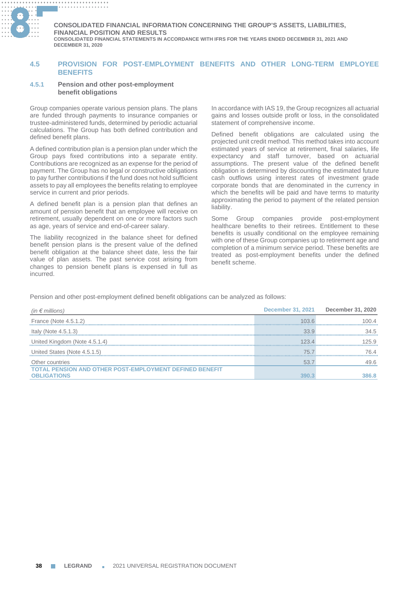

# **4.5 PROVISION FOR POST-EMPLOYMENT BENEFITS AND OTHER LONG-TERM EMPLOYEE BENEFITS**

### **4.5.1 Pension and other post-employment benefit obligations**

Group companies operate various pension plans. The plans are funded through payments to insurance companies or trustee-administered funds, determined by periodic actuarial calculations. The Group has both defined contribution and defined benefit plans.

A defined contribution plan is a pension plan under which the Group pays fixed contributions into a separate entity. Contributions are recognized as an expense for the period of payment. The Group has no legal or constructive obligations to pay further contributions if the fund does not hold sufficient assets to pay all employees the benefits relating to employee service in current and prior periods.

A defined benefit plan is a pension plan that defines an amount of pension benefit that an employee will receive on retirement, usually dependent on one or more factors such as age, years of service and end-of-career salary.

The liability recognized in the balance sheet for defined benefit pension plans is the present value of the defined benefit obligation at the balance sheet date, less the fair value of plan assets. The past service cost arising from changes to pension benefit plans is expensed in full as incurred.

In accordance with IAS 19, the Group recognizes all actuarial gains and losses outside profit or loss, in the consolidated statement of comprehensive income.

**.................................... . .................................... . ........... .. .**

Defined benefit obligations are calculated using the projected unit credit method. This method takes into account estimated years of service at retirement, final salaries, life expectancy and staff turnover, based on actuarial assumptions. The present value of the defined benefit obligation is determined by discounting the estimated future cash outflows using interest rates of investment grade corporate bonds that are denominated in the currency in which the benefits will be paid and have terms to maturity approximating the period to payment of the related pension liability.

Some Group companies provide post-employment healthcare benefits to their retirees. Entitlement to these benefits is usually conditional on the employee remaining with one of these Group companies up to retirement age and completion of a minimum service period. These benefits are treated as post-employment benefits under the defined benefit scheme.

Pension and other post-employment defined benefit obligations can be analyzed as follows:

| (in $\epsilon$ millions)                                | <b>December 31, 2021</b> | December 31, 2020 |
|---------------------------------------------------------|--------------------------|-------------------|
| France (Note 4.5.1.2)                                   | 103.6                    | 100 4             |
| Italy (Note $4.5.1.3$ )                                 | 33.9                     | 34.5              |
| United Kingdom (Note 4.5.1.4)                           | 123 A                    | 25.9              |
| United States (Note 4.5.1.5)                            | 75 7                     | 76 4              |
| Other countries                                         | 53.7                     | 49.6              |
| TOTAL PENSION AND OTHER POST-EMPLOYMENT DEFINED BENEFIT |                          |                   |
| <b>OBLIGATIONS</b>                                      |                          | 386.8             |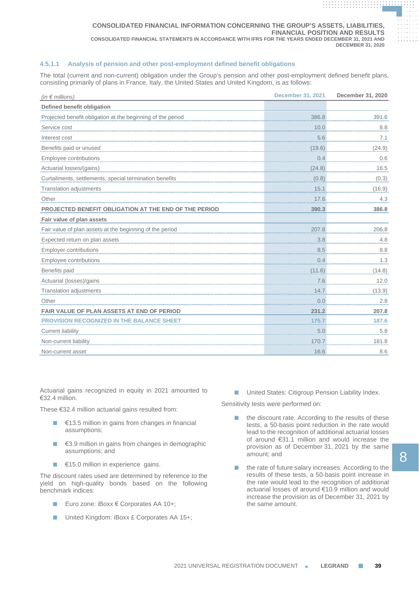# **4.5.1.1 Analysis of pension and other post-employment defined benefit obligations**

The total (current and non-current) obligation under the Group's pension and other post-employment defined benefit plans, consisting primarily of plans in France, Italy, the United States and United Kingdom, is as follows:

| (in $\notin$ millions)                                      | <b>December 31, 2021</b> | December 31, 2020 |
|-------------------------------------------------------------|--------------------------|-------------------|
| Defined benefit obligation                                  |                          |                   |
| Projected benefit obligation at the beginning of the period | 386.8                    | 391.6             |
| Service cost                                                | 10.0                     | 8.8               |
| Interest cost                                               | 5.6                      | 7.1               |
| Benefits paid or unused                                     | (19.6)                   | (24.9)            |
| Employee contributions                                      | 0.4                      | 0.6               |
| Actuarial losses/(gains)                                    | (24.8)                   | 16.5              |
| Curtailments, settlements, special termination benefits     | (0.8)                    | (0.3)             |
| Translation adjustments                                     | 15.1                     | (16.9)            |
| Other                                                       | 17.6                     | 4.3               |
| PROJECTED BENEFIT OBLIGATION AT THE END OF THE PERIOD       | 390.3                    | 386.8             |
| Fair value of plan assets                                   |                          |                   |
| Fair value of plan assets at the beginning of the period    | 207.8                    | 206.8             |
| Expected return on plan assets                              | 3.8                      | 4.8               |
| <b>Employer contributions</b>                               | 8.5                      | 8.8               |
| Employee contributions                                      | 0.4                      | 1.3               |
| Benefits paid                                               | (11.6)                   | (14.8)            |
| Actuarial (losses)/gains                                    | 7.6                      | 12.0              |
| Translation adjustments                                     | 14.7                     | (13.9)            |
| Other                                                       | 0.0                      | 2.8               |
| <b>FAIR VALUE OF PLAN ASSETS AT END OF PERIOD</b>           | 231.2                    | 207.8             |
| PROVISION RECOGNIZED IN THE BALANCE SHEET                   | 175.7                    | 187.6             |
| Current liability                                           | 5.0                      | 5.8               |
| Non-current liability                                       | 170.7                    | 181.8             |
| Non-current asset                                           | 16.6                     | 8.6               |

Actuarial gains recognized in equity in 2021 amounted to €32.4 million.

These €32.4 million actuarial gains resulted from:

- $€13.5$  million in gains from changes in financial assumptions;
- €3.9 million in gains from changes in demographic assumptions; and
- €15.0 million in experience gains.

The discount rates used are determined by reference to the yield on high-quality bonds based on the following benchmark indices:

- Euro zone: iBoxx € Corporates AA 10+;
- United Kingdom: iBoxx £ Corporates AA 15+;

■ United States: Citigroup Pension Liability Index.

Sensitivity tests were performed on:

- the discount rate. According to the results of these tests, a 50-basis point reduction in the rate would lead to the recognition of additional actuarial losses of around €31.1 million and would increase the provision as of December 31, 2021 by the same amount; and
- the rate of future salary increases. According to the results of these tests, a 50-basis point increase in the rate would lead to the recognition of additional actuarial losses of around €10.9 million and would increase the provision as of December 31, 2021 by the same amount.

**. . . . . . . . . . . . . . . . . . . . . . . . . . . . . . . . . . . . . . . . . . . . . . . . . . . . . . . . . . . . . . . . . . . . . . . . . . . . . . . . . . . . . . . . . . . . .**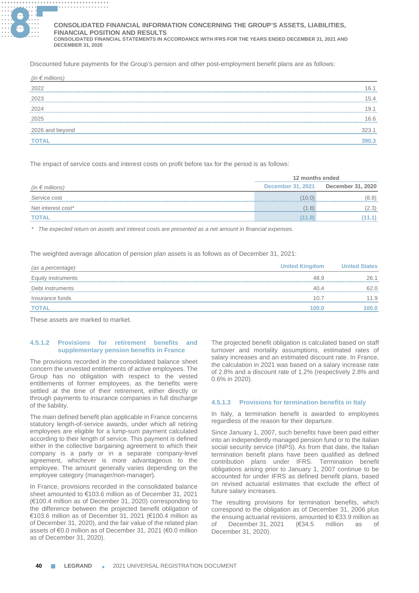

#### **............. . ............. . ............. . ............. . CONSOLIDATED FINANCIAL INFORMATION CONCERNING THE GROUP'S ASSETS, LIABILITIES, FINANCIAL POSITION AND RESULTS**

**CONSOLIDATED FINANCIAL STATEMENTS IN ACCORDANCE WITH IFRS FOR THE YEARS ENDED DECEMBER 31, 2021 AND DECEMBER 31, 2020**

Discounted future payments for the Group's pension and other post-employment benefit plans are as follows:

| (in $\epsilon$ millions) |          |
|--------------------------|----------|
| 2022                     | I 6.     |
| 2023                     | 15.4     |
| 2024                     | 19.1<br> |
| 2025                     | 16.6     |
| 2026 and beyond          |          |
|                          |          |

The impact of service costs and interest costs on profit before tax for the period is as follows:

|                          | 12 months ended          |                   |  |
|--------------------------|--------------------------|-------------------|--|
| (in $\epsilon$ millions) | <b>December 31, 2021</b> | December 31, 2020 |  |
| Service cost             | (10.0)                   | (8.8)             |  |
| Net interest cost*       | (1.8)                    | (2.3)             |  |
| <b>TOTAL</b>             | (11.8)                   | (11.1)            |  |

*\* The expected return on assets and interest costs are presented as a net amount in financial expenses.*

The weighted average allocation of pension plan assets is as follows as of December 31, 2021:

| (as a percentage)  | <b>United Kingdom</b> | <b>United States</b> |
|--------------------|-----------------------|----------------------|
| Equity instruments | 48.9                  | 26.1                 |
| Debt instruments   | 40.4                  | 62.0                 |
| Insurance funds    | 10.7                  | 11.9                 |
| <b>TOTAL</b>       | 100.0                 | 100.0                |

These assets are marked to market.

# **4.5.1.2 Provisions for retirement benefits and supplementary pension benefits in France**

The provisions recorded in the consolidated balance sheet concern the unvested entitlements of active employees. The Group has no obligation with respect to the vested entitlements of former employees, as the benefits were settled at the time of their retirement, either directly or through payments to insurance companies in full discharge of the liability.

The main defined benefit plan applicable in France concerns statutory length-of-service awards, under which all retiring employees are eligible for a lump-sum payment calculated according to their length of service. This payment is defined either in the collective bargaining agreement to which their company is a party or in a separate company-level agreement, whichever is more advantageous to the employee. The amount generally varies depending on the employee category (manager/non-manager).

In France, provisions recorded in the consolidated balance sheet amounted to €103.6 million as of December 31, 2021 (€100.4 million as of December 31, 2020) corresponding to the difference between the projected benefit obligation of €103.6 million as of December 31, 2021 (€100.4 million as of December 31, 2020), and the fair value of the related plan assets of €0.0 million as of December 31, 2021 (€0.0 million as of December 31, 2020).

The projected benefit obligation is calculated based on staff turnover and mortality assumptions, estimated rates of salary increases and an estimated discount rate. In France, the calculation in 2021 was based on a salary increase rate of 2.8% and a discount rate of 1.2% (respectively 2.8% and 0.6% in 2020).

## **4.5.1.3 Provisions for termination benefits in Italy**

In Italy, a termination benefit is awarded to employees regardless of the reason for their departure.

Since January 1, 2007, such benefits have been paid either into an independently managed pension fund or to the Italian social security service (INPS). As from that date, the Italian termination benefit plans have been qualified as defined contribution plans under IFRS. Termination benefit obligations arising prior to January 1, 2007 continue to be accounted for under IFRS as defined benefit plans, based on revised actuarial estimates that exclude the effect of future salary increases.

The resulting provisions for termination benefits, which correspond to the obligation as of December 31, 2006 plus the ensuing actuarial revisions, amounted to €33.9 million as of December 31, 2021 (€34.5 million as of December 31, 2020).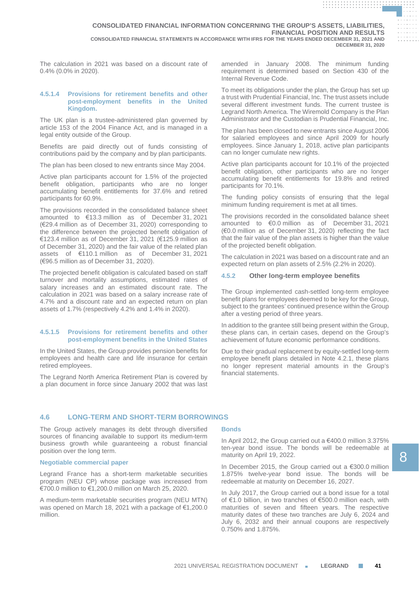The calculation in 2021 was based on a discount rate of 0.4% (0.0% in 2020).

### **4.5.1.4 Provisions for retirement benefits and other post-employment benefits in the United Kingdom.**

The UK plan is a trustee-administered plan governed by article 153 of the 2004 Finance Act, and is managed in a legal entity outside of the Group.

Benefits are paid directly out of funds consisting of contributions paid by the company and by plan participants.

The plan has been closed to new entrants since May 2004.

Active plan participants account for 1.5% of the projected benefit obligation, participants who are no longer accumulating benefit entitlements for 37.6% and retired participants for 60.9%.

The provisions recorded in the consolidated balance sheet amounted to €13.3 million as of December 31, 2021 (€29.4 million as of December 31, 2020) corresponding to the difference between the projected benefit obligation of €123.4 million as of December 31, 2021 (€125.9 million as of December 31, 2020) and the fair value of the related plan assets of €110.1 million as of December 31, 2021 (€96.5 million as of December 31, 2020).

The projected benefit obligation is calculated based on staff turnover and mortality assumptions, estimated rates of salary increases and an estimated discount rate. The calculation in 2021 was based on a salary increase rate of 4.7% and a discount rate and an expected return on plan assets of 1.7% (respectively 4.2% and 1.4% in 2020).

## **4.5.1.5 Provisions for retirement benefits and other post-employment benefits in the United States**

In the United States, the Group provides pension benefits for employees and health care and life insurance for certain retired employees.

The Legrand North America Retirement Plan is covered by a plan document in force since January 2002 that was last

amended in January 2008. The minimum funding requirement is determined based on Section 430 of the Internal Revenue Code.

**. . . . . . . . . . . . . . . . . . . . . . . . . . . . . . . . . . . . . . . . . . . . . . . . . . . . . . . . . . . . . . . . . . . . . . . . . . . . . . . . . . . . . . . . . . . . .**

**. . . . . . . . . . . . . . . . . . . . . . . . . . . . . . . . . . . . . . . . . . . . . . . . . . . . . . . . . . . . . . . .**

To meet its obligations under the plan, the Group has set up a trust with Prudential Financial, Inc. The trust assets include several different investment funds. The current trustee is Legrand North America. The Wiremold Company is the Plan Administrator and the Custodian is Prudential Financial, Inc.

The plan has been closed to new entrants since August 2006 for salaried employees and since April 2009 for hourly employees. Since January 1, 2018, active plan participants can no longer cumulate new rights.

Active plan participants account for 10.1% of the projected benefit obligation, other participants who are no longer accumulating benefit entitlements for 19.8% and retired participants for 70.1%.

The funding policy consists of ensuring that the legal minimum funding requirement is met at all times.

The provisions recorded in the consolidated balance sheet amounted to €0.0 million as of December 31, 2021 (€0.0 million as of December 31, 2020) reflecting the fact that the fair value of the plan assets is higher than the value of the projected benefit obligation.

The calculation in 2021 was based on a discount rate and an expected return on plan assets of 2.5% (2.2% in 2020).

## **4.5.2 Other long-term employee benefits**

The Group implemented cash-settled long-term employee benefit plans for employees deemed to be key for the Group, subject to the grantees' continued presence within the Group after a vesting period of three years.

In addition to the grantee still being present within the Group, these plans can, in certain cases, depend on the Group's achievement of future economic performance conditions.

Due to their gradual replacement by equity-settled long-term employee benefit plans detailed in Note 4.2.1, these plans no longer represent material amounts in the Group's financial statements.

# **4.6 LONG-TERM AND SHORT-TERM BORROWINGS**

The Group actively manages its debt through diversified sources of financing available to support its medium-term business growth while guaranteeing a robust financial position over the long term.

## **Negotiable commercial paper**

Legrand France has a short-term marketable securities program (NEU CP) whose package was increased from €700.0 million to €1,200.0 million on March 25, 2020.

A medium-term marketable securities program (NEU MTN) was opened on March 18, 2021 with a package of €1,200.0 million.

# **Bonds**

In April 2012, the Group carried out a €400.0 million 3.375% ten-year bond issue. The bonds will be redeemable at maturity on April 19, 2022.

In December 2015, the Group carried out a €300.0 million 1.875% twelve-year bond issue. The bonds will be redeemable at maturity on December 16, 2027.

In July 2017, the Group carried out a bond issue for a total of €1.0 billion, in two tranches of €500.0 million each, with maturities of seven and fifteen years. The respective maturity dates of these two tranches are July 6, 2024 and July 6, 2032 and their annual coupons are respectively 0.750% and 1.875%.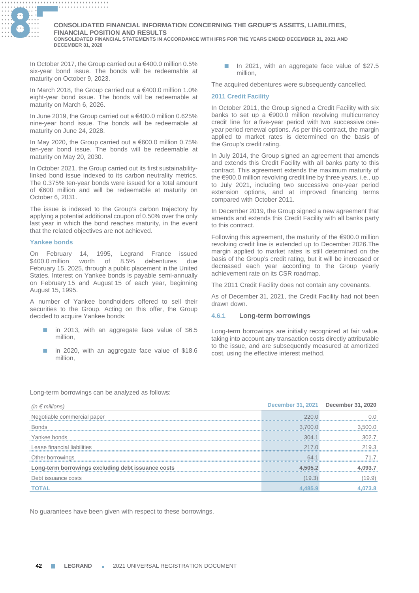

#### **............. . ............. . ............. . ............. . CONSOLIDATED FINANCIAL INFORMATION CONCERNING THE GROUP'S ASSETS, LIABILITIES, FINANCIAL POSITION AND RESULTS**

**CONSOLIDATED FINANCIAL STATEMENTS IN ACCORDANCE WITH IFRS FOR THE YEARS ENDED DECEMBER 31, 2021 AND DECEMBER 31, 2020**

In October 2017, the Group carried out a €400.0 million 0.5% six-year bond issue. The bonds will be redeemable at maturity on October 9, 2023.

In March 2018, the Group carried out a €400.0 million 1.0% eight-year bond issue. The bonds will be redeemable at maturity on March 6, 2026.

In June 2019, the Group carried out a €400.0 million 0.625% nine-year bond issue. The bonds will be redeemable at maturity on June 24, 2028.

In May 2020, the Group carried out a €600.0 million 0.75% ten-year bond issue. The bonds will be redeemable at maturity on May 20, 2030.

In October 2021, the Group carried out its first sustainabilitylinked bond issue indexed to its carbon neutrality metrics. The 0.375% ten-year bonds were issued for a total amount of €600 million and will be redeemable at maturity on October 6, 2031.

The issue is indexed to the Group's carbon trajectory by applying a potential additional coupon of 0.50% over the only last year in which the bond reaches maturity, in the event that the related objectives are not achieved.

### **Yankee bonds**

On February 14, 1995, Legrand France issued \$400.0 million worth of 8.5% debentures due February 15, 2025, through a public placement in the United States. Interest on Yankee bonds is payable semi-annually on February 15 and August 15 of each year, beginning August 15, 1995.

A number of Yankee bondholders offered to sell their securities to the Group. Acting on this offer, the Group decided to acquire Yankee bonds:

- in 2013, with an aggregate face value of \$6.5 million,
- in 2020, with an aggregate face value of \$18.6 million,

■ In 2021, with an aggregate face value of \$27.5 million,

The acquired debentures were subsequently cancelled.

### **2011 Credit Facility**

In October 2011, the Group signed a Credit Facility with six banks to set up a €900.0 million revolving multicurrency credit line for a five-year period with two successive oneyear period renewal options. As per this contract, the margin applied to market rates is determined on the basis of the Group's credit rating.

In July 2014, the Group signed an agreement that amends and extends this Credit Facility with all banks party to this contract. This agreement extends the maximum maturity of the €900.0 million revolving credit line by three years, i.e., up to July 2021, including two successive one-year period extension options, and at improved financing terms compared with October 2011.

In December 2019, the Group signed a new agreement that amends and extends this Credit Facility with all banks party to this contract.

Following this agreement, the maturity of the €900.0 million revolving credit line is extended up to December 2026.The margin applied to market rates is still determined on the basis of the Group's credit rating, but it will be increased or decreased each year according to the Group yearly achievement rate on its CSR roadmap.

The 2011 Credit Facility does not contain any covenants.

As of December 31, 2021, the Credit Facility had not been drawn down.

## **4.6.1 Long-term borrowings**

Long-term borrowings are initially recognized at fair value, taking into account any transaction costs directly attributable to the issue, and are subsequently measured at amortized cost, using the effective interest method.

Long-term borrowings can be analyzed as follows:

| (in $\epsilon$ millions)                           |                  | December 31, 2021 December 31, 2020 |
|----------------------------------------------------|------------------|-------------------------------------|
| Negotiable commercial paper                        | 2200             |                                     |
| <b>Bonds</b>                                       | 37000            | 3 500 O                             |
| Yankee bonds                                       | 304 <sub>1</sub> |                                     |
| Lease financial liabilities                        | 217.0            | 2193                                |
| Other borrowings 64.1                              |                  |                                     |
| Long-term borrowings excluding debt issuance costs | 4.505.2          | 093.7                               |
| Debt issuance costs                                | (19.3)           | (19.9)                              |
|                                                    |                  |                                     |

No guarantees have been given with respect to these borrowings.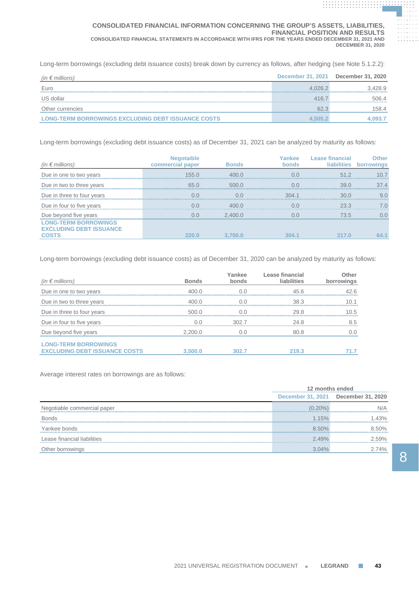### **CONSOLIDATED FINANCIAL INFORMATION CONCERNING THE GROUP'S ASSETS, LIABILITIES, FINANCIAL POSITION AND RESULTS CONSOLIDATED FINANCIAL STATEMENTS IN ACCORDANCE WITH IFRS FOR THE YEARS ENDED DECEMBER 31, 2021 AND DECEMBER 31, 2020**

Long-term borrowings (excluding debt issuance costs) break down by currency as follows, after hedging (see Note 5.1.2.2):

| (in $\epsilon$ millions)                                  |         | December 31, 2021 December 31, 2020 |
|-----------------------------------------------------------|---------|-------------------------------------|
| Euro                                                      | 4.026.2 | 3.428.9                             |
| US dollar                                                 | 416.7   | 506.4                               |
| Other currencies                                          | 62.3    | 158.4                               |
| <b>LONG-TERM BORROWINGS EXCLUDING DEBT ISSUANCE COSTS</b> | 4.505.  | 4,093.7                             |

Long-term borrowings (excluding debt issuance costs) as of December 31, 2021 can be analyzed by maturity as follows:

| (in $\epsilon$ millions)                                      | commercial paper | <b>Bonds</b>     | ankee<br><b>bonds</b> | Lease financial<br><b>liabilities</b> | :her         |
|---------------------------------------------------------------|------------------|------------------|-----------------------|---------------------------------------|--------------|
| Due in one to two years                                       | 155 $\Omega$     | 400 <sub>0</sub> | U U                   | 512                                   |              |
| Due in two to three years                                     | 65.0             | 500.0            | U U                   | 39 <sub>0</sub>                       | $37\,\Delta$ |
| Due in three to four years                                    |                  | 0 U              | 304 <sub>1</sub>      | 30 O                                  | 9 (          |
| Due in four to five years                                     |                  | 400 <sub>0</sub> |                       | 23.3                                  | (            |
| Due beyond five years                                         | 0.0              | 2,400.0          | O.O                   | 73.5                                  | 0.0          |
| <b>LONG-TERM BORROWINGS</b><br><b>EXCLUDING DEBT ISSUANCE</b> |                  |                  |                       |                                       |              |
| <b>COSTS</b>                                                  | 220.0            | 3.700.0          | 304.1                 | 217.0                                 |              |

Long-term borrowings (excluding debt issuance costs) as of December 31, 2020 can be analyzed by maturity as follows:

| (in $\epsilon$ millions)                                            | <b>Bonds</b> | Yankee<br>bonds | Lease financial<br>liabilities | Other<br>borrowings |
|---------------------------------------------------------------------|--------------|-----------------|--------------------------------|---------------------|
| Due in one to two years                                             | 400 $\Omega$ |                 | 45.6                           | 42 R                |
| Due in two to three years                                           | 400 $\Omega$ |                 | 38.3                           |                     |
| Due in three to four years                                          | 500.0        |                 | 29.8                           | 1በ 5                |
| Due in four to five years                                           |              | 3027            | 24 R                           | 85                  |
| Due beyond five years                                               | 2,200.0      |                 | 80.8                           |                     |
| <b>LONG-TERM BORROWINGS</b><br><b>EXCLUDING DEBT ISSUANCE COSTS</b> | 3.500.0      | 302.7           | 219.3                          |                     |

Average interest rates on borrowings are as follows:

|                                  | 12 months ended          |                   |  |
|----------------------------------|--------------------------|-------------------|--|
|                                  | <b>December 31, 2021</b> | December 31, 2020 |  |
| gotiable commercial paper<br>Nec | $(0.20\%)$               | N/A               |  |
| <b>Bonds</b>                     | 1.15%                    | $1.43\%$          |  |
| Yankee bonds                     | $8.50\%$                 | 8.50%             |  |
| Lease financial liabilities      | 2.49%                    | 2.59%             |  |
| Other borrowings                 | $3.04\%$                 | 2.74%             |  |

**. . . . . . . . . . . . . . . . . . . . . . . . . . . . . . . . . . . . . . .**

**. . . . . . . . . . . . . . . . . . . . . . . . . . . . . . . . . . . . . . . . . . . . . . . . . . . . . . . . . . . . . .**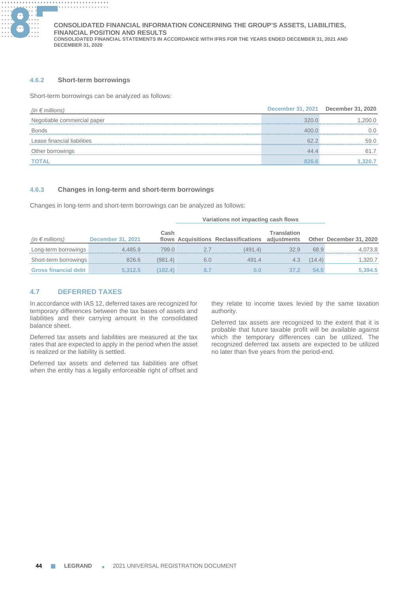

# **4.6.2 Short-term borrowings**

Short-term borrowings can be analyzed as follows:

| (in $\epsilon$ millions)    |       | December 31, 2021 December 31, 2020 |
|-----------------------------|-------|-------------------------------------|
| Negotiable commercial paper | 3200  | 200.0                               |
| <b>Bonds</b>                | 400.0 |                                     |
| Lease financial liabilities |       | 59 N                                |
| Other borrowings            | 44.4  | 61 7                                |
| TOTAL                       | 826.6 |                                     |

# **4.6.3 Changes in long-term and short-term borrowings**

Changes in long-term and short-term borrowings can be analyzed as follows:

|                             |                   |         | Variations not impacting cash flows |                                      |                            |        |                         |
|-----------------------------|-------------------|---------|-------------------------------------|--------------------------------------|----------------------------|--------|-------------------------|
| (in $\epsilon$ millions)    | December 31, 2021 | Cash    |                                     | flows Acquisitions Reclassifications | Translation<br>adiustments |        | Other December 31, 2020 |
| Long-term borrowings        | 4.485.9           | 799.0   |                                     | (491.4)                              | 32.9                       | 68.9   | 4.073.8                 |
| Short-term borrowings       | 826.6             | (981.4) | 6.0                                 | 491.4                                | 4.3                        | (14.4) | 1,320.7                 |
| <b>Gross financial debt</b> | 5.312.5           | (182.4) |                                     |                                      | 37.2                       | 54.5   | 5.394.5                 |

# **4.7 DEFERRED TAXES**

In accordance with IAS 12, deferred taxes are recognized for temporary differences between the tax bases of assets and liabilities and their carrying amount in the consolidated balance sheet.

Deferred tax assets and liabilities are measured at the tax rates that are expected to apply in the period when the asset is realized or the liability is settled.

Deferred tax assets and deferred tax liabilities are offset when the entity has a legally enforceable right of offset and they relate to income taxes levied by the same taxation authority.

Deferred tax assets are recognized to the extent that it is probable that future taxable profit will be available against which the temporary differences can be utilized. The recognized deferred tax assets are expected to be utilized no later than five years from the period-end.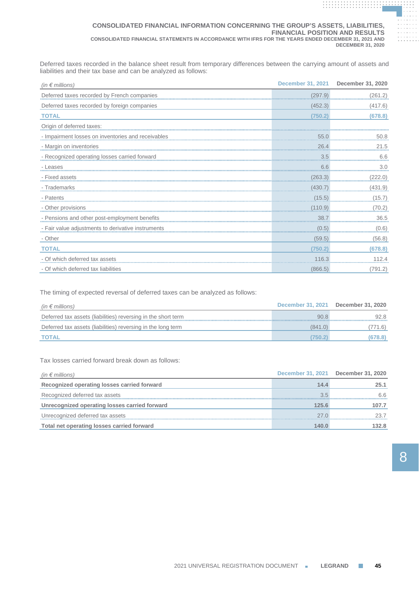### **CONSOLIDATED FINANCIAL INFORMATION CONCERNING THE GROUP'S ASSETS, LIABILITIES, FINANCIAL POSITION AND RESULTS CONSOLIDATED FINANCIAL STATEMENTS IN ACCORDANCE WITH IFRS FOR THE YEARS ENDED DECEMBER 31, 2021 AND DECEMBER 31, 2020**

Deferred taxes recorded in the balance sheet result from temporary differences between the carrying amount of assets and liabilities and their tax base and can be analyzed as follows:

| $(in \in millions)$                           | <b>December 31, 2021</b> | December 31, 2020 |
|-----------------------------------------------|--------------------------|-------------------|
| Deferred taxes recorded by French companies   | (297.9)                  | (261.2)           |
| Deferred taxes recorded by foreign companies  | (452.3)                  | (417.6)           |
| <b>TOTAL</b>                                  | (750.2)                  | (678.8)           |
| Origin of deferred taxes:                     |                          |                   |
|                                               |                          | 50.8              |
| - Margin on inventories                       | 26.4                     | 21.5              |
| - Recognized operating losses carried forward | 3.5                      | 6.6               |
| - Leases                                      | 6.6                      | 3.0               |
| - Fixed assets                                | (263.3)                  | (222.0)           |
| - Trademarks                                  | (430.7)                  | (431.9)           |
|                                               |                          | (15.7)            |
| - Other provisions                            | (110.9)                  | (70.2)            |
| - Pensions and other post-employment benefits | 38.7                     | 36.5              |
|                                               |                          | $(0.6)$           |
| - Other                                       | (59.5)                   | (56.8)            |
| <b>TOTAL</b>                                  | (750.2                   | (678.8)           |
| - Of which deferred tax assets                | 116.3<br>                | 112.4             |
| - Of which deferred tax liabilities           | (866.5)                  | (791.2)           |

The timing of expected reversal of deferred taxes can be analyzed as follows:

| (in $\epsilon$ millions)                                      |         | December 31, 2021 December 31, 2020 |
|---------------------------------------------------------------|---------|-------------------------------------|
| Deferred tax assets (liabilities) reversing in the short term | 90.8    | 92.8                                |
| Deferred tax assets (liabilities) reversing in the long term  | (841.0) | 771.6)                              |
| <b>TOTAL</b>                                                  | 750.21  | (678.8)                             |

Tax losses carried forward break down as follows:

| (in $\epsilon$ millions)                      |       | December 31, 2021 December 31, 2020 |
|-----------------------------------------------|-------|-------------------------------------|
| Recognized operating losses carried forward   | 14.4  | 25.1                                |
| Recognized deferred tax assets                | 35    | 66                                  |
| Unrecognized operating losses carried forward | 125.6 | 107.7                               |
| Unrecognized deferred tax assets              | 27 N  |                                     |
| Total net operating losses carried forward    | 14በ በ | 132.8                               |

**. . . . . . . . . . . . . . . . . . . . . . . . . . . . . . . . . . . . . . .**

**. . . . . . . . . . . . . . . . . . . . . . . . . . . . . . . . . . . . . . . . . . . . . . . . . . . . . . . . . . . . . .**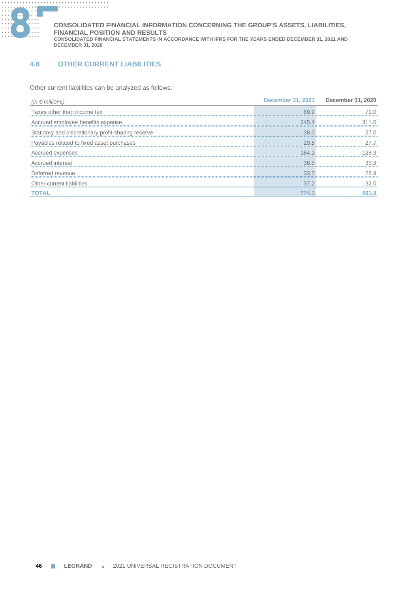

# **4.8 OTHER CURRENT LIABILITIES**

Other current liabilities can be analyzed as follows:

| (in $\epsilon$ millions)                           |       | December 31, 2021 December 31, 2020 |
|----------------------------------------------------|-------|-------------------------------------|
| Taxes other than income tax                        | 899   |                                     |
| Accrued employee benefits expense                  | 345A  |                                     |
| Statutory and discretionary profit-sharing reserve | 38.0  | 27 N                                |
| Payables related to fixed asset purchases          | 29.5  |                                     |
| Accrued expenses                                   | 164 1 | 28.3                                |
| Accrued interest                                   | 36.5  | 359                                 |
| Deferred revenue                                   | 337   | 28.9                                |
| Other current liabilities                          | 37.2  | 32.0                                |
| <b>TOTAL</b>                                       | 74.3  | 661.8                               |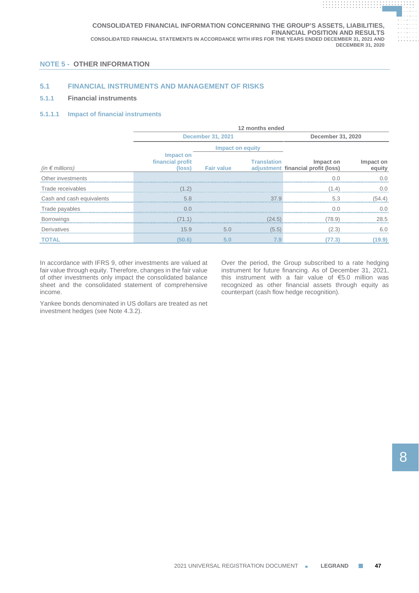# **NOTE 5 - OTHER INFORMATION**

# **5.1 FINANCIAL INSTRUMENTS AND MANAGEMENT OF RISKS**

# **5.1.1 Financial instruments**

# **5.1.1.1 Impact of financial instruments**

|                           | 12 months ended                         |                          |                    |                                                 |                     |  |  |
|---------------------------|-----------------------------------------|--------------------------|--------------------|-------------------------------------------------|---------------------|--|--|
|                           |                                         | <b>December 31, 2021</b> | December 31, 2020  |                                                 |                     |  |  |
|                           |                                         | Impact on equity         |                    |                                                 |                     |  |  |
| (in $\epsilon$ millions)  | Impact on<br>financial profit<br>(loss) | <b>Fair value</b>        | <b>Translation</b> | Impact on<br>adjustment financial profit (loss) | Impact on<br>equity |  |  |
| Other investments         |                                         |                          |                    | ΩO                                              |                     |  |  |
| Trade receivables         |                                         |                          |                    | (14                                             |                     |  |  |
| Cash and cash equivalents | 5.8                                     |                          | 37.9               | 5.3                                             | (54.4)              |  |  |
| Trade payables            | 0 <sub>0</sub>                          |                          |                    |                                                 |                     |  |  |
| Borrowings                | (71.1)                                  |                          | (24.5)             | (78.9)                                          | 28.5                |  |  |
| Derivatives               | 15.9                                    | 5.0                      | (5.5)              | (2.3)                                           | 6.0                 |  |  |
| <b>TOTAL</b>              | (50.6)                                  | 5.0                      | 7.9                | (77.3)                                          | 19.9                |  |  |

In accordance with IFRS 9, other investments are valued at fair value through equity. Therefore, changes in the fair value of other investments only impact the consolidated balance sheet and the consolidated statement of comprehensive income.

Yankee bonds denominated in US dollars are treated as net investment hedges (see Note 4.3.2).

Over the period, the Group subscribed to a rate hedging instrument for future financing. As of December 31, 2021, this instrument with a fair value of €5.0 million was recognized as other financial assets through equity as counterpart (cash flow hedge recognition).

**. . . . . . . . . . . . . . . . . . . . . . . . . . . . . . . . . . . . . . .**

**. . . . . . . . . . . . . . . . . . . . . . . . . . . . . . . . . . . . . . . . . . . . . . . . . . . . . . . . . . . . . .**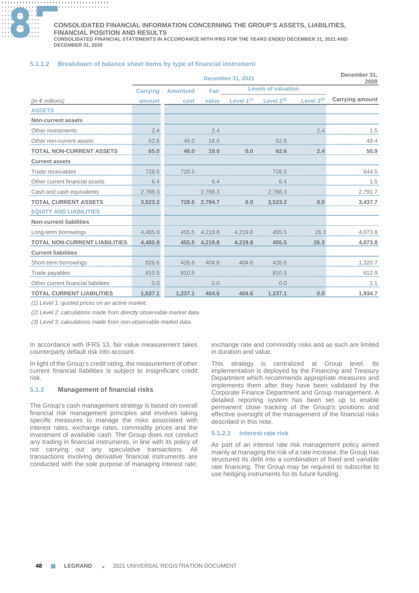

#### **............. . ............. . ............. . ............. . CONSOLIDATED FINANCIAL INFORMATION CONCERNING THE GROUP'S ASSETS, LIABILITIES, FINANCIAL POSITION AND RESULTS**

**CONSOLIDATED FINANCIAL STATEMENTS IN ACCORDANCE WITH IFRS FOR THE YEARS ENDED DECEMBER 31, 2021 AND DECEMBER 31, 2020**

# **5.1.1.2 Breakdown of balance sheet items by type of financial instrument**

|                                      | <b>December 31, 2021</b> |                         |         |                 | December 31,<br>2020       |                 |                        |
|--------------------------------------|--------------------------|-------------------------|---------|-----------------|----------------------------|-----------------|------------------------|
|                                      | <b>Carrying</b>          | <b>Amortized</b>        | Fair    |                 | <b>Levels of valuation</b> |                 |                        |
| (in $\epsilon$ millions)             | amount                   | cost                    | value   | Level $1^{(1)}$ | Level $2^{(2)}$            | Level $3^{(3)}$ | <b>Carrying amount</b> |
| <b>ASSETS</b>                        |                          |                         |         |                 |                            |                 |                        |
| <b>Non-current assets</b>            |                          |                         |         |                 |                            |                 |                        |
| Other investments                    | 2.4                      |                         | 2.4     |                 |                            | 2.4             | 1.5                    |
| Other non-current assets             | 62.6                     | 46.0                    | 16.6    |                 | 62.6                       |                 | 49.4                   |
| <b>TOTAL NON-CURRENT ASSETS</b>      | 65.0                     | 46.0                    | 19.0    | 0.0             | 62.6                       | 2.4             | 50.9                   |
| <b>Current assets</b>                |                          |                         |         |                 |                            |                 |                        |
| Trade receivables                    | 728.5                    | 728.5                   |         |                 | 728.5                      |                 | 644.5                  |
| Other current financial assets       | 6.4                      |                         |         |                 | 6.4                        |                 | 1.5                    |
| Cash and cash equivalents            | 2,788.3                  |                         | 2,788.3 |                 | 2,788.3                    |                 | 2,791.7                |
| <b>TOTAL CURRENT ASSETS</b>          | 3,523.2                  | 728.5                   | 2,794.7 | 0.0             | 3,523.2                    | 0.0             | 3,437.7                |
| <b>EQUITY AND LIABILITIES</b>        |                          |                         |         |                 |                            |                 |                        |
| <b>Non-current liabilities</b>       |                          |                         |         |                 |                            |                 |                        |
| Long-term borrowings                 | 4,485.9                  | 4,219.8 4,219.8 4,219.8 |         |                 | 455.5                      | 26.3            | 4,073.8                |
| <b>TOTAL NON-CURRENT LIABILITIES</b> | 4,485.9                  | 455.5                   | 4,219.8 | 4,219.8         | 455.5                      | 26.3            | 4,073.8                |
| <b>Current liabilities</b>           |                          |                         |         |                 |                            |                 |                        |
| Short-term borrowings                | 826.6                    | 426.6<br>,,,,,,,,,,     | 404.6   | 404.6           | 426.6                      |                 | 1,320.7                |
| Trade payables                       | 810.5                    | 810.5                   |         |                 | 810.5                      |                 | 612.9                  |
| Other current financial              | 0.0                      |                         |         |                 | 0.0                        |                 |                        |
| <b>TOTAL CURRENT LIABILITIES</b>     | 1.637.1                  | 1.237.1                 | 404.6   | 404.6           | 1,237.1                    | 0.0             | 1.934.7                |

*(1) Level 1: quoted prices on an active market.*

*(2) Level 2: calculations made from directly observable market data.*

*(3) Level 3: calculations made from non-observable market data.*

In accordance with IFRS 13, fair value measurement takes counterparty default risk into account.

In light of the Group's credit rating, the measurement of other current financial liabilities is subject to insignificant credit risk.

# **5.1.2 Management of financial risks**

The Group's cash management strategy is based on overall financial risk management principles and involves taking specific measures to manage the risks associated with interest rates, exchange rates, commodity prices and the investment of available cash. The Group does not conduct any trading in financial instruments, in line with its policy of not carrying out any speculative transactions. All transactions involving derivative financial instruments are conducted with the sole purpose of managing interest rate,

exchange rate and commodity risks and as such are limited in duration and value.

This strategy is centralized at Group level. Its implementation is deployed by the Financing and Treasury Department which recommends appropriate measures and implements them after they have been validated by the Corporate Finance Department and Group management. A detailed reporting system has been set up to enable permanent close tracking of the Group's positions and effective oversight of the management of the financial risks described in this note.

### **5.1.2.1 Interest rate risk**

As part of an interest rate risk management policy aimed mainly at managing the risk of a rate increase, the Group has structured its debt into a combination of fixed and variable rate financing. The Group may be required to subscribe to use hedging instruments for its future funding.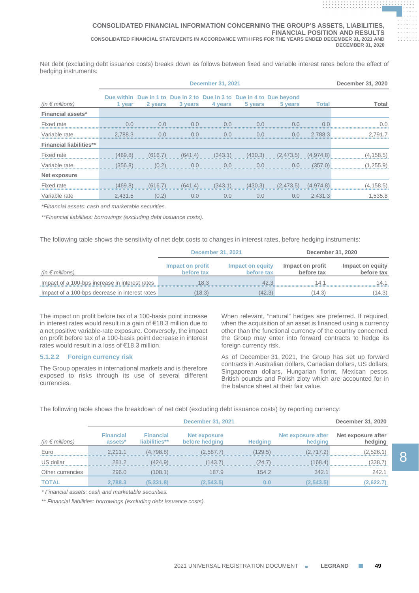Net debt (excluding debt issuance costs) breaks down as follows between fixed and variable interest rates before the effect of hedging instruments:

|                                | <b>December 31, 2021</b> |         |         |         |         | December 31, 2020                                                                |              |            |
|--------------------------------|--------------------------|---------|---------|---------|---------|----------------------------------------------------------------------------------|--------------|------------|
| (in $\notin$ millions)         | 1 year                   | 2 years | 3 years | 4 years | 5 years | Due within Due in 1 to Due in 2 to Due in 3 to Due in 4 to Due beyond<br>5 years | <b>Total</b> | Total      |
| <b>Financial assets*</b>       |                          |         |         |         |         |                                                                                  |              |            |
| Fixed rate                     | 0.0                      | 0.0     | 0.0     | 0.0     | 0.0     | 0.0                                                                              | 0.0          | 0.0        |
| Variable rate                  | 2.788.3                  | 0.0     | 0.0     | 0.0     | 0.0     | 0.0                                                                              | 2.788.3      | 2.791.7    |
| <b>Financial liabilities**</b> |                          |         |         |         |         |                                                                                  |              |            |
| Fixed rate                     | (469.8)                  | (616.7) | (641.4) | (343.1) | (430.3) | (2,473.5)                                                                        | (4,974.8)    | (4, 158.5) |
| Variable rate                  | (356.8)                  | (0.2)   | 0.0     | 0.0     | 0.0     | 0.0                                                                              | (357.0)      | (1.255.9)  |
| Net exposure                   |                          |         |         |         |         |                                                                                  |              |            |
| Fixed rate                     | (469.8)                  | (616.7) | (641.4) | (343.1) | (430.3) | (2,473.5)                                                                        | (4,974.8)    | (4, 158.5) |
| Variable rate                  | 2,431.5                  | (0.2)   | 0.0     | 0.0     | 0.0     | 0.0                                                                              | 2,431.3      | 1,535.8    |

*\*Financial assets: cash and marketable securities.*

*\*\*Financial liabilities: borrowings (excluding debt issuance costs).*

The following table shows the sensitivity of net debt costs to changes in interest rates, before hedging instruments:

|                                                | <b>December 31, 2021</b>       |                                | December 31, 2020              |                                |  |
|------------------------------------------------|--------------------------------|--------------------------------|--------------------------------|--------------------------------|--|
| (in $\epsilon$ millions)                       | Impact on profit<br>before tax | Impact on equity<br>before tax | Impact on profit<br>before tax | Impact on equity<br>before tax |  |
| Impact of a 100-bps increase in interest rates | 18.3                           | 42.3                           | 14 1                           | 14.1                           |  |
| Impact of a 100-bps decrease in interest rates | (18.3)                         | (42.3)                         | (14.3)                         | 14.3                           |  |

The impact on profit before tax of a 100-basis point increase in interest rates would result in a gain of €18.3 million due to a net positive variable-rate exposure. Conversely, the impact on profit before tax of a 100-basis point decrease in interest rates would result in a loss of €18.3 million.

# **5.1.2.2 Foreign currency risk**

The Group operates in international markets and is therefore exposed to risks through its use of several different currencies.

When relevant, "natural" hedges are preferred. If required, when the acquisition of an asset is financed using a currency other than the functional currency of the country concerned, the Group may enter into forward contracts to hedge its foreign currency risk.

As of December 31, 2021, the Group has set up forward contracts in Australian dollars, Canadian dollars, US dollars, Singaporean dollars, Hungarian florint, Mexican pesos, British pounds and Polish zloty which are accounted for in the balance sheet at their fair value.

The following table shows the breakdown of net debt (excluding debt issuance costs) by reporting currency:

|                          |                             | December 31, 2020                 |                                       |         |                               |                               |
|--------------------------|-----------------------------|-----------------------------------|---------------------------------------|---------|-------------------------------|-------------------------------|
| (in $\epsilon$ millions) | <b>Financial</b><br>assets* | <b>Financial</b><br>liabilities** | <b>Net exposure</b><br>before hedging |         | Net exposure after<br>hedging | Net exposure after<br>hedging |
| Euro                     | 2.211.1                     | (4.798.8)                         | (2.587.7)                             | (129.5) | 2 717 21                      | (2.526.1)                     |
| US dollar                | 281.2                       | (424.9)                           | (143.7)                               | (24.7)  | (168.4)                       | 338.7                         |
| Other currencies         | 296.0                       | (108.1)                           | 187.9                                 | 154.2   | 342.1                         | 242.1                         |
| <b>TOTAL</b>             | 2.788.3                     | (5.331.8)                         | $\left( 2.543.5\right)$               | 0.0     | (2.543.5                      | (2,622.7                      |

*\* Financial assets: cash and marketable securities.*

*\*\* Financial liabilities: borrowings (excluding debt issuance costs).*

**. . . . . . . . . . . . . . . . . . . . . . . . . . . . . . . . . . . . . . . . . . . . . . . . . . . . . . . . . . . . . . . . . . . . . . . . . . . . . . . . . . . . . . . . . . . . .**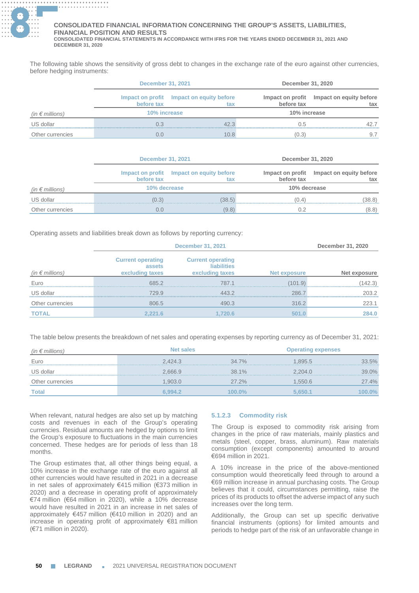

The following table shows the sensitivity of gross debt to changes in the exchange rate of the euro against other currencies, before hedging instruments:

|                          | <b>December 31, 2021</b> |                                                 |              | December 31, 2020                               |  |  |
|--------------------------|--------------------------|-------------------------------------------------|--------------|-------------------------------------------------|--|--|
|                          | before tax               | Impact on profit Impact on equity before<br>tax | before tax   | Impact on profit Impact on equity before<br>tax |  |  |
| (in $\epsilon$ millions) | 10% increase             |                                                 | 10% increase |                                                 |  |  |
| US dollar                | 0 3                      | 42.3                                            | O 5          | 42.7                                            |  |  |
| Other currencies         | $( )_1 ( )$              | 10.8                                            | (0.3)        |                                                 |  |  |

|                          | <b>December 31, 2021</b> |                                                 |              | December 31, 2020                               |  |  |
|--------------------------|--------------------------|-------------------------------------------------|--------------|-------------------------------------------------|--|--|
|                          | before tax               | Impact on profit Impact on equity before<br>tax | before tax   | Impact on profit Impact on equity before<br>tax |  |  |
| (in $\epsilon$ millions) | 10% decrease             |                                                 | 10% decrease |                                                 |  |  |
| US dollar                | (0.3)                    | (38.5)                                          | (0.4)        | (38.8)                                          |  |  |
| Other currencies         | O.O                      | (9.8)                                           |              | (8.8)                                           |  |  |

Operating assets and liabilities break down as follows by reporting currency:

|                          |                                                       | December 31, 2020                                                 |              |              |
|--------------------------|-------------------------------------------------------|-------------------------------------------------------------------|--------------|--------------|
| (in $\epsilon$ millions) | <b>Current operating</b><br>assets<br>excluding taxes | <b>Current operating</b><br><b>liabilities</b><br>excluding taxes | Net exposure | Net exposure |
| Euro                     | 6852                                                  | 787.1                                                             | (101.9)      | (142.3)      |
| US dollar                | 729.9                                                 | 443.2                                                             | 2867         | 203.2        |
| Other currencies         | 806.5                                                 | 490.3                                                             | 316.2        | 223.1        |
| <b>TOTAL</b>             | 2.221.6                                               | .720.6                                                            |              | 284.0        |

The table below presents the breakdown of net sales and operating expenses by reporting currency as of December 31, 2021:

| (in $\epsilon$ millions) | <b>Net sales</b> |        | <b>Operating expenses</b> |        |
|--------------------------|------------------|--------|---------------------------|--------|
| Euro                     | 2.424.3          | 34.7%  | 1.895.5                   | 33.5%  |
| US dollar                | 2.666.9          | 38.1%  | 2.204.0                   | 39.0%  |
| Other currencies         | 1.903.0          | 27.2%  | 1.550.6                   | 27.4%  |
| <b>Total</b>             | 6.994.2          | 100.0% | 5.650.1                   | 100.0% |

When relevant, natural hedges are also set up by matching costs and revenues in each of the Group's operating currencies. Residual amounts are hedged by options to limit the Group's exposure to fluctuations in the main currencies concerned. These hedges are for periods of less than 18 months.

The Group estimates that, all other things being equal, a 10% increase in the exchange rate of the euro against all other currencies would have resulted in 2021 in a decrease in net sales of approximately €415 million (€373 million in 2020) and a decrease in operating profit of approximately €74 million (€64 million in 2020), while a 10% decrease would have resulted in 2021 in an increase in net sales of approximately €457 million (€410 million in 2020) and an increase in operating profit of approximately €81 million (€71 million in 2020).

# **5.1.2.3 Commodity risk**

The Group is exposed to commodity risk arising from changes in the price of raw materials, mainly plastics and metals (steel, copper, brass, aluminum). Raw materials consumption (except components) amounted to around €694 million in 2021.

A 10% increase in the price of the above-mentioned consumption would theoretically feed through to around a €69 million increase in annual purchasing costs. The Group believes that it could, circumstances permitting, raise the prices of its products to offset the adverse impact of any such increases over the long term.

Additionally, the Group can set up specific derivative financial instruments (options) for limited amounts and periods to hedge part of the risk of an unfavorable change in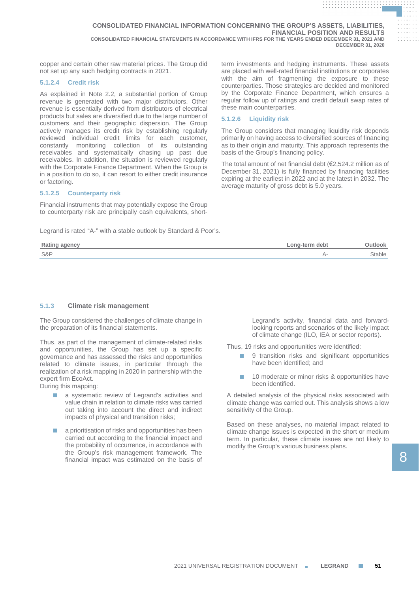**CONSOLIDATED FINANCIAL INFORMATION CONCERNING THE GROUP'S ASSETS, LIABILITIES, FINANCIAL POSITION AND RESULTS CONSOLIDATED FINANCIAL STATEMENTS IN ACCORDANCE WITH IFRS FOR THE YEARS ENDED DECEMBER 31, 2021 AND DECEMBER 31, 2020**

copper and certain other raw material prices. The Group did not set up any such hedging contracts in 2021.

### **5.1.2.4 Credit risk**

As explained in Note 2.2, a substantial portion of Group revenue is generated with two major distributors. Other revenue is essentially derived from distributors of electrical products but sales are diversified due to the large number of customers and their geographic dispersion. The Group actively manages its credit risk by establishing regularly reviewed individual credit limits for each customer, constantly monitoring collection of its outstanding receivables and systematically chasing up past due receivables. In addition, the situation is reviewed regularly with the Corporate Finance Department. When the Group is in a position to do so, it can resort to either credit insurance or factoring.

### **5.1.2.5 Counterparty risk**

Financial instruments that may potentially expose the Group to counterparty risk are principally cash equivalents, short-

Legrand is rated "A-" with a stable outlook by Standard & Poor's.

term investments and hedging instruments. These assets are placed with well-rated financial institutions or corporates with the aim of fragmenting the exposure to these counterparties. Those strategies are decided and monitored by the Corporate Finance Department, which ensures a regular follow up of ratings and credit default swap rates of these main counterparties.

**. . . . . . . . . . . . . . . . . . . . . . . . . . . . . . . . . . . . . . . . . . . . . . . . . . . . . . . . . . . . . . . . . . . . . . . . . . . . . . . . . . . . . . . . . . . . .**

**. . . . . . . . . . . . . . . . . . . . . . . . . . . . . . . . . . . . . . . . . . . . . . . . . . . . . . . . . . . . . . . .**

### **5.1.2.6 Liquidity risk**

The Group considers that managing liquidity risk depends primarily on having access to diversified sources of financing as to their origin and maturity. This approach represents the basis of the Group's financing policy.

The total amount of net financial debt (€2,524.2 million as of December 31, 2021) is fully financed by financing facilities expiring at the earliest in 2022 and at the latest in 2032. The average maturity of gross debt is 5.0 years.

| Rating<br>aencv | -ona-term debt<br>$-$ |          |
|-----------------|-----------------------|----------|
| S&P             |                       | ำtable ∶ |
|                 |                       |          |

## **5.1.3 Climate risk management**

The Group considered the challenges of climate change in the preparation of its financial statements.

Thus, as part of the management of climate-related risks and opportunities, the Group has set up a specific governance and has assessed the risks and opportunities related to climate issues, in particular through the realization of a risk mapping in 2020 in partnership with the expert firm EcoAct.

During this mapping:

- a systematic review of Legrand's activities and value chain in relation to climate risks was carried out taking into account the direct and indirect impacts of physical and transition risks;
- a prioritisation of risks and opportunities has been carried out according to the financial impact and the probability of occurrence, in accordance with the Group's risk management framework. The financial impact was estimated on the basis of

Legrand's activity, financial data and forwardlooking reports and scenarios of the likely impact of climate change (ILO, IEA or sector reports).

Thus, 19 risks and opportunities were identified:

- 9 transition risks and significant opportunities have been identified; and
- 10 moderate or minor risks & opportunities have been identified.

A detailed analysis of the physical risks associated with climate change was carried out. This analysis shows a low sensitivity of the Group.

Based on these analyses, no material impact related to climate change issues is expected in the short or medium term. In particular, these climate issues are not likely to modify the Group's various business plans.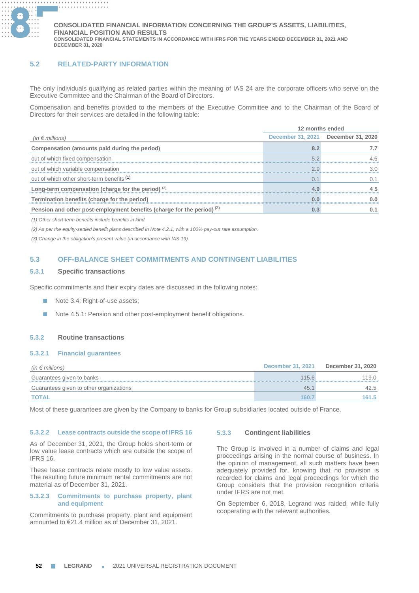

# **5.2 RELATED-PARTY INFORMATION**

The only individuals qualifying as related parties within the meaning of IAS 24 are the corporate officers who serve on the Executive Committee and the Chairman of the Board of Directors.

Compensation and benefits provided to the members of the Executive Committee and to the Chairman of the Board of Directors for their services are detailed in the following table:

|                                                                          | 12 months ended |                                     |
|--------------------------------------------------------------------------|-----------------|-------------------------------------|
| (in $\epsilon$ millions)                                                 |                 | December 31, 2021 December 31, 2020 |
| Compensation (amounts paid during the period)                            |                 |                                     |
| out of which fixed compensation                                          |                 |                                     |
| out of which variable compensation                                       |                 |                                     |
| out of which other short-term benefits (1)                               |                 |                                     |
| Long-term compensation (charge for the period) <sup>(2)</sup>            |                 |                                     |
| Termination benefits (charge for the period)                             |                 |                                     |
| Pension and other post-employment benefits (charge for the period) $(3)$ |                 |                                     |

*(1) Other short-term benefits include benefits in kind.*

*(2) As per the equity-settled benefit plans described in Note 4.2.1, with a 100% pay-out rate assumption.*

*(3) Change in the obligation's present value (in accordance with IAS 19).*

# **5.3 OFF-BALANCE SHEET COMMITMENTS AND CONTINGENT LIABILITIES**

# **5.3.1 Specific transactions**

Specific commitments and their expiry dates are discussed in the following notes:

- Note 3.4: Right-of-use assets;
- Note 4.5.1: Pension and other post-employment benefit obligations.

## **5.3.2 Routine transactions**

### **5.3.2.1 Financial guarantees**

| (in $\epsilon$ millions)                | <b>December 31, 2021</b> | December 31, 2020 |
|-----------------------------------------|--------------------------|-------------------|
| Guarantees given to banks               | 115.6                    | 119.0             |
| Guarantees given to other organizations | 45.1                     | 42.5              |
| TOTAL                                   | 160.7                    | 161.5             |

Most of these guarantees are given by the Company to banks for Group subsidiaries located outside of France.

### **5.3.2.2 Lease contracts outside the scope of IFRS 16**

As of December 31, 2021, the Group holds short-term or low value lease contracts which are outside the scope of IFRS 16.

These lease contracts relate mostly to low value assets. The resulting future minimum rental commitments are not material as of December 31, 2021.

# **5.3.2.3 Commitments to purchase property, plant and equipment**

Commitments to purchase property, plant and equipment amounted to €21.4 million as of December 31, 2021.

### **5.3.3 Contingent liabilities**

The Group is involved in a number of claims and legal proceedings arising in the normal course of business. In the opinion of management, all such matters have been adequately provided for, knowing that no provision is recorded for claims and legal proceedings for which the Group considers that the provision recognition criteria under IFRS are not met.

On September 6, 2018, Legrand was raided, while fully cooperating with the relevant authorities.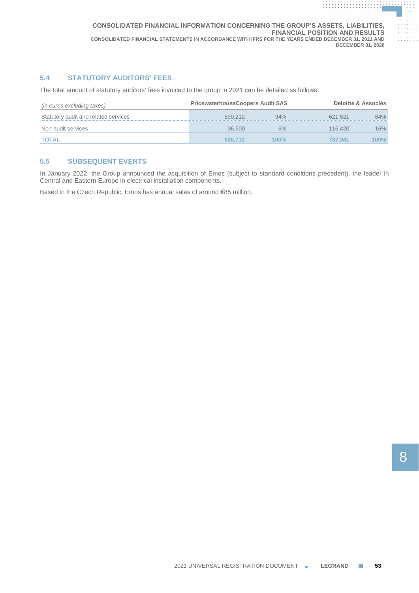# **5.4 STATUTORY AUDITORS' FEES**

The total amount of statutory auditors' fees invoiced to the group in 2021 can be detailed as follows:

| (in euros excluding taxes)           | <b>PricewaterhouseCoopers Audit SAS</b> |         |         | Deloitte & Associés |
|--------------------------------------|-----------------------------------------|---------|---------|---------------------|
| Statutory audit and related services | 590.212                                 | 94%     | 621.521 | 84%                 |
| Non-audit services                   | 36.500                                  | 6%      | 116,420 | 16%                 |
| <b>TOTAL</b>                         | 626.712                                 | $100\%$ | 737.941 | 100%                |

# **5.5 SUBSEQUENT EVENTS**

In January 2022, the Group announced the acquisition of Emos (subject to standard conditions precedent), the leader in Central and Eastern Europe in electrical installation components.

Based in the Czech Republic, Emos has annual sales of around €85 million.

**. . . . . . . . . . . . . . . . . . . . . . . . . . . . . . . . . . . . . . .**

**. . . . . . . . . . . . . . . . . . . . . . . . . . . . . . . . . . . . . . . . . . . . . . . . . . . . . . . . . . . . . .**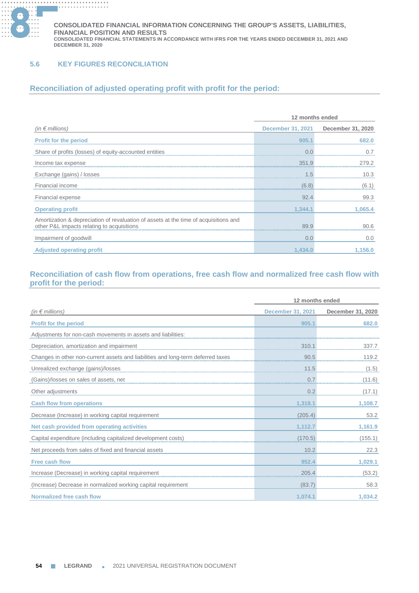

# **5.6 KEY FIGURES RECONCILIATION**

# **Reconciliation of adjusted operating profit with profit for the period:**

| 12 months ended                                                                                                                    |         |                                     |
|------------------------------------------------------------------------------------------------------------------------------------|---------|-------------------------------------|
| (in $\epsilon$ millions)                                                                                                           |         | December 31, 2021 December 31, 2020 |
| <b>Profit for the period</b>                                                                                                       | 905.1   | 682.0                               |
| Share of profits (losses) of equity-accounted entities                                                                             |         |                                     |
| Income tax expense                                                                                                                 | 351.9   | 279.2                               |
| Exchange (gains) / losses                                                                                                          | $.5\,$  | 10.3                                |
| Financial income                                                                                                                   | (6.8)   | (6.1)                               |
| Financial expense                                                                                                                  | 92.4    | 99.3                                |
| <b>Operating profit</b>                                                                                                            | 1.344.1 | 1.065.4                             |
| Amortization & depreciation of revaluation of assets at the time of acquisitions and<br>other P&L impacts relating to acquisitions | 89.9    | 90.G                                |
| Impairment of goodwill                                                                                                             | 0.0     | 0.0                                 |
| <b>Adjusted operating profit</b>                                                                                                   | 1.434.0 | 1.156.0                             |

# **Reconciliation of cash flow from operations, free cash flow and normalized free cash flow with profit for the period:**

|                                                                   | 12 months ended          |                   |
|-------------------------------------------------------------------|--------------------------|-------------------|
| (in $\epsilon$ millions)                                          | <b>December 31, 2021</b> | December 31, 2020 |
| <b>Profit for the period</b>                                      | 905.1                    | 682.0             |
| Adjustments for non-cash movements in assets and liabilities:     |                          |                   |
| Depreciation, amortization and impairment                         | 310.1                    | 337.7             |
| Changes in other non-current assets and liabilities and long-term | 90.5                     | 119.2             |
| Unrealized exchange (gains)/losses                                | 11.5                     | (1.5)             |
| (Gains)/losses on sales of assets, net                            | 0.7                      | (11.6)            |
| Other adjustments                                                 | 0.2                      | (17.1)            |
| <b>Cash flow from operations</b>                                  | 1,318.1                  | 1,108.7           |
| Decrease (Increase) in working capital requirement                | (205.4)                  | 53.2              |
| Net cash provided from operating activities                       | 1,112.7                  | 1,161.9           |
| Capital expenditure (including capitalized development costs)     | (170.5)                  | (155.1)           |
| Net proceeds from sales of fixed and financial assets             | 10.2                     | 22.3              |
| <b>Free cash flow</b>                                             | 952.4                    | 1,029.1           |
| Increase (Decrease) in working capital requirement                | 205.4                    | (53.2)            |
| (Increase) Decrease in normalized working capital requirement     | (83.7)                   | 58.3              |
| Normalized free cash flow                                         | 1.074.1                  | 1.034.2           |